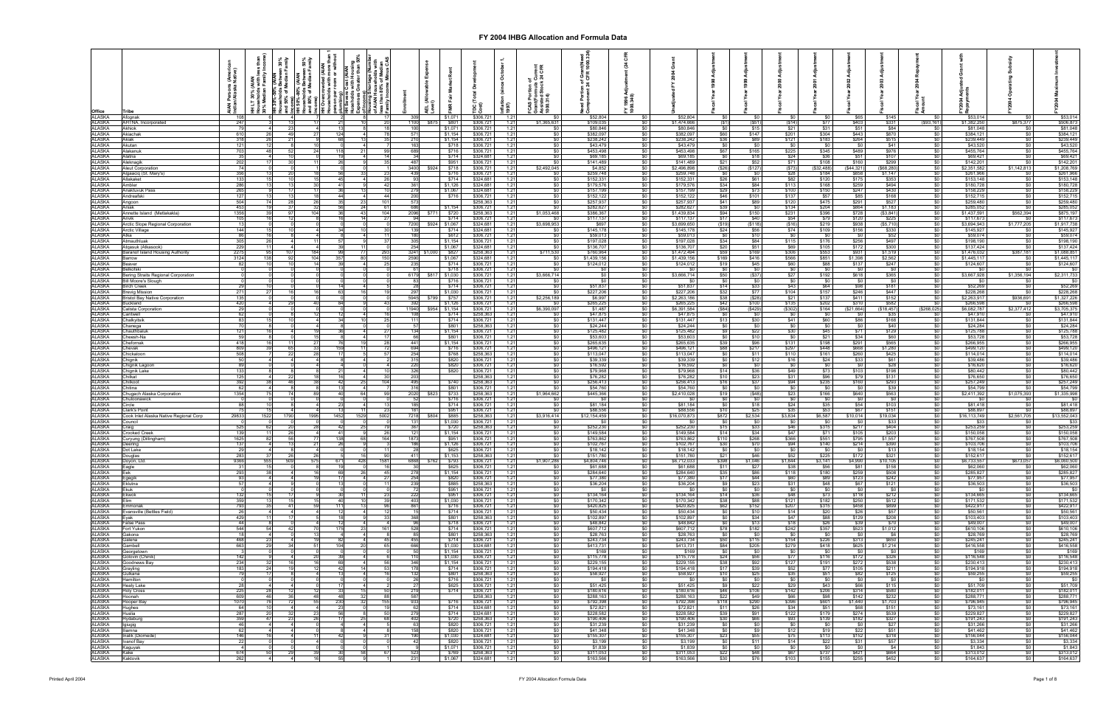| Office                            |                                                                       |              |                      |      |                | Cost (AIAN<br>with Hous |            |                  |                              |                                 | $\overline{\mathbf{v}}$<br>nflati<br>1997) |                                    |                          |                        |                          |                              |                  |                      |                             |                              |                           |                                                 |                          |                          |                          |
|-----------------------------------|-----------------------------------------------------------------------|--------------|----------------------|------|----------------|-------------------------|------------|------------------|------------------------------|---------------------------------|--------------------------------------------|------------------------------------|--------------------------|------------------------|--------------------------|------------------------------|------------------|----------------------|-----------------------------|------------------------------|---------------------------|-------------------------------------------------|--------------------------|--------------------------|--------------------------|
| ALASKA<br>ALASKA<br>ALASKA        | Afognak<br>AHTNA, Incorporated<br>247                                 |              |                      |      |                |                         | -20        | 1100             | \$1,071<br>\$801<br>\$87     | \$306,72<br>\$306,72            | 1.21<br>1.21                               | SO.<br>\$1,365,631                 | \$52,804<br>\$109,035    |                        | \$52,804<br>\$1,474,666  | (S1)                         | (S51)            | (\$14)               | \$77                        | \$65<br>\$403                | \$145<br>\$331            | (S93, 161)                                      | \$53,014<br>\$1,382,250  | \$0<br>\$875,377         | \$53,014<br>\$506,873    |
| <b>ALASKA</b>                     | 79<br>Akhiok<br>610<br>Akiachak                                       |              | 231<br>49            |      | 124            |                         |            | 100<br>571       | \$1,071<br>\$1,154           | \$306,72<br>\$306,72            | 1.21<br>1.21                               | SO I<br>$\frac{1}{20}$             | \$80,846<br>\$382,097    |                        | \$80,846<br>\$382,097    | - SO 1<br>\$60               | \$15<br>\$147    | \$21<br>\$201        | \$31<br>\$304               | \$51<br>\$443                | \$84<br>\$870             | \$0<br>$\frac{1}{2}$                            | \$81,048<br>\$384,121    | <b>SO</b> I<br>\$0       | \$81,048<br>\$384,121    |
| <b>ALASKA</b><br>ALASKA           | 318<br>Akiak<br>121<br>Akutan                                         |              |                      |      |                |                         |            | 210<br>163       | \$1,154<br>\$718             | \$306,72<br>\$306,72            | 1.21<br>1.21                               | \$0<br><b>SO</b> I                 | \$238,242<br>\$43,479    |                        | \$238,242<br>\$43,479    | \$36<br>\$0                  | \$89             | \$121<br>- \$0       | \$183<br>\$0                | \$264<br>\$0                 | \$515<br>\$41             | \$0<br><b>SO</b>                                | \$239,449<br>\$43,520    | \$0<br>\$0               | \$239,449<br>\$43,520    |
| <b>ALASKA</b><br><b>ALASKA</b>    | 703<br>Alakanuk<br>Alatna                                             | 35           |                      |      |                |                         |            | 689<br>34        | \$716<br>\$714               | \$306,72<br>\$324,68            | 1.21<br>1.21                               | \$0<br>$\frac{1}{20}$              | \$453,498<br>\$69,185    |                        | \$453,498<br>\$69,185    | \$67<br>SO.                  | \$165<br>\$18    | \$225<br>\$24        | \$345<br>\$36               | \$489                        | \$976                     | \$0                                             | \$455,764<br>\$69,421    | \$0<br>\$0               | \$455,764                |
| <b>ALASKA</b>                     | 202<br>Aleknagik                                                      |              |                      |      |                |                         | 35         | 487              | \$951                        | \$306,72                        | 1.21                                       | $\frac{1}{20}$                     | \$141.489                |                        | \$141,489                | \$21                         | \$52             | \$71                 | \$108                       | \$51<br>\$160                | \$107<br>\$299            | $rac{$0}{$0}$                                   | \$142,201                | \$0                      | \$69,421<br>\$142,201    |
| <b>ALASKA</b><br><b>ALASKA</b>    | Aleut Corporation<br>356<br><b>Ngaaciq (St. Mary's)</b>               | 74           |                      |      |                |                         |            | 439              | 3400 \$924<br>\$718<br>\$716 | \$306,72<br>\$306,72            | 1.21<br>1.21                               | \$2,492,045<br>\$0                 | \$4,852<br>\$259,748     |                        | \$2,496,898<br>\$259,748 | (\$26)<br>\$O                | (\$127           | (S73)<br>\$28        | (\$32,488)<br>\$184         | (\$44,321)<br>\$858          | (\$68,280)<br>\$1,147     | \$0                                             | \$2,351,582<br>\$261,966 | \$1,142,813              | \$1,208,769<br>\$261,966 |
| <b>ALASKA</b><br>ALASKA           | 133<br>Allakaket<br><b>\mbler</b>                                     |              |                      |      | 4 <sup>5</sup> |                         | 26<br>42   | 93<br>361        | \$714<br>\$1,126             | \$324,68<br>\$324,68            | 1.21<br>1.21                               | \$0<br>\$0                         | \$152,331<br>\$179,576   |                        | \$152,331<br>\$179,576   | \$26<br>\$34                 | \$61<br>\$84     | \$82<br>\$113        | \$120<br>\$168              | \$175                        | \$353                     | $rac{$0}{$0}$<br>\$0                            | \$153,148<br>\$180,728   | \$0<br>\$0               | \$153,148<br>\$180,728   |
| <b>ALASKA</b><br><b>ALASKA</b>    | 286<br>265<br>Anaktuvuk Pass<br>127<br>Andreafski                     |              |                      |      | $\mathbf{A}$   |                         | 44         | 279<br>200       | \$1,067<br>\$716             | \$324,68<br>\$306.72            | 1.21<br>1.21                               | $\frac{1}{20}$<br>$\frac{1}{2}$    | \$157,199<br>\$152.122   |                        | \$157,199<br>\$152,122   | \$29<br><b>\$46</b>          | \$73<br>\$101    | \$100<br>\$137       | \$150<br>\$57               | $$259$<br>$$247$<br>\$85     | \$494<br>\$430<br>\$168   | $rac{1}{50}$                                    | \$158,229<br>\$152,715   | \$0<br>\$0               | \$158,229<br>\$152,715   |
| <b>ALASKA</b>                     | 504<br>Angoon                                                         |              |                      |      |                |                         | 101        | 573              |                              | \$258,363                       | 1.21                                       | $\frac{1}{2}$                      | \$257,937                |                        | \$257,937                | \$41                         | \$89             | \$120                | \$475                       | \$291                        | \$527                     | $\frac{1}{2}$                                   | \$259,480                | <b>\$0</b>               | \$259,480                |
| ALASKA<br>ALASKA                  | 453<br>Aniak<br>1356<br>Annette Island (Metlakakla)                   |              | 37<br>971            |      |                | 24<br>43                | 61<br>104  | 686<br>2096      | \$1,154<br>\$720<br>\$771    | \$306,72<br>\$258,363           | 1.21<br>1.21                               | <b>SO</b><br>\$1,053,468           | \$282,627<br>\$386,367   |                        | \$282,627<br>\$1,439,834 | \$39<br>\$94                 | - 30<br>\$150    | \$134<br>\$231       | \$204<br>\$396              | \$864<br>\$728               | \$1,183<br>(S3, 841)      | \$0<br>\$0                                      | \$285,052<br>\$1,437,591 | - SO 1<br>\$562,394      | \$285,052<br>\$875,197   |
| <b>ALASKA</b><br><b>ALASKA</b>    | 105<br>Arctic Slope Regional Corporation                              |              |                      |      |                |                         |            | 94<br>7200       | \$714<br>\$924 \$1,067       | \$306,72<br>\$324,68            | 1.21<br>1.21                               | <b>SO</b><br>\$3,698,953           | \$117,137<br>\$697       |                        | \$117,137<br>\$3,699,650 | \$17<br>(S19)                | \$40<br>( \$118) | \$54<br>(S16)        | \$79<br>\$219               | \$120<br>\$938               | \$225<br>(S5, 710)        | \$0<br>\$0                                      | \$117,673<br>\$3,694,943 | -90<br>\$1,777,205       | \$117,67<br>\$1,917,73   |
| <b>ALASKA</b><br><b>ALASKA</b>    | 144<br>Arctic Village<br>Atka                                         | 86           |                      |      |                |                         | 11         | 139<br>180       | \$714<br>\$612               | \$324,68<br>\$306,72            | 1.21<br>1.21                               | SO I<br>\$0 <sub>1</sub>           | \$145,178<br>\$59,013    |                        | \$145,178<br>\$59,013    | \$24<br>$\frac{1}{20}$       | \$56<br>\$10     | \$74<br>\$0          | \$109<br>$^{\circ}$ \$0     | \$156<br>50                  | \$330<br>\$52             | $\frac{1}{2}$<br>\$0                            | \$145,927<br>\$59,074    | \$0<br>\$0               | \$145,92<br>\$59,074     |
| <b>ALASKA</b>                     | 305<br>Atmauthluak                                                    |              |                      |      |                |                         | 37         | 305              | \$1,154                      | \$306,72                        | 1.21                                       | $\frac{1}{20}$                     | \$197,028                |                        | \$197,028                | \$34                         | \$84             | \$115                | \$176                       | \$256                        | \$497                     | \$0                                             | \$198,190                | \$0                      | \$198,190                |
| ALASKA<br>ALASKA                  | 229<br>Atgasuk (Atkasook)<br>2275<br>Baranof Island Housing Authority |              |                      |      |                |                         |            | 254<br>3241 \$1, | \$1,067<br>\$827             | \$324,68<br>\$258,36            | 1.21<br>1.21                               | \$0<br>\$711,530                   | \$136,707<br>\$760,964   |                        | \$136,707<br>\$1,472,494 | \$20                         | \$51<br>\$169    | \$69<br>\$306        | \$105                       | \$172<br>\$931               | \$300<br>\$1,519          | \$0                                             | \$137,424<br>\$1,476,032 | \$0<br>\$387,181         | \$137,424<br>\$1,088,85  |
| <b>ALASKA</b>                     | 3124<br>arrow<br>82<br>Beaver                                         |              |                      |      |                |                         | 150<br>-25 | 2590<br>235      | \$1,067<br>\$714             | \$324,68<br>\$306,72            | 1.21<br>1.21                               | \$0<br>\$0                         | \$1,439,156<br>\$124,012 |                        | \$1,439,156<br>\$124,012 | \$169<br>\$19                | \$416<br>\$45    | \$566<br>\$60        | \$553<br>\$851<br>\$88      | \$1,398<br>\$137             | \$2,562<br>\$247          | $\frac{$0}{$0}$<br>\$0                          | \$1,445,117<br>\$124,607 | SO.<br>\$0               | \$1,445,11<br>\$124,607  |
| ALASKA<br>ALASKA                  | Belkofski                                                             |              |                      |      |                |                         |            | 61               | \$718                        | \$306,72                        | 1.21                                       | 50 <sub>1</sub>                    | - SO                     |                        | - \$0                    | - \$0                        | S <sub>0</sub>   |                      | $\sqrt{50}$                 | $\frac{1}{30}$               | $\frac{1}{20}$            | \$0                                             | - \$0                    | <b>\$0</b>               | SO I                     |
| <b>ALASKA</b><br><b>ALASKA</b>    | Bering Straits Regional Corporation<br><b>Bill Moore's Slough</b>     |              |                      |      |                |                         |            | 6179             | \$1,030<br>\$81<br>\$716     | \$306,72<br>\$306,72            | 1.21<br>1.21                               | \$3,666,714<br>\$0                 | \$0<br>ടറ                |                        | \$3,666,714<br>- \$0     | \$50<br>SO.                  | $($ \$37)        | \$27                 | \$192<br>- \$0              | \$618<br>\$0                 | \$365<br><b>SO</b>        | $\frac{1}{2}$<br>\$0                            | \$3,667,928<br>\$0       | \$1,356,194<br>SO I      | \$2,311,733<br>SO I      |
| ALASKA<br><b>ALASKA</b>           | irch Creek<br>271<br>revig Mission                                    | 29           |                      |      |                |                         |            | 297              | \$714<br>\$1,030             | \$306,72<br>\$306,72            | 1.21<br>1.21                               | <b>SO</b><br>\$0                   | \$51,837<br>\$227,206    |                        | \$51,837<br>\$227,206    | \$14<br>\$32                 | \$33<br>\$77     | \$43<br>\$104        | \$64<br>\$157               | <b>\$98</b><br>\$246         | \$181<br>\$447            | <b>SO</b><br>\$0                                | \$52,269<br>\$228,268    | <b>\$0</b><br><b>\$0</b> | \$52,269<br>\$228,268    |
| <b>ALASKA</b><br><b>ALASKA</b>    | 135<br><b>Bristol Bay Native Corporation</b><br>420<br>3uckland       |              |                      |      |                |                         | 43         | 5945<br>392      | \$757<br>\$1,126             | \$306,72<br>\$306,72            | 1.21<br>1.21                               | \$2,256,189<br>$\frac{1}{20}$      | \$6,997<br>\$265,225     |                        | \$2,263,186<br>\$265,225 | \$38<br>\$42                 | ( \$28]<br>\$100 | \$21<br>\$135        | \$137<br>\$202              | \$411<br>\$310               | \$152<br>\$582            | $\frac{1}{2}$<br>$\$0$                          | \$2,263,917<br>\$266,598 | \$936,691<br>\$0         | \$1,327,226<br>\$266,598 |
| <b>ALASKA</b>                     | Calista Corporation                                                   | 29           |                      |      |                |                         |            | 11940            | \$954 \$1,154                | \$306,721                       | 1.21                                       | \$6,390,097                        | \$1,487                  |                        | \$6,391,584              | (\$84)                       | (\$429           | ( \$302)             | \$164                       | (\$21,664)                   | \$18,457)                 | (\$268,025)                                     | \$6,082,787              | \$2,377,412              | \$3,705,375              |
| <b>ALASKA</b><br><b>ALASKA</b>    | Cantwell<br>∶halkyitsik                                               | 62<br>83     |                      |      |                |                         |            | 111              | \$714<br>\$714               | \$258,36<br>\$306,72            | 1.21<br>1.21                               | \$0<br>\$0                         | \$47,875<br>\$131,447    |                        | \$47,875<br>\$131,447    | \$0<br>\$13                  | \$30             | \$41                 | $\sqrt{30}$<br>\$60         | \$0<br>\$86                  | \$35<br>\$168             | $rac{1}{50}$                                    | \$47,910<br>\$131,844    | \$0                      | \$47,91<br>\$131,844     |
| ALASKA<br>ALASKA                  | Chanega<br>Chauthbaluk<br>121                                         |              |                      |      |                |                         |            | 134              | \$801<br>\$1,154             | \$258,36<br>\$306,72            | 1.21<br>1.21                               | \$0<br>$\frac{1}{20}$              | \$24,244<br>\$125,482    |                        | \$24,244<br>\$125,482    | SO I<br>S9 I                 | \$22             | \$30                 | \$0<br><b>\$45</b>          | \$0<br>\$71                  | $$40$<br>\$129            | \$0                                             | \$24,284<br>\$125,788    | \$0<br>\$0               | $$24,284$<br>$$125,788$  |
| <b>ALASKA</b>                     | 59<br>Cheesh-Na<br>418                                                |              |                      |      |                |                         | -17        | 66<br>441        | \$801<br>\$1,154             | \$306.72<br>\$306,72            | 1.21<br>1.21                               | $\frac{1}{20}$<br>$\frac{1}{2}$    | \$53,603<br>\$265,635    |                        | \$53,603<br>\$265,635    | SO I<br>\$39                 | \$10<br>\$96     | $\sqrt{50}$<br>\$131 | \$21<br>\$198               | \$34<br>\$291                | \$60<br>\$565             | $rac{1}{50}$<br>\$0                             | \$53,728<br>\$266,955    | \$0<br><b>\$0</b>        | \$53,728<br>\$266,955    |
| <b>ALASKA</b><br>ALASKA           | hefornak<br>809<br>Chevak                                             |              | 651                  |      |                |                         |            | 694              | \$716                        | \$306,72                        | 1.21                                       | <b>SO</b> I                        | \$496,121                |                        | \$496,121                | <b>\$88</b>                  | \$217            | \$297                | \$448                       | \$668                        | \$1,280                   | \$0                                             | \$499,120                | <b>\$0</b>               | \$499,120                |
| ALASKA<br><b>ALASKA</b>           | 508<br>Chickaloon<br>hignik<br>50                                     |              | <b>221</b>           |      |                |                         |            | 254<br>315       | \$768<br>\$820               | \$258,363<br>\$306,72           | 1.21<br>1.21                               | <b>SO</b> I<br>SO I                | \$113,047<br>\$39,339    |                        | \$113,047<br>\$39,339    | <b>\$0</b><br>\$0            | \$11<br>\$12     | \$110<br>\$16        | \$161<br>\$24               | \$260<br>\$33                | \$425<br>\$61             | \$0<br>\$0                                      | \$114,014<br>\$39,486    | \$0<br>\$0               | \$114,014<br>\$39,486    |
| <b>ALASKA</b><br><b>ALASKA</b>    | Chignik Lagoor<br>133<br>Chignik Lake                                 | 89           |                      |      |                |                         |            | 220<br>326       | \$820<br>\$820               | \$306,72<br>\$306.72            | 1.21<br>1.21                               | $\frac{1}{20}$<br>$\frac{1}{20}$   | \$16,592<br>\$79,968     |                        | \$16,592<br>\$79,968     | SO <sub>1</sub><br>\$14      | \$36             | \$49                 | \$0<br>\$73                 | \$0<br>\$103                 | \$28<br><b>\$198</b>      | \$0<br>\$0                                      | \$16,620<br>\$80,442     | \$0<br>\$0               | \$16,620<br>\$80,442     |
| <b>ALASKA</b><br><b>ALASKA</b>    | 125<br>Chilkat<br>392                                                 |              | 46 <sup>1</sup>      |      | - 42           | 25                      | 30<br>104  | 203<br>495       | \$740                        | \$258,36<br>\$258,363           | 1.21<br>1.21                               | \$0 <sub>1</sub><br>$\frac{1}{20}$ | \$76,282<br>\$256,413    |                        | \$76,282<br>\$256,413    | \$10<br>\$16                 | \$23<br>\$37     | \$31<br>\$94         | \$96<br>\$235               | \$79<br>\$160                | \$131<br>\$293            | $\$0$<br>\$0                                    | \$76,650<br>\$257,249    | 50<br>\$0                | \$76,650<br>\$257,249    |
| ALASKA                            | Chilkoot<br>hitina                                                    | 62           |                      |      |                |                         |            | 316              |                              | \$306,72<br>\$801               | 1.21                                       | \$0                                | \$54,760                 |                        | \$54,760                 | \$0                          |                  | \$0                  | \$0                         | - \$0                        | \$39                      |                                                 | \$54,799                 | \$0                      | \$54,79                  |
| ALASKA<br><b>ALASKA</b>           | 1354<br>hugach Alaska Corporation<br>huloonawick                      |              |                      |      |                |                         |            | 2020             | \$733                        | \$258,36<br>\$716<br>\$306,72   | 1.21<br>1.21                               | \$1,964,662<br>\$0                 | \$445,366                |                        | \$2,410,028              | \$19<br>\$0                  | ( \$48           | \$23                 | \$166<br>- \$0              | \$640<br>\$0                 | \$563<br>\$0              | $\frac{$0}{$0}{$0 $}$                           | \$2,411,392              | \$1,075,393              | \$1,335,998              |
| ALASKA<br>ALASKA                  | Circle<br>Clark's Point                                               | 88           |                      |      |                |                         |            | 185<br>181       | \$714<br>\$951               | \$306,72<br>\$306,72            | 1.21<br>1.21                               | $\frac{1}{20}$<br>50 <sub>1</sub>  | \$81.184<br>\$88,556     |                        | \$81.184<br>\$88,556     | \$0<br>\$10                  | \$18<br>\$25     | \$24<br>\$35         | \$35<br>\$53                | \$54<br>\$67                 | \$103<br>\$151            | \$0<br>\$0                                      | \$81,418<br>\$88,897     | \$0<br>\$0               | \$81,418<br>\$88,897     |
| <b>ALASKA</b>                     | 29833<br>Cook Inlet Alaska Native Regional Corp                       | 1522         | 1790                 | 1995 | 1452           | 1529                    | 5002       | 7218             | \$885                        | \$258,363                       | 1.21                                       | \$3,916,414                        | \$12,154,459             |                        | \$16,070,873             | \$872                        | \$2,534          | \$3,834              | \$6,587                     | \$10,014                     | \$19,034                  | $\frac{1}{2}$                                   | \$16,113,749             | \$2,561,705              | \$13,552,043             |
| ALASKA<br>ALASKA                  | ouncil<br>525<br>∶raig                                                |              |                      |      |                |                         |            | 131<br>367       | \$1,030<br>\$720             | \$306,72<br>\$258,363           | 1.21<br>1.21                               | <b>SO</b><br><b>SO</b>             | - 50<br>\$252,230        |                        | \$0<br>\$252,230         | - \$0<br>\$15                | \$33             | \$46                 | \$0<br>\$315                | - \$0<br>\$217               | \$33<br>\$404             | \$0<br><b>SO</b>                                | \$33<br>\$253,259        | SO I<br>\$0              | \$33<br>\$253,259        |
| <b>ALASKA</b><br><b>ALASKA</b>    | 139<br>Crooked Creek<br>1625<br>uryung (Dillingham)                   |              |                      |      |                |                         | 164        | 121<br>1873      | \$1,154<br>\$951             | \$306,72<br>\$306.72            | 1.21<br>1.21                               | \$0<br>$\frac{1}{20}$              | \$149,584<br>\$763,862   |                        | \$149,584<br>\$763.862   | \$14<br>\$110                | \$34<br>\$268    | \$47<br>366          | \$71<br>\$551               | \$105<br>\$795               | \$203<br>\$1.557          | \$0<br>50                                       | \$150,058<br>\$767.508   | \$0<br>SO <sub>1</sub>   | \$150,058<br>\$767,508   |
| <b>ALASKA</b><br><b>ALASKA</b>    | 137<br>Deering<br>Dot Lake                                            | 29           |                      |      |                |                         |            | 186<br>28        | \$1,126<br>\$625             | \$306,72<br>\$306,721           | 1.21<br>1.21                               | $\frac{1}{20}$<br>$\frac{1}{20}$   | \$102,767<br>\$18,142    | SO <sub>1</sub>        | \$102,767<br>\$18,142    | \$30<br>\$0                  | \$70<br>\$0      | \$94<br>\$0          | \$140<br>\$0                | \$214<br>$\frac{1}{20}$      | \$390<br>\$13             | \$0<br>\$0                                      | \$103,706<br>\$18,154    | \$0<br>\$0               | \$103,706<br>\$18,154    |
| ALASKA                            | Douglas                                                               |              | 509                  |      |                |                         | 90         | 411              | \$1,153<br>6868 \$762 \$793  |                                 | \$258,363<br>$-1.21$<br>1.21               | \$0                                | \$151,780<br>\$4,804,746 |                        | \$151,780<br>\$6,712,033 | \$21                         | \$46<br>\$1,046  | \$1,844              | \$225<br>\$3,141            | \$172                        | \$321<br>\$10,105         | \$0                                             | \$152,617<br>\$6,733,557 |                          | \$152,617                |
| ALASKA<br>ALASKA<br>ALASKA        | Doyon, Ltd.<br>9366<br>Eagle                                          | 31           |                      |      | 671            | 428                     | 1581       | -30              |                              | \$306,721<br>\$625              | \$306,721<br>1.21                          | \$1,907,286<br>$\frac{$0}{\$0}$    | \$61,688                 |                        | \$61,688                 | \$398<br><b>\$11</b>         | \$27             | $\frac{$38}{118}$    | $$56$<br>$$180$             | \$4,990<br>$\frac{$81}{259}$ | $$158$<br>$$508$          | \$0<br>\$0                                      | \$62,060                 | \$673,057<br>\$0         | \$6,060,500<br>\$62,060  |
| <b>ALASKA</b>                     | 293<br>Eek<br>Egegik                                                  | 93           |                      |      | 17             | -41                     | 45<br>27   | 278<br>254       | \$1,154                      | \$306,721<br>\$820<br>\$306,721 | 1.21<br>1.21                               | $\frac{1}{20}$                     | \$284,640<br>\$77,380    | - \$0                  | \$284,640<br>\$77,380    | \$35<br>\$17                 | \$86<br>\$44     | \$60                 | \$89                        | \$123                        | \$242                     | $\$0$<br>$\frac{1}{20}$                         | \$285,827<br>\$77,957    | \$0<br>\$0               | \$285,827<br>\$77,957    |
| <b>ALASKA</b><br>ALASKA           | 57<br>Eklutna<br>Ekuk                                                 |              |                      |      |                |                         | 11         | 239<br>-721      | \$885<br>\$951               | \$258,363<br>\$306,721          | 1.21<br>1.21                               | \$0<br>\$0 I                       | \$36,204<br>\$0          |                        | \$36,204<br>\$0          | <b>\$9</b><br><b>\$0</b>     | \$23<br>- 50     | \$31<br>\$0          | \$48<br>- \$0               | \$67<br>- SO 1               | \$121<br>- \$0            | \$0<br>\$0                                      | \$36,503<br>\$0          | \$0<br>- \$0 I           | \$36,503<br><b>SO</b>    |
| ALASKA<br>ALASKA                  | Ekwok<br>132<br>359<br>Flim                                           |              | 15                   |      | 40             |                         | -231<br>39 | 222<br>403       | \$951<br>\$1,030             | \$306,721<br>\$306,721          | 1.21<br>1.21                               | <b>SO</b><br>SO I                  | \$134,164<br>\$170,342   |                        | \$134,164<br>\$170,342   | <b>\$14</b><br>\$38          | \$36<br>\$88     | \$48<br>\$121        | \$73<br>\$182               | \$118<br>\$250               | \$212<br>\$512            | <b>SO</b> 1<br>SO I                             | \$134,665<br>\$171,532   | \$0 I<br>\$0             | \$134,665<br>\$171,532   |
| ALASKA                            | 793<br>Emmonak                                                        |              | 41                   |      | 111            |                         | 96         | 861              | \$716                        | \$306,721                       | 1.21                                       | SO I                               | \$420,825                |                        | \$420,825                | \$62                         | \$152            | \$207                | \$315                       | \$458                        | \$899                     | SO I                                            | \$422,917                | \$0                      | \$422,917                |
| <b>ALASKA</b><br>ALASKA           | Evansville (Bettles Field)<br>429<br>Eyak                             | - 26         | $\overline{4}$<br>17 |      | 12             |                         | 12<br>33   | 15<br>368        | \$714<br>\$801               | \$306,721<br>\$258,363          | 1.21<br>1.21                               | $\frac{1}{20}$<br>$\$0$            | \$50,434<br>\$102,897    | <b>SO</b><br>\$0       | \$50.434<br>\$102,897    | \$0<br>$\frac{1}{2}$         | \$10<br>\$34     | \$14<br>\$47         | \$20<br>\$88                | \$26<br>\$129                | \$57<br>\$208             | $\boldsymbol{\mathsf{S}}$<br><b>SO</b>          | \$50,561<br>\$103,403    | \$0<br>$\frac{1}{20}$    | \$50,561<br>\$103,403    |
| <b>ALASKA</b><br>ALASKA           | <b>False Pass</b><br>Fort Yukon                                       | $-44$<br>544 | 42                   |      | 12<br>175      | 23                      | 161        | 96<br>528        | \$718<br>\$714               | \$306,721<br>\$306,721          | 1.21<br>1.21                               | $\frac{1}{2}$<br>$\frac{1}{2}$     | \$48,842<br>\$607,712    | \$0                    | \$48,842<br>\$607,712    | \$0<br>\$78                  | \$13<br>\$182    | \$18<br>\$242        | \$26<br>\$357               | \$39<br>\$523                | \$70<br>\$1,012           | $\frac{1}{2}$<br>\$0                            | \$49,007<br>\$610,106    | \$0<br>\$0               | \$49,007<br>\$610,106    |
| ALASKA<br>ALASKA                  | Gakona<br>468<br>Galena                                               | 18           |                      |      |                |                         | 45         | 85<br>455        | \$801                        | \$258,363<br>\$714<br>\$306,721 | 1.21<br>1.21                               | \$0<br>\$0                         | \$28,763<br>\$243,734    |                        | \$28,763<br>\$243,734    | <b>\$0</b><br>\$50           | \$115            | \$0<br>\$154         | \$0<br>\$226                | <b>SO</b><br>\$313           | <b>S6</b><br>\$650        | \$0<br>\$0                                      | \$28,769<br>\$245,241    | $\frac{1}{2}$<br>\$0     | \$28,769<br>\$245,241    |
| ALASKA                            | 663<br>Gambell                                                        |              | 34                   |      | 104            | 20                      | 65         | 666              | \$1,030                      | \$324.681                       | 1.21                                       | $\frac{1}{20}$                     | \$413,731                |                        | \$413,731                | <b>\$84</b>                  | \$205            | \$279                | \$418                       | \$625                        | \$1,214                   | $\frac{1}{20}$                                  | \$416,558                | $\frac{1}{2}$            | \$416,558                |
| ALASKA<br>ALASKA                  | Georgetown<br>142<br>Golovin (Chinik)                                 |              |                      |      |                |                         |            | 50<br>110        | \$1,154<br>\$1,030           | \$306,72<br>\$306,721           | 1.21<br>1.21                               | $\frac{1}{20}$<br><b>\$0</b>       | \$169<br>\$115,778       | - \$0                  | \$169<br>\$115,778       | \$0<br>\$24                  | \$56             | \$0<br>\$77          | \$0<br>\$116                | 50<br>\$172                  | <b>\$0</b><br>\$326       | $\frac{1}{20}$<br>\$0 I                         | \$169<br>\$116,548       | $\frac{1}{2}$<br>\$0     | \$169<br>\$116,548       |
| ALASKA<br>ALASKA                  | Goodnews Bay<br>183<br>Grayling                                       | 234          | 16                   |      | - 60<br>42     | -41<br>14               | -561<br>53 | 346<br>178       | \$1,154<br>\$714             | \$306,721<br>\$306,721          | 1.21<br>1.21                               | \$0<br><b>\$0</b>                  | \$229,155<br>\$194,418   |                        | \$229,155<br>\$194,418   | <b>\$38</b><br><b>\$17  </b> | \$92<br>\$39     | \$127<br>\$52        | \$191<br>\$77               | \$272<br>\$105               | \$538<br>\$211            | \$0<br>\$0 I                                    | \$230,413<br>\$194,918   | <b>\$0</b><br>\$0 I      | \$230,413<br>\$194,918   |
| ALASKA<br><b>ALASKA</b>           | Gulkana<br>Hamilton                                                   |              |                      |      |                |                         |            | 132              | \$801<br>\$716               | \$258,363<br>\$306.721          | 1.21<br>1.21                               | $\frac{1}{20}$<br>$\frac{1}{20}$   | \$58,927<br><b>SO</b>    |                        | \$58,927<br>\$0          | \$10<br>\$0                  | \$25             | \$35                 | \$51<br>\$0                 | \$82<br>SO I                 | \$125<br>SO.              | $\frac{1}{20}$<br>\$0                           | \$59,255<br>\$0          | \$0<br>\$0               | \$59,255<br>\$0          |
| <b>ALASKA</b>                     | <b>Healy Lake</b>                                                     | 28           | 12                   |      | २२             | 15                      |            | 27               | \$625                        | \$306,721                       | 1.21                                       | $\frac{1}{2}$                      | \$51,425                 | \$0                    | \$51,425                 | \$9                          | \$22             | \$29                 | \$43                        | \$66                         | \$115                     | $\boldsymbol{\mathsf{S}}$                       | \$51,709                 | \$0                      | \$51,709                 |
| <b>ALASKA</b><br>ALASKA           | 225<br><b>Holy Cross</b><br>Hoonah                                    | 609          | 46<br>361            |      | 48             | 32                      | 50<br>88   | 219<br>587       | \$714                        | \$306,721<br>\$258,363          | 1.21<br>1.21                               | $\frac{1}{20}$<br>$rac{$0}{$0}$    | \$180,616<br>\$288,163   | \$0                    | \$180,616<br>\$288,163   | \$46<br>\$22                 | \$106<br>\$49    | \$142<br>\$66        | \$206<br>$\frac{$98}{$601}$ | \$314<br>\$142               | \$580<br>\$232            | $\frac{1}{2}$<br>$\frac{$0}{0}$                 | \$182,011<br>\$288,771   | $\frac{1}{2}$<br>\$0     | \$182,011<br>\$288,771   |
| ALASKA                            | 1070<br>Hooper Bay<br>Hughes                                          | 64           |                      |      | 230            |                         | 155        | 933<br>62        | \$716                        | \$306,721<br>\$714              | 1.21<br>\$324,681<br>1.21                  | \$0                                | \$792,398<br>\$72,821    |                        | \$792,398<br>\$72,821    | \$118<br>\$11                | \$290<br>\$26    | \$396<br>\$34        |                             | \$1,440<br>\$68              | \$1,703                   |                                                 | \$796,945<br>\$73,161    | \$0<br>\$0               | \$796,945<br>\$73,161    |
| ALASKA<br>ALASKA<br><b>ALASKA</b> | 287<br>Huslia<br>359<br>Hydaburg                                      | 47           | 32<br>23             |      | 17             | 25                      | 50<br>68   | 279<br>402       | \$714                        | \$324,681<br>\$720<br>\$258.363 | 1.21<br>1.21                               | 50 <sub>1</sub><br>$\frac{1}{20}$  | \$228,582<br>\$190,406   | - \$0                  | \$228,582<br>\$190,406   | \$39<br>\$30                 | \$91<br>\$66     | \$122<br>\$93        | $\frac{$51}{179}$<br>\$139  | \$274<br>\$182               | $$151$<br>$$539$<br>\$327 | $rac{$0}{$0}$<br><b>SO</b>                      | \$229,827<br>\$191,243   | $\frac{1}{2}$<br>\$0     | \$229,827<br>\$191,243   |
| <b>ALASKA</b>                     | lgiugig                                                               | 46           |                      |      |                |                         |            | 63               |                              | \$820<br>\$306,721              | 1.21                                       | \$0                                | \$31,239                 |                        | \$31,239                 | - \$0 I                      | - \$0            | \$0                  | \$0                         | - \$0                        | \$27                      | \$0                                             | \$31,266                 | \$0                      | \$31,266                 |
| ALASKA<br>ALASKA                  | lliamna<br>146<br>Inalik (Diomede)                                    | 62           | -41<br>-41           |      | - 42           |                         | -31        | 158<br>190       | \$820<br>\$1,030             | \$306,721<br>\$324,681          | 1.21<br>1.21                               | \$0<br><b>SO</b>                   | \$41,348<br>\$155,307    |                        | \$41,348<br>\$155,307    | <b>\$0</b>  <br><b>\$23</b>  | -S9<br>\$55      | \$12<br>\$75         | \$19<br>\$113               | <b>\$22</b><br>\$152         | \$51  <br>\$318           | SO 1<br><b>SO</b> 1                             | \$41,462<br>\$156,044    | - \$0 I<br><b>\$0</b>    | \$41,462<br>\$156,044    |
| ALASKA<br>ALASKA                  | Ivanof Bay<br>Kaguyak                                                 | 22           |                      |      |                |                         |            | -421             | \$820<br>\$1,071             | \$306,721<br>\$306,72           | 1.21<br>1.21                               | SO I<br>SO I                       | \$3,199<br>\$1,839       | \$0                    | \$3,199<br>\$1,839       | -SO 1<br>\$0                 | \$11<br>-SO      | \$14<br>\$0          | \$22<br>\$0                 | <b>\$31</b><br>so I          | \$57<br>\$4               | SO I<br>SO I                                    | \$3,334<br>\$1,843       | \$0<br>\$0               | \$3,334<br>\$1,843       |
| <b>ALASKA</b><br>ALASKA           | 674<br>Kake<br>Kaktovik                                               | 262          | 29<br>$\overline{4}$ |      | 55             | 58                      | 67         | 523<br>231       | \$769<br>\$1,067             | \$258,363<br>\$324,681          | 1.21<br>1.21                               | $\frac{1}{20}$<br>\$0              | \$311,053<br>\$163,566   | SO <sub>1</sub><br>\$0 | \$311.053<br>\$163,566   | \$22<br>\$30                 | \$48<br>\$76     | \$67<br>\$103        | \$737<br>\$155              | \$421<br>\$255               | \$664<br>\$452            | $\boldsymbol{\mathsf{S}}$ <sup>0</sup><br>$\$0$ | \$313,012<br>\$164,637   | \$0<br>$\frac{1}{20}$    | \$313,012<br>\$164,637   |
|                                   |                                                                       |              |                      |      |                |                         |            |                  |                              |                                 |                                            |                                    |                          |                        |                          |                              |                  |                      |                             |                              |                           |                                                 |                          |                          |                          |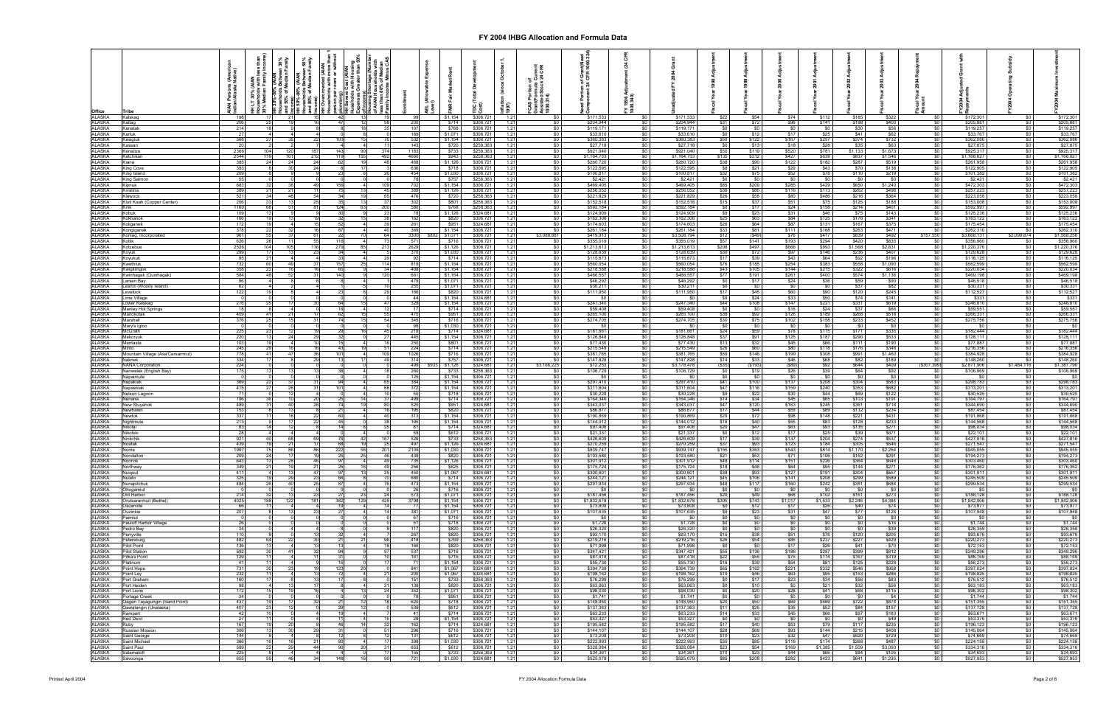| Office                                         | ons (Ame<br>ska Native                                    | ess than<br>y Incom | ween 30%<br>an Family |     | persor<br>plumb<br>HH Se       | Cost (AIAN<br>s with Housi |           |             | AEL (All<br>-evel) |                        | ق<br>Inflati<br>1997) |                                    |                          | 1996<br>1996<br>1996 |                             |                           |                           |                   |                           |                           |                             |                                                        |                             |                            |                                    |
|------------------------------------------------|-----------------------------------------------------------|---------------------|-----------------------|-----|--------------------------------|----------------------------|-----------|-------------|--------------------|------------------------|-----------------------|------------------------------------|--------------------------|----------------------|-----------------------------|---------------------------|---------------------------|-------------------|---------------------------|---------------------------|-----------------------------|--------------------------------------------------------|-----------------------------|----------------------------|------------------------------------|
| ALASKA<br>ALASKA<br>ALASKA<br>ALASKA<br>ALASKA | Kalskag<br>206<br>Kaltag                                  |                     |                       |     | $\overline{4}$<br>$\mathbf{A}$ |                            | 58        | 200         | \$1,154<br>\$714   | \$306,72<br>\$306,72   | 1.21<br>1.21          | <b>\$0</b><br>\$0                  | \$171,53<br>\$204.944    |                      | \$171,533<br>\$204,944      | \$22<br><b>\$31</b>       | \$54<br>\$72              | \$74<br>\$96      | \$112<br>\$141            | \$185<br>\$198            | \$322<br>\$400              | \$0                                                    | \$172,301<br>\$205,881      | SO 1<br>\$0                | \$172,301                          |
|                                                | Kanatak<br>27<br>Karluk                                   | 214                 |                       |     |                                |                            | 35        | 107<br>189  | \$768<br>\$1,071   | \$306,72<br>\$306,72   | 1.21<br>1.21          | $\frac{1}{20}$<br>$\frac{1}{2}$    | \$119.171<br>\$33,610    |                      | \$119,171<br>\$33,610       | \$0<br>\$0                | - SO<br>\$12              | \$0<br>\$17       | $\sqrt{50}$<br>\$25       | \$30<br>\$41              | \$56<br>\$62                | $\$0$<br>$\frac{1}{2}$                                 | \$119,257<br>\$33,767       | $\frac{1}{2}$<br>\$0       | \$205,881<br>\$119,257<br>\$33,767 |
|                                                | 568<br><u>Kasigluk</u>                                    |                     |                       |     |                                |                            |           | 532         | \$1,154            | \$306,72               | 1.21                  | \$0                                | \$360,383                |                      | \$360,383                   | \$50                      | \$122                     | \$167             | \$257                     | \$374                     | \$732                       | \$0                                                    | \$362,086                   | \$0                        | \$362,086                          |
| ALASKA                                         | assan<br>2366<br>(enaitze                                 | -20                 | 120                   |     | 143                            |                            | 374       | 143<br>1183 | \$720<br>\$733     | \$258,36<br>\$258,36   | 1.21<br>1.21          | <b>\$0</b><br>\$0                  | \$27,718<br>\$921,040    |                      | \$27,718<br>\$921,040       | <b>SO</b><br>\$50         | \$13<br>\$119             | \$18<br>\$520     | \$28<br>\$781             | \$35<br>\$1,133           | \$63<br>\$1,673             | \$0<br>\$0                                             | \$27,875<br>\$925,317       | \$0<br>\$0                 | \$27,875<br>\$925,317              |
| ALASKA<br>ALASKA<br>ALASKA                     | 2544<br>385<br><b>Ketchikan</b><br>Kiana                  |                     | 161<br>24             |     |                                | 165                        | 492<br>48 | 4660<br>468 | \$943<br>\$1,126   | \$258,36<br>\$306,72   | 1.21<br>1.21          | $rac{$0}{\$0}$                     | \$1,164,733<br>\$260,720 |                      | \$1,164,733<br>\$260,720    | \$135<br>\$38             | \$312<br>\$90             | \$427<br>\$122    | \$639<br>\$182            | $$837$<br>$$287$          | \$1,546<br>\$519            |                                                        | \$1,168,627<br>\$261,958    | 50<br>\$0                  | \$1,168,627<br>\$261,958           |
| <b>ALASKA</b><br><b>ALASKA</b>                 | 393<br>King Cove                                          |                     | 30 <sup>1</sup>       |     |                                |                            |           | 636         | \$718              | \$306,72               | 1.21                  | \$0                                | \$122,595<br>\$100,817   |                      | \$122,595                   | \$8                       | \$21<br>\$75              | \$29              | \$43                      | \$70                      | \$138                       |                                                        | \$122,905                   | \$0                        | \$122,905                          |
| ALASKA                                         | 209<br>King Island<br>King Salmon                         | 55                  |                       |     |                                |                            |           | 454         | \$1,030<br>\$757   | \$306,72<br>\$258,363  | 1.21<br>1.21          | \$0<br>\$0                         | \$2,421                  |                      | \$100,817<br>\$2,421        | \$32<br>\$0               | \$0                       | \$52<br>\$0       | \$78<br>\$0               | \$110<br>\$0              | \$219<br>\$0                |                                                        | \$101,382<br>\$2,421        | \$0<br>\$0                 | \$101,382<br>\$2,421               |
| ALASKA<br>ALASKA<br>ALASKA<br>ALASKA<br>ALASKA | 683<br>389<br>521<br>Cipnuk<br>Kivalina                   |                     | 211                   |     |                                |                            | 109<br>45 | 702<br>389  | \$1,154<br>\$1,126 | \$306,72<br>\$306,72   | 1.21<br>1.21          | \$0<br>$\frac{1}{20}$              | \$469,405<br>\$256,052   |                      | \$469,405<br>\$256,052      | \$85<br>\$36              | \$209<br>\$86             | \$285<br>\$116    | $$429$<br>$$173$          | $$650$<br>$$262$          | \$1,240<br>\$498            | <u>န္မာ</u><br>၁၁ - ၁၁ - ၁၁<br>၁၁ - ၁၁ - ၁၁ - ၁၁<br>၁၁ | \$472,303<br>\$257,223      | \$0<br>\$0                 | $$472,303$<br>$$257,223$           |
|                                                | <b>Klawock</b><br>206<br>Kluti Kaah (Copper Center)       |                     | 48                    |     |                                |                            | 65        | 476<br>302  | \$720<br>\$801     | \$258,363<br>\$258,363 | 1.21<br>1.21          | \$0<br>\$0                         | \$221,829<br>\$152,518   |                      | \$221,829<br>\$152,518      | \$26<br>\$15              | \$58<br>\$37              | \$80<br>\$51      | \$486<br>\$75             | \$216<br>\$125            | \$364<br>\$188              | \$0                                                    | \$223,058<br>\$153,008      | \$0<br>\$0                 | \$223,058<br>\$153,008             |
|                                                | 1160<br>Knik                                              |                     | 511                   |     | -124                           | 63                         | 200       | 580         | \$768              | \$258,363              | 1.21                  | \$0                                | \$592,184                |                      | \$592,184                   | - \$0                     | \$17                      | \$24              | \$158                     | \$214                     | \$401                       | $\frac{1}{2}$                                          | \$592,997                   | \$0                        | \$592,997                          |
| ALASKA<br><b>ALASKA</b>                        | 109<br><obuk<br>166<br/>okhanok</obuk<br>                 |                     |                       |     |                                |                            | 23        | -781<br>162 | \$1,126<br>\$820   | \$324,68'<br>\$306,72  | 1.21<br>1.21          | <b>\$0</b><br>\$0                  | \$124,909<br>\$162,306   |                      | \$124,909<br>\$162,306      | <b>\$9</b><br>\$25        | \$23<br>\$63              | \$31<br>\$84      | \$46<br>\$125             | \$75<br>\$178             | \$143<br>\$341              | $\frac{1}{2}$<br>$rac{1}{50}$                          | \$125,236<br>\$163,122      | <b>\$0</b><br>\$0          | \$125,236<br>\$163,122             |
| ALASKA<br>ALASKA<br>ALASKA                     | Koliganek<br>378<br>Kongiganak                            | 172                 |                       |     |                                |                            | 40        | 261<br>369  | \$951<br>\$1,154   | \$324,68<br>\$306,72   | 1.21<br>1.21          | $\frac{1}{20}$<br>\$0              | \$174,603<br>\$261,184   |                      | \$174,603<br>\$261,184      | \$26<br>\$33              | \$64<br>\$81              | \$87<br>\$111     | \$131<br>\$168            | \$167<br>\$263            | \$375<br><b>\$471</b>       | \$0                                                    | \$175,454<br>\$262,310      | \$0<br>\$0                 | \$175,454<br>\$262,31              |
|                                                | 961<br>Koniag, Incorporated                               |                     | 37                    |     | 116                            | 70                         | 64        | 3300<br>571 | \$1,071            | \$306,721              | 1.21                  | \$3,088,881                        | \$419,913                |                      | \$3,508,794                 | \$12                      | $($ \$49)                 | \$76              | \$417                     | \$839                     | \$492                       | \$157,550                                              | \$3,668,131                 | \$2,099,874                | \$1,568,256                        |
| ALASKA                                         | 626<br>Kotlik<br>2526<br>otzebue                          | 104                 | 11<br>105             |     | 279                            | 85                         | 73<br>213 | 2629        | \$716<br>\$1,126   | \$306,72<br>\$306,721  | 1.21<br>1.21          | $\frac{1}{2}$<br>\$0               | \$355,019<br>\$1,213,613 |                      | \$355,019<br>\$1,213,613    | \$57<br>\$208             | \$141<br>\$497            | \$193<br>\$666    | \$294<br>\$993            | \$420<br>\$1,568          | \$835<br>\$2,831            | $\frac{1}{2}$                                          | \$356,960<br>\$1,220,376    | \$0<br>50                  | \$356,960<br>\$1,220,37            |
|                                                | 299<br>oyuk<br>oyukuk                                     | 95                  |                       |     |                                |                            |           |             | \$1,030<br>\$714   | \$306,72<br>\$306,72   | 1.21<br>1.21          | \$0<br>\$0                         | \$128,63<br>\$115,673    |                      | \$128,639<br>\$115,673      | \$30<br>\$17              | \$72<br>\$39              | \$97<br>\$43      | \$146                     | \$236<br>\$92             | $$407$<br>$$196$            |                                                        | \$129,628<br>\$116,125      | \$0<br>\$0                 | \$129,62<br>\$116,125              |
| ALASKA<br>ALASKA<br>ALASKA<br>ALASKA<br>ALASKA | 732<br>(wethluk                                           | 358                 | 49                    |     |                                |                            | 114<br>34 | 819<br>408  | \$1,154<br>\$1,154 | \$306,72<br>\$306,72   | 1.21                  | $\frac{1}{2}$<br>\$0 <sub>1</sub>  | \$560,054<br>\$218,588   |                      | \$560,054<br>\$218,588      | \$76<br>\$43              | \$185<br>\$105            | \$254<br>\$144    | $$64$<br>$$383$<br>$$215$ | \$558<br>\$322            | \$1,090<br>\$616            |                                                        | \$562,599<br>\$220,034      | \$0<br>$\frac{1}{2}$       | \$562,599<br>\$220,034             |
| <b>ALASKA</b>                                  | Kwigillingok<br>584<br>Kwinhagak (Quinhagak               |                     | 52                    |     | 140                            |                            | 120       | 661         | \$1,154            | \$306,72               | 1.21<br>1.21          | $\frac{1}{2}$                      | \$466,557                |                      | \$466,557                   | \$77                      | \$191                     | \$261             | \$400                     | \$574                     | \$1,136                     | \$0                                                    | \$469,198                   | \$0                        | \$469,198                          |
| <b>ALASKA</b><br>ALASKA                        | arsen Bay<br>esnoi (Woody Island).                        | 96<br>62            |                       |     |                                |                            |           | 479<br>255  | \$1,071<br>\$1,071 | \$306,72<br>\$306,72   | 1.21<br>1.21          | <b>\$0</b><br><b>\$0</b>           | \$46,292<br>\$30,211     |                      | \$46,292<br>\$30,211        | <b>SO</b><br><b>SO</b>    | \$17                      | \$24<br>\$0       | \$36<br>\$0               | \$59<br>\$37              | \$90<br>\$82                | $\frac{$0}{$0}$                                        | \$46,518<br>\$30,331        | <b>\$0</b><br>\$0          | \$46,518<br>\$30,331               |
| <b>ALASKA</b><br><b>ALASKA</b>                 | 122<br>evelock<br>ime Village                             |                     |                       |     |                                |                            |           | 166<br>44   | \$820<br>\$1,154   | \$306,72<br>\$324,68   | 1.21<br>1.21          | \$0<br>\$0                         | \$111,950                |                      | \$111,950<br>\$0            | \$17<br>\$9               | \$45<br>\$24              | \$60<br>\$33      | \$90<br>\$50              | \$120<br>\$74             | \$245<br>\$141              | \$0                                                    | \$112,527<br>\$331          | \$0<br>\$0                 | \$112,527<br>\$331                 |
| <b>ALASKA</b>                                  | 276<br>ower.Kalskag                                       |                     |                       |     |                                |                            | 47        | 329         | \$1,154            | \$306,72               | 1.21                  | \$0                                | \$247,340                |                      | \$247,340                   | \$44                      | \$108                     | \$147             | \$221                     | \$331                     | \$619                       | $rac{$0]}{$0]}$                                        | \$248,810                   | $\frac{1}{2}$              | \$248,810                          |
| <b>ALASKA</b><br><b>ALASKA</b>                 | Manley Hot Springs<br>409<br>Manokotak                    | 18                  |                       |     |                                |                            | 12        | 17<br>475   | \$714<br>\$951     | \$306,72<br>\$306,72   | 1.21<br>1.21          | \$0<br>\$0                         | \$59,408<br>\$265,100    |                      | \$59,408<br>\$265,100       | \$0<br>\$38]              | $\overline{S}0$<br>\$92   | \$16<br>\$126     | \$24<br>\$189             | \$37<br>$$268$<br>$$233$  | \$66<br>$$518$<br>$$452$    | <u>မ္မာ ဆို</u><br>အစား                                | \$59,551<br>\$266,331       | \$0<br>\$0                 | \$59,551<br>\$266,33               |
| ALASKA                                         | 376<br>Vlarshall<br><i>A</i> ary's Igloc                  |                     |                       |     |                                |                            | 54        | 345         | \$716<br>\$1,030   | \$306,72<br>\$306,72   | 1.21<br>1.21          | \$0<br>\$0                         | \$274,705                |                      | \$274,705<br>-50            | \$30<br>\$0               | \$75                      | \$102             | \$158<br>\$0              |                           |                             |                                                        | \$275,756<br>\$0            | $\frac{1}{2}$<br>\$0       | \$275,756                          |
| ALASKA<br>ALASKA<br>ALASKA                     | $\frac{225}{220}$<br>IcGrath<br><b>Jekorvuk</b>           |                     | 24                    |     |                                |                            | 45<br>27  | 219<br>445  | \$714<br>\$1,154   | \$324,68<br>\$306.72   | 1.21<br>1.21          | $\frac{1}{20}$<br>$\frac{1}{20}$   | \$181,661<br>\$126,848   |                      | \$181,661<br>\$126,848      | \$24<br>\$37              | \$59<br>\$91              | \$78<br>\$125     | \$115<br>\$187            | $\frac{$0}{$171}$         | $\frac{$0}{$335}$<br>$$533$ |                                                        | \$182,444<br>\$128,111      | \$0<br>\$0                 | \$182,444<br>\$128,111             |
| ALASKA<br>ALASKA                               | 103<br>lentasta                                           |                     |                       |     |                                |                            |           | 250         | \$801              | \$306,72               | 1.21                  | $\frac{1}{2}$                      | \$77,430                 |                      | \$77,430                    | \$13                      | \$32                      | \$45              | \$66                      | \$290<br>\$111            | \$190                       | \$0                                                    | \$77,887                    | \$0                        | \$77,887                           |
| ALASKA                                         | 245<br>Viinto<br>778<br>Mountain Village (Asa'Carsarmiut) |                     | 47                    |     | 101                            |                            | 51<br>109 | 224<br>1026 | \$714<br>\$716     | \$306,72<br>\$306,72   | 1.21<br>1.21          | \$0<br><b>SO</b>                   | \$215,549<br>\$381,765   |                      | \$215,549<br>\$381,765      | \$26<br>\$59              | \$60<br>\$146             | \$80<br>\$199     | \$118<br>\$308            | \$176<br>\$991            | \$348<br>\$1,460            | \$0<br>\$0                                             | \$216,356<br>\$384,928      | <b>\$0</b>  <br><b>\$0</b> | \$216,356<br>\$384,928             |
| <b>ALASKA</b>                                  | 334<br>Jaknek<br>224<br><b>VANA Corporation</b>           |                     |                       |     |                                |                            | 49        | 314<br>499  | \$757<br>\$1,126   | \$306,72<br>\$324,68   | 1.21<br>1.21          | \$0<br>\$3,166,225                 | \$147,828<br>\$12,253    |                      | \$147,828<br>\$3,178,478    | \$14<br>(S35)             | \$33<br>( \$193]          | \$46<br>(S89)     | \$68<br>\$92              | \$82<br>\$644             | \$189<br>\$409              | SO I<br>(\$307,399)                                    | \$148,260<br>\$2,871,906    | <b>SO</b><br>\$1,484,116   | \$148,260<br>\$1,387,790           |
| ALASKA<br>ALASKA<br><b>ALASKA</b>              | 175<br>Nanwelek (English Bay)                             |                     |                       |     |                                |                            |           | 260<br>125  | \$733<br>\$1,154   | \$258,36<br>\$306,72   | 1.21<br>1.21          | \$0<br>\$0 <sub>1</sub>            | \$106,729<br>- SG        |                      | \$106,729<br>\$0            | SO I<br>\$0               | \$19<br>$^{\circ}$ so     | \$26              | \$39<br>$^{\circ}$ \$0    | \$64<br>- \$0 T           | \$92<br><b>SO</b>           | $\frac{1}{2}$                                          | \$106,969<br>\$0            | SO I<br>\$0                | \$106,969                          |
| ALASKA                                         | lapaimute<br>369<br>lapakiak                              |                     |                       |     |                                |                            | 65        | 384         | \$1,154            | \$306,72               | 1.21                  | \$0                                | \$297,410                |                      | \$297,410                   | \$41                      | \$100                     | \$137             | \$208                     | \$304                     | \$583                       | \$0                                                    | \$298,783                   | \$0                        | \$298,783                          |
| ALASKA<br>ALASKA                               | 415<br>Vapaskiak<br>lelson Lagoon                         | 71                  |                       |     | 101                            |                            | 68        | 372         | \$1,154<br>\$718   | \$306,72<br>\$306,72   | 1.21<br>1.21          | \$0<br>\$0                         | \$311,604<br>\$30,228    |                      | \$311,604<br>\$30,228       | \$47                      | \$116<br>\$22             | \$159<br>\$30     | \$240<br>\$44             | $$353$<br>$$69$           | \$682<br>\$122              | 888888                                                 | \$313,201<br>\$30,525       | 50<br>\$0                  | \$313,20<br>\$30,525               |
| <b>ALASKA</b>                                  | 196<br>Jenana<br>489<br><b>New Stuvahok</b>               |                     | 40                    |     |                                |                            | 80        | 499<br>525  | \$714<br>\$951     | \$306,72<br>\$324,68   | 1.21<br>1.21          | \$0<br>$\frac{1}{2}$               | \$164,346<br>\$343,037   |                      | \$164,346<br>\$343,037      | \$14<br>\$47              | \$34<br>\$120             | \$45<br>\$163     | $$65$<br>$$245$           | \$103<br>\$361            | \$191<br>\$718              |                                                        | \$164,797<br>\$344,690      | \$0<br>\$0                 | \$164,797<br>\$344,690             |
| ALASKA<br>ALASKA                               | 153<br>Newhalen                                           |                     |                       |     |                                |                            |           | 195         | \$820              | \$306,72               | 1.21                  | 50 <sup>1</sup>                    | \$86,877                 |                      | \$86,877                    | \$17                      | \$44                      | \$59              | \$89                      | \$132                     | \$234                       |                                                        | \$87,454                    | \$0                        | \$87,454                           |
| <b>ALASKA</b><br><b>ALASKA</b>                 | 337<br>Newtok<br>213<br>Vightmute                         |                     |                       |     | $\mathbf{A}^{\mathbf{F}}$      |                            | 40        | 313<br>195  | \$1,154<br>\$1,154 | \$306,72<br>\$306,72   | 1.21<br>1.21          | $\frac{1}{2}$<br>\$0               | \$190,869<br>\$144,012   |                      | \$190,869<br>\$144,012      | \$29<br>\$16              | \$72                      | \$98<br>\$55      | \$148<br>\$83             | \$221<br>\$128            | \$431<br>\$233              | $\frac{1}{2}$                                          | \$191,868<br>\$144,568      | \$0<br><b>\$0</b>          | \$191,868<br>\$144,568             |
| ALASKA<br><b>ALASKA</b>                        | Nikolai<br>Nikolski                                       | 83<br>28            |                       |     |                                |                            |           | 81          | \$714<br>\$612     | \$324,68<br>\$306,72   | 1.21<br>1.21          | <b>\$0</b><br>\$0                  | \$97,406<br>\$21,337     |                      | \$97,406<br>\$21,337        | <b>\$20</b><br>\$0        | $\frac{$40}{$47}$<br>\$12 | \$63<br>\$17      | \$93<br>\$25              | \$135<br>\$39             | \$271<br>\$671              | $rac{$0}{$0}$<br>\$0                                   | \$98,034<br>\$22,101        | \$0<br>\$0                 | \$98,034<br>\$22,101               |
| <b>ALASKA</b>                                  | Ninilchik                                                 | 921                 |                       |     |                                |                            | 167       | 526         | \$733              | \$258,36               | 1.21                  | \$0                                | \$426,609                |                      | \$426,609                   | \$17                      | \$39                      | \$137             | \$204                     | \$274                     | \$537                       | $rac{$0}{$0}$                                          | \$427,816                   | 50                         | \$427,816                          |
| <b>ALASKA</b><br><b>ALASKA</b>                 | 439<br>Noatak<br>1997<br>Nome                             |                     | 21<br>86<br>75        |     | 222                            | 56                         | 25<br>201 | 497<br>2106 | \$1,126<br>\$1,030 | \$324,68<br>\$306,721  | 1.21<br>1.21          | $\frac{1}{2}$<br>$\frac{1}{20}$    | \$270,259<br>\$939,747   | \$0                  | \$270,259<br>\$939,747      | \$37<br>\$155             | \$93<br>\$363             | \$123<br>\$543    | \$184<br>\$814            | \$305<br>\$1,170          | \$546<br>\$2,264            | \$0                                                    | \$271,547<br>\$945,055      | \$0<br>50                  | \$271,547<br>\$945,055             |
| ALASKA<br>ALASKA                               | Nondalton<br>643<br>Noorvik                               |                     |                       |     |                                |                            | 46<br>49  | 439<br>735  | \$820<br>\$1,126   | \$306,721<br>\$306,721 | 1.21<br>1.21          | \$0<br>\$0                         | \$193,580<br>\$301,912   |                      | \$193,580<br>\$301,912      | \$21<br>\$48              | \$114                     | \$151             | \$106<br>\$226            | \$152<br>\$364            | \$291<br>\$646              | \$0<br>\$0                                             | \$194,273<br>\$303,460      | \$0                        | \$194,273<br>\$303,460             |
| ALASKA<br>ALASKA                               | 349<br>Northway<br>411<br>Nuigsut                         |                     |                       |     |                                |                            | 49<br>25  | 256<br>450  | \$625<br>\$1,067   | \$306,721<br>\$324,681 | 1.21<br>1.21          | \$0<br>$\frac{1}{20}$              | \$175,724<br>\$300,601   |                      | \$175,724<br>\$300,601      | \$18<br>\$38              | \$46<br>\$93              | \$64<br>\$127     | $\frac{$95}{$191}$        | \$144<br>\$304            | $$271$<br>$$557$            | \$0<br>\$0 <sub>1</sub>                                | \$176,362<br>\$301,911      | \$0<br>\$0                 | \$176,362<br>\$301,911             |
| ALASKA                                         | Nulato                                                    | 325                 | 29                    |     | 66                             |                            | 70        | 680         | \$714              | \$306,721              | 1.21                  | $\frac{1}{20}$                     | \$244.121                | - \$0                | \$244.121                   | \$45                      | \$106                     | \$141             | \$208                     | \$299                     | \$589                       | $\sqrt{50}$                                            | \$245,509                   | \$0                        | \$245,509                          |
| ALASKA<br>ALASKA                               | Nunapitchuk<br>Ohogamiut                                  | 484                 | 40                    |     |                                |                            |           | 473<br>-261 | \$1,154<br>\$716   | \$306,721<br>\$306,721 | 1.21<br>1.21          | <b>\$0</b><br>- SO 1               | \$297,934<br>- 50        |                      | \$297,934<br>- 50           | \$48<br>- \$0             | \$117<br>- \$0            | \$160<br>- 30     | \$242<br>- \$0            | \$351<br><b>SO</b>        | \$684<br><b>SO</b>          | $\frac{1}{20}$<br><b>\$0</b>                           | \$299,534<br><b>\$0</b>     | \$0<br><b>\$0</b>          | \$299,534<br>- SO                  |
| ALASKA<br>ALASKA                               | Old Harbor<br>4025<br>Orutsararmuit (Bethel)              | 214<br>188          | 13<br>122             | 181 | -382                           | 23<br>129                  | 24<br>425 | 573<br>3798 | \$1,071<br>\$1,154 | \$306,721<br>\$306,721 | 1.21<br>1.21          | <b>SO</b> I<br>SO I                | \$187,456<br>\$1,832,678 |                      | \$187,456<br>\$1,832,678    | \$20<br>\$305             | \$49<br>\$743             | \$68<br>\$1,017   | \$102<br>\$1,533          | \$161<br>\$2,246          | \$273<br>\$4.384            | <b>SO</b><br>\$0                                       | \$188,128<br>\$1,842,906    | <b>\$0</b><br>\$0          | \$188,128<br>\$1,842,906           |
| ALASKA                                         | Oscarville                                                | 66                  |                       |     |                                |                            |           | <b>771</b>  | \$1,154            | \$306,721              | 1.21                  | SO I                               | \$73,808                 |                      | \$73,808                    | <b>\$0</b>                | \$12                      | \$17              | \$26                      | \$40                      | \$74                        | SO I                                                   | \$73,977                    | \$0                        | \$73,977                           |
| <b>ALASKA</b><br>ALASKA                        | 207<br>Ouzinkie<br>Paimiut                                |                     | 13 <sup>1</sup>       |     |                                |                            | 14        | 381<br>67   | \$1.071<br>\$716   | \$306,721<br>\$306,721 | 1.21<br>1.21          | $\frac{1}{20}$<br>\$0 <sub>1</sub> | \$107,635<br>- SO        | <b>SO</b>            | \$107,635<br>$\mathbb{S}^0$ | <b>\$9</b><br>\$0         | \$23<br>$^{\circ}$ so     | \$31<br>\$0       | \$47<br>$\sqrt{50}$       | \$77<br>50                | \$126<br>$\frac{1}{20}$     | SO<br>\$0                                              | \$107,948<br>$\mathbb{S}^0$ | SO I<br>$\frac{1}{20}$     | \$107,948<br><b>SO</b>             |
| <b>ALASKA</b><br><b>ALASKA</b>                 | Pauloff Harbor Village<br>Pedro Bay                       | 26<br>34            |                       |     |                                |                            |           | 51<br>117   | \$718<br>\$820     | \$306,721<br>\$306,721 | 1.21<br>1.21          | $\frac{1}{20}$<br>\$0              | \$1,728<br>\$26,320      |                      | \$1,728<br>\$26,320         | \$0<br><b>\$0</b>         |                           | \$0<br>\$0        | \$0<br>\$0                | - \$0<br>\$0              | \$16<br>\$39                | $\frac{1}{20}$<br>$\frac{1}{20}$                       | \$1,744<br>\$26,359         | \$0<br>\$0                 | \$1,744<br>\$26,359                |
| ALASKA<br><b>ALASKA</b>                        | erryville<br>482                                          | 110                 |                       |     |                                |                            | 96        | 267         | \$820 l            | \$306,721              | 1.21                  | 50 <sub>1</sub><br>$\frac{1}{20}$  | \$93,170                 |                      | \$93,170                    | <b>\$15  </b>             | \$38<br>\$54              | \$51<br>\$85      | \$76<br>\$237             | \$120<br>\$227            | \$205<br>\$429              | \$0<br>\$0                                             | \$93,676<br>\$220,273       | $\frac{1}{2}$<br>\$0       | \$93,676                           |
| <b>ALASKA</b>                                  | Petersburg<br>Pilot Point                                 | 136                 |                       |     |                                |                            | -18       | 418<br>160  | \$769<br>\$820     | \$258,363<br>\$306,721 | 1.21<br>1.21          | $\frac{1}{20}$                     | \$219,216<br>\$71,998    |                      | \$219,216<br>\$71,998       | \$26<br>SO I              | - SO                      | \$17              | \$26                      | \$41                      | \$70                        | $\frac{1}{2}$                                          | \$72.153                    | \$0                        | \$220,273<br>\$72,153              |
| ALASKA<br>ALASKA                               | <b>Pilot Station</b><br>592<br>129<br>Pitka's Point       |                     | 41<br>-41             |     |                                |                            | 97<br>101 | 537<br>161  | \$716<br>\$716     | \$306,72<br>\$306,721  | 1.21<br>1.21          | $\frac{1}{20}$<br><b>\$0</b>       | \$347.421<br>\$87,418    | - \$0                | \$347,421<br>\$87,418       | \$55<br>\$22              | \$136<br>\$55             | \$186<br>\$75     | \$287<br>\$114            | \$399<br>\$167            | \$812<br>\$319              | $\$0$<br><b>SO</b> 1                                   | \$349,296<br>\$88,169       | $\frac{1}{2}$<br>\$0       | \$349,296<br>\$88,169              |
| ALASKA                                         | Platinum                                                  | 41<br>731           | 41<br>23              |     | 15<br>123                      | 20                         | 17        | - 71<br>841 | \$1,154<br>\$1,067 | \$306,721<br>\$324,681 | 1.21                  | SO 1                               | \$55,730<br>\$394,739    |                      | \$55,730<br>\$394,739       | <b>S16</b><br><b>\$65</b> | \$39<br>\$162             | \$54<br>\$221     | \$81<br>\$332             | \$125<br>\$546            | \$228<br>\$958              | $\$0$                                                  | \$56,273<br>\$397,024       | <b>\$0</b><br><b>\$0</b>   | \$56,273<br>\$397,024              |
| ALASKA<br>ALASKA                               | Point Hope<br>Point Lay                                   | 232                 |                       |     |                                |                            | 21        | 200         | \$1,067            | \$324,681              | 1.21<br>1.21          | <b>SO</b> I<br>SO I                | \$198,162                |                      | \$198,162                   | \$19                      | \$46                      | \$63              | \$95                      | \$153                     | \$286                       | <b>SO</b> 1<br>$\frac{1}{2}$                           | \$198,825                   | \$0                        | \$198,825                          |
| <b>ALASKA</b><br><b>ALASKA</b>                 | Port Graham<br>Port Heiden                                | 160<br>98           | 13                    |     |                                |                            | 21        | 151<br>139  | \$733<br>\$820     | \$258,363<br>\$306,721 | 1.21<br>1.21          | $\frac{1}{20}$<br>$\frac{1}{20}$   | \$76,299<br>\$63,063     | <b>SO</b>            | \$76,299<br>\$63,063        | \$0<br>\$0                | \$17<br>\$10              | \$23<br><b>SO</b> | \$34<br>\$21              | \$56<br>\$32              | \$83<br>\$56                | $\frac{1}{2}$<br>$\frac{1}{20}$                        | \$76.512<br>\$63.183        | \$0<br>\$0                 | \$76.512<br>\$63,183               |
| <b>ALASKA</b><br>ALASKA                        | Port Lions<br>Portage Creek                               | 172<br>34           | 10                    |     |                                | 13                         | 24        | 352<br>- 78 | \$1,071<br>\$951   | \$306,721<br>\$306,721 | 1.21<br>1.21          | $\frac{1}{20}$<br>$\frac{1}{20}$   | \$98,030<br>\$1,741      | \$0                  | \$98,030<br>\$1,741         | \$0<br>\$0                | \$20                      | \$28<br>\$0       | \$41<br>$\frac{1}{20}$    | \$68]<br>\$0 <sub>1</sub> | \$115<br>\$4                | $\frac{1}{2}$                                          | \$98,302<br>\$1,744         | $\frac{1}{2}$<br>\$0       | \$98,302<br>\$1,744                |
| ALASKA                                         | Qagan Tayagungin (Sand Point)                             | 437                 |                       |     |                                |                            | 18        | 620         | \$718              | \$306,721              | 1.21                  | \$0                                | \$148,950                |                      | \$148,950                   | \$20                      | \$50                      | \$69              | \$669                     | \$722                     | \$874                       | $rac{1}{50}$                                           | \$151,355                   | \$0                        | \$151,355                          |
| <b>ALASKA</b><br>ALASKA                        | 407<br>Qawalangin (Unalaska)<br>Rampart                   | 42                  |                       |     |                                |                            |           | 539<br>-41  | \$612<br>\$714     | \$306,721<br>\$306,721 | 1.21<br>1.21          | \$0<br>50 <sub>1</sub>             | \$137,363<br>\$63,233    |                      | \$137,363<br>\$63,233       | \$11<br>\$14              | \$25<br>\$33              | \$35<br>\$45      | $\frac{$52}{$66}$         | \$84<br>\$97              | \$157<br>\$183              | $\frac{$0}{$0}$                                        | \$137,728<br>\$63,671       | \$0<br>\$0                 | \$137,728<br>\$63,671              |
| <b>ALASKA</b><br>ALASKA                        | Red Devil<br>167<br>Ruby                                  | 27                  | 20                    |     | - 11<br><b>46</b>              | 141                        | 15<br>32  | 28<br>162   | \$1.154<br>\$714   | \$306.721<br>\$324,681 | 1.21<br>1.21          | $\frac{1}{20}$<br>\$0              | \$53,327<br>\$195,582    | - \$0                | \$53,327<br>\$195,582       | SO I<br>\$17              | \$0<br>\$40               | \$0<br>\$53       | \$0<br>\$79               | SO I<br>\$117             | \$49<br>\$235               | $\frac{1}{2}$<br>\$0                                   | \$53,376<br>\$196,123       | \$0<br>\$0                 | \$53,376<br>\$196,123              |
| ALASKA                                         | Russian Mission                                           | 306<br>144          | 30                    |     |                                |                            | 51<br>-12 | 296<br>131  | \$716<br>\$612     | \$306,721<br>\$306,721 | 1.21                  | <b>SO</b> I                        | \$144,107                |                      | \$144,107                   | \$28<br>\$10              | \$68<br>\$23              | \$93<br>\$32      | \$144<br><b>\$47</b>      | \$215                     | \$408                       | - \$0                                                  | \$145,064<br>\$74,669       | <b>\$0</b>                 | \$145,064<br>\$74,669              |
| ALASKA<br>ALASKA                               | Saint George<br>366<br>Saint Michael                      |                     | 16                    |     |                                |                            |           | 399         | \$1,030            | \$306,721              | 1.21<br>1.21          | <b>SO</b> I<br>SO I                | \$73,208<br>\$222,993    |                      | \$73,208<br>\$222,993       | \$35                      | \$85                      | \$116             | \$174                     | \$620<br>\$268            | \$729<br>\$487              | <b>SO</b> 1<br>SO I                                    | \$224,158                   | <b>\$0</b><br>\$0          | \$224,158                          |
| ALASKA<br><b>ALASKA</b>                        | 589<br>Saint Paul<br>Salamatoff                           | 225                 | 29<br>$\overline{4}$  |     | ar                             | 20                         | 31<br>17  | 653<br>155  | \$612<br>\$733     | \$306,72<br>\$258,363  | 1.21<br>1.21          | SO I<br>$\frac{1}{20}$             | \$328,084<br>\$34.361    | \$0<br>\$0           | \$328,084<br>\$34.361       | \$23<br>\$10              | \$54<br>\$23              | \$169<br>\$44     | \$1,385<br>\$66           | \$1,509<br>\$84           | \$3,093<br>\$105            | SO I<br>$\sqrt{50}$                                    | \$334,316<br>\$34.693       | \$0<br>\$0                 | \$334,316<br>\$34,693              |
| ALASKA                                         | Savoonga                                                  | 655                 | 46<br>55              |     | 148                            | 16                         | 90        | 721         | \$1,030            | \$324,681              | 1.21                  | \$0                                | \$525,079                | \$0                  | \$525,079                   | \$85                      | \$208                     | \$282             | \$423                     | \$641                     | \$1,235                     | $\$0$                                                  | \$527,953                   | \$0                        | \$527,953                          |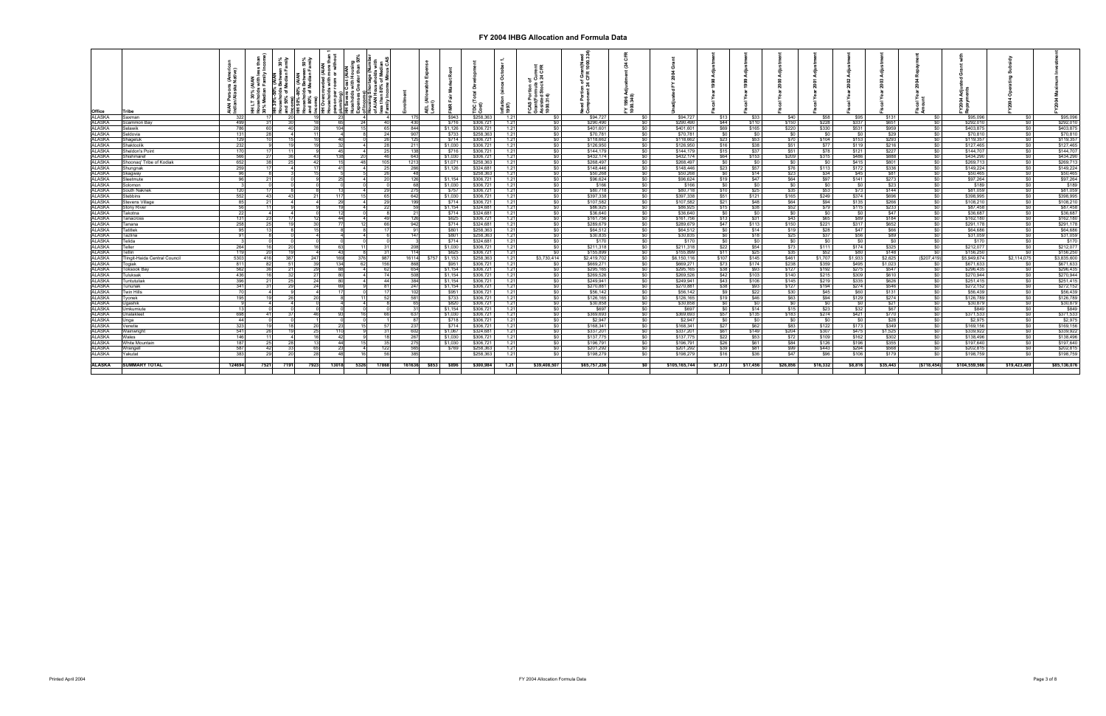| Office                  | Tribe                         |        | 30% (AIAN<br>holds with I<br>н. | en 30%<br>Family | 50%<br>amily | AIAN<br>more<br>or witl<br>nouaanion<br>person pe<br>plumbing<br>HH Sever<br>-23 | မွာ မီ |       |              | AEL (A)<br>Level) | \$943              | \$258,363              | 1.21         |              | \$94,727               |                   | \$94,727      | \$13           | \$33       | \$40           | \$58     | \$95           | \$131        |                       | \$95,09                | SO <sub>1</sub>  | \$95,096               |
|-------------------------|-------------------------------|--------|---------------------------------|------------------|--------------|----------------------------------------------------------------------------------|--------|-------|--------------|-------------------|--------------------|------------------------|--------------|--------------|------------------------|-------------------|---------------|----------------|------------|----------------|----------|----------------|--------------|-----------------------|------------------------|------------------|------------------------|
| <u>ALASKA</u><br>ALASKA | Saxman                        | - 322  |                                 |                  |              |                                                                                  |        |       |              |                   |                    |                        |              |              |                        | - SO 1            |               |                |            |                |          |                |              |                       |                        |                  |                        |
|                         | Scammon Bav                   | 499    | 31                              |                  |              | 65                                                                               |        |       | 430          |                   | \$716              | \$306,721              | 1.21         | SO.          | \$290,490              | SO I              | \$290.490     | \$44           | \$110      | \$150          | \$228    | \$337          | <b>\$651</b> | so l                  | \$292.01               | $\overline{50}$  | \$292,010              |
| ALASKA                  | ielawik                       |        | 60L                             |                  |              | 104                                                                              |        |       | 844          |                   | \$1,126            | \$306,721              | 1.21         |              | \$401,601              | $$^{6}$           | \$401,601     | \$69           | \$165      | \$220          | \$330    | \$531          | \$959        | 50 <sup>1</sup>       | \$403,87               | SO               | \$403,875              |
| ALASKA                  | ieldovia                      | 131    | 28                              |                  |              |                                                                                  |        | 24    | 907          |                   | \$733              | \$258,363              | 1.21         | \$0          | \$70,781               | \$0               | \$70,781      | \$0            | <b>\$0</b> | \$0            | \$0      | \$0            | \$29         | - \$0                 | \$70,810               | \$0              | \$70,810               |
| ALASKA                  | hageluk                       | 129    |                                 |                  |              | 40                                                                               |        |       | 125          |                   | \$714              | \$306,721              | 1.21         |              | \$118,662              | \$0               | \$118,662     | \$23           | \$53       | \$70           | \$104    | \$153          | \$293        | so I                  | \$119,357              | \$0              | \$119,357              |
|                         |                               |        |                                 |                  |              |                                                                                  |        |       | 211          |                   |                    |                        |              |              |                        |                   |               |                |            |                |          |                |              | SO I                  |                        |                  | \$127,465              |
| ALASKA                  | haktoolik                     |        |                                 |                  |              | -32                                                                              |        |       |              |                   | \$1,030            | \$306,721              | 1.21         |              | \$126,950              | SO I              | \$126,950     | \$16           | \$38       | \$51           | \$77     | \$119          | \$216        |                       | \$127,465              | \$0              |                        |
| <b>ALASKA</b>           | heldon's Point                |        |                                 |                  |              | 45                                                                               |        |       | 138          |                   | \$716              | \$306,721              | 1.21         |              | \$144,179              | <b>SO</b>         | \$144,179     | \$15           | \$37       | \$51           | \$78     | \$121          | \$227        | $\overline{50}$       | \$144,707              | $\overline{50}$  | \$144,707              |
| ALASKA                  | hishmaref                     |        |                                 |                  |              | 138                                                                              |        |       | 643          |                   | \$1,030            | \$306.721              | 1.21         |              | \$432.174              | \$0               | \$432,174     | \$64           | \$153      | \$209          | \$315    | \$486          | \$888        | $\overline{50}$       | \$434.290              | $\sqrt{50}$      | \$434,290              |
| <b>ALASKA</b>           | Shoonaq' Tribe of Kodiak      | 652    | 38                              |                  |              |                                                                                  |        |       | 1213         |                   | \$1,071            | \$258,363              | 1.21         | SO.          | \$268,497              | \$0               | \$268,497     | \$0            | \$0        | \$0            | \$0      | \$415          | \$801        | $\frac{1}{20}$        | \$269,713              | <b>\$0</b> 1     | \$269,713              |
| ALASKA<br>ALASKA        | hungnak                       | 259    |                                 |                  |              | 41                                                                               |        | 25    | 266          |                   | \$1,126            | \$324,681              | 1.21         | \$0          | \$148,446              | - \$0             | \$148,446     | \$23           | \$57       | \$76           | \$113    | \$172          | \$336        | so I                  | \$149,224              | \$0              | \$149,224              |
|                         | ;kagway                       |        |                                 |                  |              |                                                                                  |        |       | - 48         |                   |                    | \$258,363              | 1.21         |              | \$50,268               | <b>\$0</b>        | \$50,268      | <b>\$0</b> I   | \$14       | <b>\$23</b> I  | \$34     | \$45           | \$81         | - SO 1                | \$50,465               | <b>\$0</b> I     | \$50,465               |
| ALASKA                  | eetmute                       |        | 21                              |                  |              |                                                                                  |        |       | 126          |                   | \$1,154            | \$306,721              | 1.21         |              | \$96,624               | <b>\$0</b>        | \$96,624      | \$19           | \$47       | \$64           | \$97     | \$141          | \$273        | $\frac{1}{20}$        | \$97,264               | \$0              | \$97,264               |
| ALASKA                  | olomon                        |        |                                 |                  |              |                                                                                  |        |       |              |                   | \$1,030            | \$306,721              | 1.21         |              | \$166                  | SO I              |               | \$0            | \$0        | \$0            | \$0      | $\frac{1}{20}$ |              | SO I                  |                        | so I             | \$189                  |
|                         |                               |        |                                 |                  |              |                                                                                  |        |       |              |                   | \$757              |                        |              |              |                        |                   | \$166         |                |            |                |          | \$73           | \$23         |                       | \$189                  |                  | \$81,059               |
| ALASKA                  | <b>South Naknek</b>           |        |                                 |                  |              |                                                                                  |        |       |              |                   |                    | \$306,721              | 1.21         |              | \$80,718               | <b>SO</b> I       | \$80,718      | \$10           | \$25       | \$35           | \$53     |                | \$144        | so i                  | \$81,059               | \$0              |                        |
| ALASKA                  | itebbins                      | 552    | 43                              |                  |              | 117                                                                              |        | 65    | 642          |                   | \$1,030            | \$306,72               | 1.21         | SO.          | \$397,338              | \$0               | \$397,338     | \$51           | \$121      | \$165          | \$249    | \$374          | \$696        | $\frac{1}{30}$        | \$398,995              | SO I             | \$398,995              |
| <b>ALASKA</b>           | tevens Village                |        | -21                             |                  |              |                                                                                  |        |       |              |                   | \$714              | \$306,72               | 1.21         |              | \$107,582              | <b>SO</b>         | \$107,582     | \$21           | \$48       | \$64           | \$94     | \$135          | \$266        | $\overline{50}$       | \$108,210              | SO I             | \$108,210              |
| ALASKA                  | itony River                   |        | 11                              |                  |              |                                                                                  |        |       |              |                   | \$1,154            | \$324,681              | 1.21         |              | \$86,925               | \$0               | \$86,925      | \$15           | \$38       | \$52           | \$79     | \$115          | \$233        | \$0                   | \$87,458               | \$0              | \$87,458               |
| ALASKA                  | Takotna                       |        |                                 |                  |              |                                                                                  |        |       | - 21         |                   | \$714              | \$324,681              | 1.21         | SO.          | \$36,640               | <b>\$0</b>        | \$36,640      | <b>\$0</b> I   | <b>\$0</b> | \$0            | \$0      | \$0            | \$47         | - \$0 l               | \$36,687               | \$0              | \$36,687               |
|                         | <b>Tanacross</b>              | 131    | 23                              |                  |              | 44                                                                               |        | 49    | 126          |                   | \$625              | \$306,721              | 1.21         |              | \$161,756              | <b>\$0</b>        | \$161,756     | \$13           | \$31       | \$43           | \$65     | \$89           | \$184        | $\frac{1}{20}$        | \$162,180              | $\frac{1}{20}$   | \$162,180              |
| <u>ALASKA</u><br>ALASKA | Tanana                        | 258    | 25                              |                  |              |                                                                                  |        | - 66  | 942          |                   | \$714              | \$324.68               | 1.21         | SO.          | \$289,679              | <b>SO</b>         | \$289,679     | S47            | \$113      | \$150          | \$221    | \$317          | \$652        | SO I                  | \$291.178              | $\overline{50}$  | \$291,178              |
| ALASKA                  | Tatitlek                      |        |                                 |                  |              |                                                                                  |        |       |              |                   | \$801              | \$258,363              | 1.21         |              | \$64,512               | \$0               | \$64,512      | $\frac{1}{2}$  | \$14       | <b>\$19</b>    | \$28     | \$47           | \$66         | 50 <sup>1</sup>       | \$64,686               | $\frac{1}{20}$   | \$64,686               |
| ALASKA                  | Tazlina                       |        |                                 |                  |              |                                                                                  |        |       | 147          |                   | \$801              | \$258,363              | 1.21         |              | \$30,835               | \$0               | \$30,835      | $\frac{1}{2}$  | \$18       | \$25           | \$37     | \$56           | \$89         | 50                    | \$31,059               | \$0              | \$31,059               |
| ALASKA                  | Telida                        |        |                                 |                  |              |                                                                                  |        |       |              |                   | \$714              | \$324,68               | 1.21         | \$0          | \$170                  | \$0               | \$170         | \$0            | \$0        | \$0            | \$0      | \$0            | \$0          | so I                  | \$170                  | \$0              | \$170                  |
| ALASKA                  | Teller                        | 264    |                                 |                  |              |                                                                                  |        |       | 208          |                   | \$1,030            | \$306,72               | 1.21         | SO.          | \$211,318              | \$0               | \$211,318     | \$22           | \$54       | \$73           | \$111    | \$174          | \$325        | \$0                   | \$212,077              | SO I             | \$212,077              |
| ALASKA                  | Гetlin                        |        | <b>20</b>                       |                  |              | - 43                                                                             |        |       | 114          |                   | \$625              | \$306,721              | 1.21         |              | \$155,899              | - SO 1            | \$155,899     | \$11           | \$25       | \$35           | \$52     | <b>\$80</b>    | \$148        | SO.                   | \$156,250              | SO I             | \$156,250              |
| ALASKA                  | Tlingit-Haida Central Council | 530    | 416                             |                  | 247          | 169                                                                              |        | 987   | 16114        | \$757 \$1,153     |                    | \$258,363              | 1.21         | \$3,730,414  | \$2,419,702            | SO I              | \$6,150,116   | \$107          | \$145      | \$461          | \$1,707  | \$1,933        | \$2.625      | (S207.419)            | \$5,949.674            | \$2,114,075      | \$3,835,600            |
| ALASKA                  | Togiak                        | 811    | 82                              |                  |              | 134                                                                              |        | 156   | 868          |                   | \$951              | \$306,721              | 1.21         |              | \$669,271              | SO I              | \$669,271     | \$73           | \$174      | \$238          | \$359    | \$495          | \$1.023      | <b>SO</b>             | \$671,633              | \$0 <sub>1</sub> | \$671,633              |
| ALASKA                  | <b>Toksook Bay</b>            | 562    | 36                              |                  |              |                                                                                  |        |       | 654          |                   | \$1,154            | \$306,721              | 1.21         |              | \$295,165              | \$0               | \$295,165     | \$38           | \$93       | \$127          | \$192    | \$275          | \$547        | $\frac{1}{2}$         | \$296,435              | 50               | \$296,435              |
| ALASKA                  |                               | 436    | 16                              |                  |              | 80                                                                               |        |       |              |                   |                    |                        |              |              |                        |                   |               |                |            |                |          |                |              |                       |                        |                  |                        |
| ALASKA                  | <b>Tuluksak</b><br>untutuliak |        | 21                              |                  | -271<br>24   |                                                                                  |        | 44    | 508<br>384   |                   | \$1,154<br>\$1,154 | \$306,721<br>\$306,721 | 1.21<br>1.21 | \$0          | \$269,526<br>\$249,941 | <b>\$0</b><br>\$0 | \$269,526     | \$42           | \$103      | \$140<br>\$145 | \$215    | \$309          | \$610        | - \$0 l<br>so I       | \$270,944<br>\$251,415 | \$0<br>\$0       | \$270,944<br>\$251,415 |
|                         |                               |        |                                 |                  |              |                                                                                  |        | 81    | 247          |                   |                    |                        |              |              |                        |                   | \$249,941     | \$43           | \$106      |                | \$219    | \$335          | \$626        |                       |                        |                  |                        |
| ALASKA                  | Tununak                       | 341    | 31                              |                  | 24           |                                                                                  |        |       | $10^{\circ}$ |                   | \$1,154            | \$306,721              | 1.21         |              | \$270,881              | <b>SO</b>         | \$270,881     | \$38           | \$93       | \$127          | \$194    | \$274          | \$546        | SO I                  | \$272,152              | \$0 <sub>1</sub> | \$272,152              |
| <b>ALASKA</b>           | Twin Hills                    |        |                                 |                  |              |                                                                                  |        |       |              |                   | \$951              | \$306,721              | 1.21         |              | \$56,142               | - SO 1            | \$56,142      | \$9            | \$22       | \$30 l         | \$45     | \$60           | \$131        | SO I                  | \$56,439               | \$0              | \$56,439               |
| <u>ALASKA</u><br>ALASKA | Tvonek                        |        |                                 |                  |              |                                                                                  |        |       | 581          |                   | \$733              | \$306,721              | 1.21         |              | \$126,165              | SO I              | \$126,165     | \$19           | \$46       | \$63           | \$94     | \$129          | \$274        | $\overline{\text{S}}$ | \$126,789              | $\frac{1}{20}$   | \$126,789              |
|                         | Jgashik                       |        |                                 |                  |              |                                                                                  |        |       |              |                   | \$820              | \$306,72               | 1.21         | SO.          | \$30,858               | \$0               | \$30,858      | $\frac{1}{20}$ | - 30       | \$0            | \$0      | $\frac{1}{2}$  | \$21         | $\overline{\text{S}}$ | \$30,879               | \$0              | \$30,879               |
| ALASKA<br>ALASKA        | Umkumiute                     |        |                                 |                  |              |                                                                                  |        |       | 31           |                   | \$1.154            | \$306,721              | 1.21         | \$0          | \$697                  | \$0               | \$697         | \$0            | \$14       | \$15           | \$23     | \$32           | \$67         | \$0                   | \$849                  | \$0              | \$849                  |
|                         | Jnalakleet                    |        | 41                              |                  | 46           |                                                                                  |        |       | 637          |                   | \$1,030            | \$306,72               | 1.21         |              | \$369,693              | - \$0             | \$369,693     | \$57 I         | \$135      | \$183          | \$274    | \$421          | \$770        | <b>SO</b> I           | \$371,533              | 50               | \$371,533              |
| ALASKA                  | Jnaa                          | -44    |                                 |                  |              |                                                                                  |        |       | -87          |                   | \$718              | \$306,721              | 1.21         |              | \$2,947                | <b>\$0</b>        | \$2,947       | \$0            | <b>SO</b>  | \$0            | \$0      | \$0            | \$28         | $\frac{1}{20}$        | \$2,975                | \$0              | \$2,975                |
| ALASKA                  | /enetie                       | 32     |                                 |                  |              | -23                                                                              |        |       | 237          |                   | \$714              | \$306,72               | 1.21         | SO.          | \$168,341              | - \$0             | \$168,341     | \$27           | \$62       | \$83           | \$122    | \$173          | \$349        | so I                  | \$169,156              | so I             | \$169,156              |
| ALASKA                  | Wainwright                    | 541    | 261                             |                  |              | 110                                                                              |        |       | 602          |                   | \$1,067            | \$324,681              | 1.21         |              | \$337,201              | <b>\$0</b>        | \$337,201     | \$61           | \$149      | \$204          | \$307    | \$475          | \$1,525      | 50 <sup>1</sup>       | \$339,922              | \$0              | \$339,922              |
| <b>ALASKA</b>           | Wales                         |        | 11                              |                  |              | -42                                                                              |        |       | 267          |                   | \$1,030            | \$306,72               | 1.21         | SO.          | \$137,775              | \$0               | \$137,775     | \$22           | \$53       | \$72           | \$109    | \$162          | \$302        | $\frac{1}{30}$        | \$138,496              | $\overline{50}$  | \$138,496              |
| <b>ALASKA</b>           | <b>Nhite Mountain</b>         |        |                                 |                  |              |                                                                                  |        |       | 27           |                   | \$1,030            | \$306,72               | 1.21         |              | \$196,791              | <b>SO</b>         | \$196,791     | \$26           | \$61       | \$84           | \$126    | \$196          | \$355        | so l                  | \$197,640              | SO <sub>1</sub>  | \$197,640              |
| ALASKA                  | Nrangell                      | 58     | 42                              |                  |              |                                                                                  |        |       | 565          |                   | \$769              | \$258,363              | 1.21         | sn.          | \$201,292              | \$0               | \$201,292     | \$39           | \$81       | \$99           | \$443    | \$294          | \$568        | SO I                  | \$202,81               | SO I             | \$202,815              |
| ALASKA                  | r⁄akutat                      | 38     | 29                              |                  |              | 48                                                                               |        |       | 385          |                   |                    | \$258,363              | 1.21         | SO.          | \$198,279              | - \$0 l           | \$198,279     | \$16           | \$36       | \$47           | \$96     | \$106          | \$179        | SO I                  | \$198,759              | SO I             | \$198,759              |
|                         |                               |        |                                 |                  |              |                                                                                  |        |       |              |                   |                    |                        |              |              |                        |                   |               |                |            |                |          |                |              |                       |                        |                  |                        |
| <b>ALASKA</b>           | <b>SUMMARY TOTAL</b>          | 124694 | 7521                            | 719              | 7923         | 13018                                                                            | 5326   | 17868 | 161636       | \$853             | \$896              | \$300.984              | 1.21         | \$39,408,507 | \$65,757,236           | s٥                | \$105,165,744 | \$7,373        | \$17,456   | \$26.856       | \$16.332 | \$8.816        | \$35.443     | (S718.454)            | \$104.559.566          | \$19,423,489     | \$85,136,076           |
|                         |                               |        |                                 |                  |              |                                                                                  |        |       |              |                   |                    |                        |              |              |                        |                   |               |                |            |                |          |                |              |                       |                        |                  |                        |
|                         |                               |        |                                 |                  |              |                                                                                  |        |       |              |                   |                    |                        |              |              |                        |                   |               |                |            |                |          |                |              |                       |                        |                  |                        |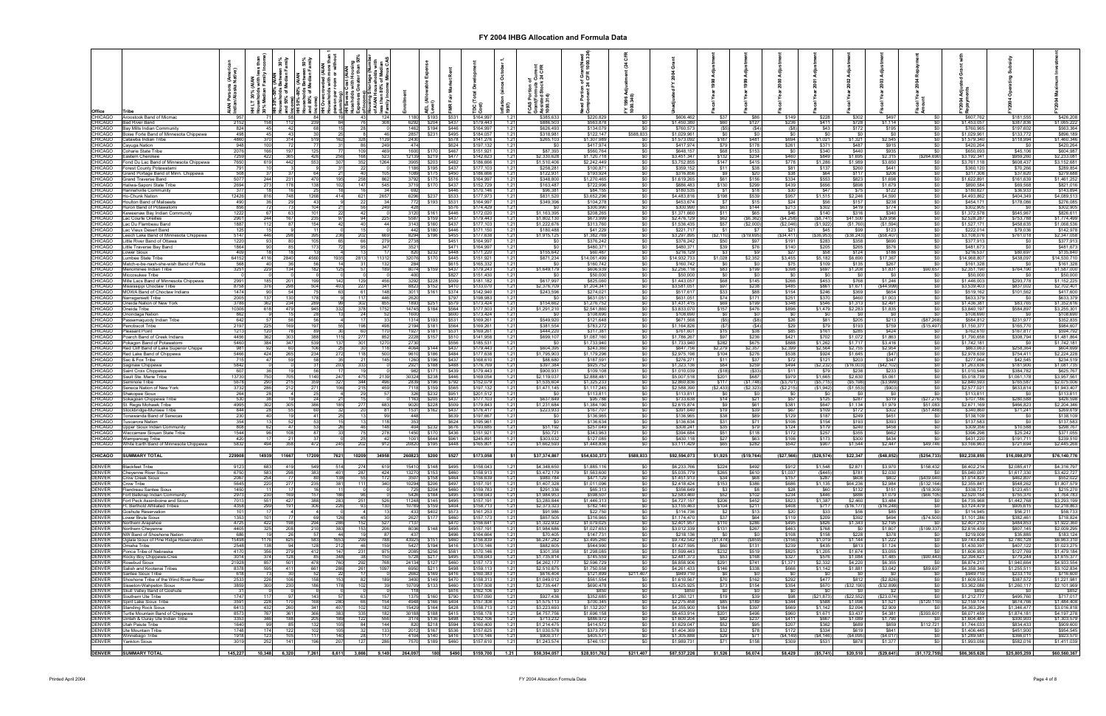| Office                           |                                                                      |               |                            |                      | ৳           |                        | Cost (AIAN<br>with Hous |                                               |               |                                       |                |                        |                       |                            |                            |           |                            |                           |                       |                      |                       |                        |                        |                                 |                            |                            |                            |
|----------------------------------|----------------------------------------------------------------------|---------------|----------------------------|----------------------|-------------|------------------------|-------------------------|-----------------------------------------------|---------------|---------------------------------------|----------------|------------------------|-----------------------|----------------------------|----------------------------|-----------|----------------------------|---------------------------|-----------------------|----------------------|-----------------------|------------------------|------------------------|---------------------------------|----------------------------|----------------------------|----------------------------|
| CHICAGO                          | Aroostook Band of Micmac                                             | 957           |                            |                      |             |                        | 431                     | 124                                           | 1180          | \$193                                 | \$531          | \$164.99               | $1.2^{\circ}$         | \$385.633                  | \$220,829                  |           | \$606,462                  | \$37                      | - \$86                | \$149                | \$228                 | \$302                  | \$497                  | SO.                             | \$607.762                  | \$181.555                  | \$426,208                  |
| <b>CHICAGO</b><br><b>CHICAGO</b> | <b>Bad River Band</b><br>3av Mills Indian Communitv                  | 2152<br>824   | 158                        | 112                  | 239         | 84                     | 761                     | 308                                           | 6292          | \$204<br>1462 \$194                   | \$437<br>\$446 | \$179,443<br>\$164,99  | 1.21<br>1.21          | \$886,503<br>\$626,493     | \$563,878<br>\$134,079     |           | \$1,450,380<br>\$760,573   | \$60<br>(S5)              | \$127<br>(S4)         | \$236                | \$411<br>\$43         | \$728<br>\$172         | \$1.114<br>\$195       | <b>\$0</b><br><b>SO</b>         | \$1,453,057<br>\$760,965   | \$387,836<br>\$197,602     | \$1,065,222<br>\$563,364   |
| CHICAGO<br>CHICAGO               | oise Forte Band of Minnesota Chippewa<br>atawba Indian Tribe         | 498<br>4860   |                            | 43<br>314            |             |                        |                         | 46<br>1129                                    | 2857<br>2430  | \$231                                 | \$495<br>\$578 | \$184,05<br>\$141,27   | 1.21<br>1.21          | \$318,981<br>\$265,103     | \$122,147<br>\$1.307.989   | \$588,833 | \$1,029,961<br>\$1,573,092 | \$0<br>\$187              | \$481                 | \$694                | \$0<br>\$1,021        | \$0<br>\$1.321         | <b>SO</b><br>\$2,545   | <b>\$0</b><br>\$0               | \$1,029,961<br>\$1,579,340 | \$133,772<br>\$118,994     | \$896,189<br>\$1,460,346   |
| <b>CHICAGO</b>                   | ayuga Nation                                                         | 948           |                            |                      |             |                        |                         | 249                                           | 474           |                                       | \$624          | \$197,13               | 1.21                  | \$0                        | \$417,974                  |           | \$417,974                  | \$79                      | \$178                 | \$261                | \$371                 | \$487                  | \$915                  | SO I                            | \$420,264                  | - \$0                      | \$420,264                  |
| <b>CHICAGO</b><br><b>CHICAGO</b> | Coharie State Tribe<br>astern Cherokee                               | 2076<br>7259  | 166<br>422                 | 197<br>365           |             |                        | 109<br>168              | 469<br>523                                    | 1600<br>12139 | \$17<br>\$219                         | \$467<br>\$477 | \$151,92<br>\$142,62   | 1.21<br>1.21          | \$87,393<br>\$2,330,628    | \$560,764<br>\$1,120,718   |           | \$648.157<br>\$3.451.347   | \$68<br>\$132             | \$153<br>\$234        | SO.<br>\$460         | \$340<br>\$849        | \$440<br>\$1,695       | \$935<br>\$2,315       | $\frac{1}{20}$<br>\$264,690)    | \$650,093<br>\$3,192,341   | \$45,106<br>\$959,260      | \$604,987<br>\$2,233,081   |
| CHICAGO                          | ond Du Lac Band of Minnesota Chippewa                                | 7650          | 619                        | 442                  |             | 30                     | 352                     | 1264                                          |               | 3905 \$203                            | \$482          | \$186,666              | 1.21                  | \$1,510,406                | \$2,242,449                |           | \$3,752,855                | \$147                     | \$415                 | \$778                | \$1,286               | \$1,989                | \$3,650                | \$0                             | \$3,761,118                | \$608,437                  | \$3,152,681                |
| CHICAGO<br><b>CHICAGO</b>        | orest County Potawatami<br>Grand Portage Band of Minn. Chippewa      | 791<br>508    |                            |                      |             |                        | 22<br>40                | 105                                           |               | 1186 \$195<br>1089 \$175              | \$437<br>\$450 | \$177,10<br>\$186,66   | 1.21<br>1.21          | \$258,281<br>\$122,931     | \$100,871<br>\$193,924     |           | \$359,152<br>\$316,856     | <b>\$11</b><br><b>\$9</b> | \$38<br>\$20          | \$81<br>\$38         | \$137<br>\$64         | \$260<br>\$117         | \$441<br>\$206         | $rac{$0}{$0}$                   | \$360,120<br>\$317,308     | \$70,266<br>\$37,620       | \$289,854<br>\$279,688     |
| <b>CHICAGO</b><br><b>CHICAGO</b> | Grand Traverse Band<br>Haliwa-Saponi State Tribe                     | 5077<br>2694  | 244<br>273                 | 178                  |             | 10 <sup>°</sup>        | 147                     | 862<br>545                                    | 3792<br>3719  | \$175<br>\$170                        | \$516<br>\$437 | \$164,997<br>\$152,729 | 1.21<br>1.21          | \$348,800<br>\$163,487     | \$1,270,465<br>\$722,996   |           | \$1,619,265<br>\$886,483   | \$61<br>\$130             | \$156<br>\$299        | \$334<br>\$439       | \$553<br>\$656        | \$823<br>\$898         | \$1,698<br>\$1,679     | \$0<br>$\frac{1}{2}$            | \$1,622,891<br>\$890.584   | \$161,639<br>\$69,568      | \$1,461,252<br>\$821,016   |
| CHICAGO                          | Hannahville Community                                                | 377           |                            |                      |             |                        |                         |                                               | 692           |                                       | \$446          | \$170,146              | 1.21                  | \$96,381                   | \$84,155                   |           | \$180,535                  | - S. 1                    | \$18                  | \$30                 | \$47                  | \$75                   | \$122                  | $\frac{1}{2}$                   | \$180,827                  | \$36,933                   | \$143,894                  |
| <b>CHICAGO</b><br><b>CHICAGO</b> | ∃o-Chunk Natior<br>Houlton Band of Maliseets                         | 12426<br>490  | 816                        | 748<br>29            | 126         | 414                    | 621<br>22               | 2657<br>34                                    | 6296          | \$23<br>772 \$193                     | \$533<br>\$531 | \$177,97<br>\$164,997  | 1.21<br>1.21          | \$831,520<br>\$349,396     | \$3,652,296<br>\$104,278   |           | \$4,483,816<br>\$453,674   | \$198<br>\$7              | \$539<br>\$15         | \$957<br>\$24        | \$1,515<br>\$56       | \$2,246<br>\$157       | \$4,590<br>\$238       | \$0<br><b>SO</b> 1              | \$4,493,862<br>\$454,171   | \$404,349<br>\$178,086     | \$4,089,51<br>\$276,085    |
| <b>CHICAGO</b><br><b>CHICAGO</b> | Huron Band of Potawatomi<br>eweenaw Bay Indian Communit              | 856<br>1222   |                            |                      |             |                        | 56<br>42                | 249                                           | 428<br>3120   | \$161                                 | \$576<br>\$446 | \$174,429<br>\$172,02  | 1.21<br>1.21          | <b>SO</b><br>\$1,163,395   | \$300,990<br>\$208,265     |           | \$300,990<br>\$1,371,660   | \$63<br>\$11              | \$144<br>\$65         | \$213<br>\$46        | \$302<br>\$140        | \$419<br>\$316         | \$774<br>\$340         | SO I<br>SO I                    | \$302,905<br>\$1,372,578   | - SO<br>\$545.967          | \$302,905<br>\$826,61      |
| <b>CHICAGO</b>                   | ac Courte Oreille:                                                   | 2901          |                            |                      |             |                        | 94                      |                                               | 5587          |                                       | \$437          | \$179.44               | 1.21                  | \$1,802,130                | \$673,999                  |           | \$2,476,129                | \$62                      | (S6.362)              | (\$4,258)            | (\$8,741              | \$41,500               | 329,956                | \$0                             | \$2,528,287                | \$753,788                  | \$1,774,49                 |
| <b>CHICAGO</b><br><b>CHICAGO</b> | ac Du Flambeau Band<br>ac Vieux Desert Band                          | 1887<br>125   | 112                        | 87                   |             |                        | 40                      | 44                                            | 3143<br>442   | \$160<br>\$180                        | \$437<br>\$446 | \$177.10<br>\$171,15   | 1.21<br>1.21          | \$1,222,676<br>\$180,488   | \$313,760<br>\$41,229      |           | \$1,536,435<br>\$221,717   | \$57<br>\$1               | (\$2,000              | (\$2,046<br>\$21     | (\$1,922<br>\$45      | (\$1,760<br>\$99       | (S1, 594)<br>\$123     | \$0<br>\$0                      | \$1,527,171<br>\$222,014   | \$458,635<br>\$79,036      | \$1,068,53<br>\$142,97     |
| <b>CHICAGO</b><br>CHICAGO        | eech Lake Band of Minnesota Chippewa<br>Little River Band of Ottawa  | 5147<br>1220  | 446                        |                      |             | 236                    | 202<br>66               | 669<br>279                                    | 2738          | 8294 \$196                            | \$455<br>\$451 | \$177,638<br>\$164,99  | 1.21<br>1.21          | \$1,915,125<br>\$0         | \$1,382,769<br>\$376,242   |           | \$3,297,895<br>\$376,242   | (S2, 110)<br>\$50         | \$19,695              | (S34, 411)<br>\$191  | ( \$36, 953]<br>\$283 | ( \$38, 243)<br>\$358  | \$58,407)<br>\$690     | \$0<br>\$0                      | \$3,108,076<br>\$377,913   | \$761,018                  | \$2,347,05<br>\$377,91     |
| CHICAGO                          | ittle Traverse Bay Band.                                             | 1864          |                            |                      |             |                        |                         | 347                                           | 3521          |                                       | \$471          | \$164,99               | 1.21                  | \$0                        | \$480,371                  |           | \$480,371                  | \$39                      | \$76                  | \$140                | \$205                 | \$265                  | \$576                  | \$0                             | \$481,673                  | S <sub>0</sub>             | \$481,67                   |
| <b>CHICAGO</b><br>CHICAGO        | ower Sioux<br>umbee State Tribe                                      | 409<br>64152  | 4116                       | 2840                 | 456         | 1935                   | 2813                    | 11312                                         | 820<br>32076  | -523<br>\$170                         | \$448<br>\$445 | \$171,22<br>\$151,92   | 1.21<br>1.21          | \$155,642<br>\$871,234     | \$60,487<br>\$14.061.499   |           | \$216,129<br>\$14,932,733  | \$1,028                   | \$2,352               | \$3,455              | \$58<br>\$5,182       | \$124<br>\$6,690       | \$186<br>\$17,367      | \$0<br>\$0                      | \$216,537<br>\$14.968.807  | \$80,697<br>\$438,097      | \$135,84<br>\$14,530,71    |
| <b>CHICAGO</b><br><b>CHICAGO</b> | Aatch-e-be-nash-she-wish Band of Potta<br>enominee Indian Tribe      | 568<br>3251   |                            | 36<br>134            |             | -12                    | -311<br>571             | 132<br>189                                    | 284<br>8074   |                                       | \$615<br>\$437 | \$165,33<br>\$179,243  | 1.21<br>1.21          | <b>SO</b><br>\$1,649,179   | \$160,742<br>\$606,939     |           | \$160,742<br>\$2,256,118   | \$0<br><b>\$83</b>        | - 30<br>\$199         | \$75<br>\$398        | \$109<br>\$697        | \$135<br>\$1,208       | \$267<br>\$1,831       | \$0<br>\$90,657                 | \$161,328<br>\$2,351,190   | - \$0<br>\$764,190         | \$161,328<br>\$1,587,000   |
| CHICAGO                          | liccosukee Tribe                                                     |               |                            |                      |             |                        |                         |                                               | 400           |                                       | \$827          | \$151,430              | 1.21                  | \$0                        | \$50,000                   |           | \$50,000                   | \$0                       |                       |                      | - \$0                 | - \$0                  | \$0                    | <b>SO</b>                       | \$50,000                   | - \$0                      | \$50,000                   |
| CHICAGO<br><b>CHICAGO</b>        | lle Lacs Band of Minnesota Chippewa<br>lississippi Choctaw Tribe     | 2991<br>8758  |                            | 298                  |             | 40                     | 227                     | 456<br>341                                    | 3292          | 8823 \$152                            | \$509<br>\$410 | \$181,18<br>\$133,07   | 1.21<br>1.21          | \$617,997<br>\$2,376,709   | \$825,060<br>\$1,204,341   |           | \$1,443.057<br>\$3,581,051 | \$68<br>\$97              | \$145<br>\$238        | \$266<br>\$485       | \$453<br>\$861        | \$768<br>\$1,671       | \$1,246<br>(\$44,999)  | \$0<br>\$0                      | \$1,446,003<br>\$3.539.403 | \$293,778<br>\$837,002     | \$1,152,225<br>\$2,702,401 |
| <b>CHICAGO</b>                   | <b>IOWA Band of Choctaw Indians</b>                                  | 1474          |                            | 54                   |             |                        | 61                      | 148                                           | 3011          | \$161                                 | \$374          | \$142,94               | 1.21                  | \$243,596                  | \$274,021                  |           | \$517,617                  | \$33                      | \$88                  | \$154                | \$246                 | \$369                  | \$654                  | SO I                            | \$519,162                  | \$101,562                  | \$417,600                  |
| <b>CHICAGO</b><br>CHICAGO        | ırragansett Tribe<br>Oneida Nation of New York                       | 2005<br>3786  |                            | 130<br>234           |             |                        | 117<br>302              | 446<br>855                                    | 2620          | 1893 \$251                            | \$797<br>\$579 | \$198,98<br>\$173,424  | 1.21<br>1.21          | \$0<br>\$154,662           | \$631,05<br>\$1,276,752    |           | \$631,051<br>\$1,431,415   | \$74<br>\$69              | \$171<br>\$199        | \$251<br>\$348       | \$370<br>\$546        | \$460<br>\$1,313       | \$1,003<br>\$2,491     | \$0<br>\$0                      | \$633,379<br>\$1,436,381   | \$83,765                   | \$633,379<br>\$1,352,616   |
| <b>CHICAGO</b><br><b>CHICAGO</b> | neida Tribe<br>Onondaga Nation                                       | 10306<br>862  | 618                        | 479                  | 94          |                        | 24                      | 1752                                          | 1600          | 14745 \$184                           | \$564<br>\$600 | \$177,503<br>\$173,424 | 1.21<br>1.21          | \$1,291,210                | \$2,541,860<br>\$108,690   |           | \$3,833,070<br>\$108,690   | \$157<br>\$0              | \$476                 | \$896                | \$1,479               | \$2,283<br>- \$0       | \$1,835<br>\$0         | \$0<br>\$0                      | \$3,840,197<br>\$108,690   | \$584,897                  | \$3,255,301<br>\$108,690   |
| CHICAGO                          | assamaquody Indian Tribe                                             | 642           |                            |                      |             |                        |                         |                                               | 1314          | \$193                                 | \$531          | \$169,26               | 1.21                  | \$549,920                  | \$121,648                  |           | \$671,568                  | $($ \$5)                  | $($ \$8               | \$26                 | \$81                  | \$205                  | \$213                  | (\$87,268)                      | \$584,812                  | \$231,977                  | \$352,835                  |
| <b>CHICAGO</b><br>CHICAGO        | enobscot Tribe<br>leasant Point                                      | 2197<br>1213  | 225                        | 169                  |             |                        | 198<br>60               | 498<br>170                                    | 2194          | \$181<br>1927 \$181                   | \$564<br>\$531 | \$169.261<br>\$169,26  | 1.21<br>1.21          | \$381.554<br>\$444,220     | \$783,272<br>\$317,381     |           | \$1,164,826<br>\$761,601   | (S7)<br>\$15              | (S4)<br>\$38          | \$29<br>\$85         | \$79<br>\$161         | \$193<br>\$285         | \$759<br>\$424         | (S15.497)<br><b>\$0</b>         | \$1,150,377<br>\$762,610   | \$165,770<br>\$167,817     | \$984,607<br>\$594,79      |
| <b>CHICAGO</b>                   | oarch Band of Creek Indians                                          | 4456<br>5460  | 362<br>384                 | 303<br>347           |             | 13                     |                         | 852<br>1270                                   |               | 2228 \$157                            | \$510<br>\$556 | \$141,958              | 1.21                  | \$699,107                  | \$1,087,160                |           | \$1,786,267                | \$97                      | \$236<br>\$675        | \$421                | \$702                 | \$1,072                | \$1,863                | - \$0                           | \$1,790,658                | \$308,794<br>- \$0         | \$1,481,864                |
| <b>CHICAGO</b><br>CHICAGO        | Pokagon Band of Potawatomi<br>Red Cliff Band of Lake Superior Chippe | 981           |                            | 60                   |             |                        | 301<br>301              | 118                                           | 2730          | 4064 \$144                            | \$437          | \$185,531<br>\$179,443 | 1.21<br>1.21          | \$0<br>\$604,395           | \$1,733,940<br>\$243,360   |           | \$1,733,940<br>\$847,756   | \$282<br>\$2,279          | \$2,357               | \$888<br>\$2,399     | \$1,262<br>\$2,564    | \$1,717<br>\$2,755     | \$3,416<br>\$2,954     | \$0<br>\$0                      | \$1,742,181<br>\$863,063   | \$258,364                  | \$1,742,181<br>\$604,699   |
| <b>CHICAGO</b><br><b>CHICAGO</b> | ed Lake Band of Chippewa<br>ac & Fox Tribe                           | 5466<br>715   | 424                        | 265                  |             | 272                    | 118                     | 500                                           |               | 9610 \$186                            | \$484<br>\$437 | \$177.63<br>\$168.61   | 1.21<br>1.21          | \$1,795,903<br>\$88,680    | \$1,179,296<br>\$187,591   |           | \$2,975,198<br>\$276,271   | \$104<br>\$11             | \$276                 | \$538                | \$924<br>\$121        | \$1,645<br>\$20        | ( \$47)<br>\$347       | SO I<br>so I                    | \$2,978,639<br>\$277,064   | \$754,411<br>\$42,545      | \$2,224,22<br>\$234,51     |
| <b>CHICAGO</b>                   | aginaw Chippewa                                                      | 5842          |                            |                      |             |                        | 333                     |                                               | 2921          | \$188                                 | \$488          | \$176,76               | 1.21                  | \$397,384                  | \$925,752                  |           | \$1,323,136                | \$84                      | \$259                 | \$494                | (\$2,232)             | (\$16,003)             | (\$42,102)             | \$0                             | \$1,263,636                | \$181,900                  | \$1,081,73                 |
| <b>CHICAGO</b><br><b>CHICAGO</b> | Saint Croix Chippewa<br>Sault Ste. Marie Tribe                       | 607<br>13730  |                            | 705                  | 114         | - 247                  | 475                     | 2139                                          | 982           | \$171<br>30324 \$238                  | \$439<br>\$446 | \$179,443<br>\$169,054 | 1.21<br>1.21          | \$900,931<br>\$2,119,037   | \$109,108<br>\$2,888,481   |           | \$1,010,039<br>\$5,007.518 | (\$18)<br>\$201           | (\$33<br>\$687        | \$11<br>\$979        | \$79<br>\$1,665       | \$238<br>\$2,630       | \$233<br>\$5.061       | $\frac{1}{2}$<br>\$0            | \$1,010,548<br>\$5,018,739 | \$384,782<br>\$1,061,178   | \$625,76<br>\$3,957,56     |
| CHICAGO<br>CHICAGO               | eminole Tribe<br>Seneca Nation of New York                           | 5678<br>3732  | 290                        |                      |             | 32                     | 344<br>215              | 496<br>459                                    | 2839<br>7118  | \$196<br>\$159                        | \$792<br>\$565 | \$152,07<br>\$197,132  | 1.21<br>1.21          | \$1,535,604<br>\$1,471,145 | \$1,325,233<br>\$1,117,245 |           | \$2,860,836<br>\$2,588,390 | \$117<br>( \$2,433)       | (\$1,748<br>(S2, 323) | (\$3,70'<br>(\$2,215 | (S5, 715)<br>(\$1,942 | (S5, 198)<br>(\$1,553) | (S3,999)<br>( \$903)   | \$0<br>\$0                      | \$2,840,593<br>\$2,577,021 | \$765,587<br>\$633,614     | \$2,075,00<br>\$1,943,40   |
| CHICAGO                          | hakopee Sioux                                                        | 264           |                            |                      |             |                        |                         |                                               |               | \$232                                 | \$951          | \$201,51               | $1.2^{\circ}$         |                            | \$113,81                   |           | \$113,81                   |                           |                       |                      |                       |                        | - \$0                  | \$0                             | \$113,811                  |                            | \$113,81                   |
| CHICAGO<br>CHICAGO               | Sokagoan Chippewa Tribe<br>St. Regis Mohawk Tribe                    | 530<br>4995   | 302                        | 305                  |             |                        |                         | 683                                           | 1163<br>9020  | \$205<br>\$228                        | \$437<br>\$509 | \$177.10<br>\$179,843  | $1.2^{\circ}$<br>1.21 | \$637,849<br>\$1,231,684   | \$95,788<br>\$1,384,190    |           | \$733,638<br>\$2,615,874   | \$14<br>\$9               | \$21<br>\$61          | \$57<br>\$381        | \$125<br>\$647        | \$287<br>\$1,134       | \$319<br>\$1,979       | (\$27,276)<br>\$51,083          | \$707,186<br>\$2,671,169   | \$280,588<br>\$466,823     | \$426,59<br>\$2,204,346    |
| <b>CHICAGO</b><br>CHICAGO        | tockbridge-Munsee Tribe<br>onawanda Band of Senecas                  | 844<br>230    |                            |                      |             |                        | -201                    | 81<br>aa                                      | 448           | 1531 \$162                            | \$437<br>\$639 | \$176,417<br>\$197,667 | 1.21<br>1.21          | \$223,933<br>\$0           | \$167,707<br>\$136.965     |           | \$391.640<br>\$136,965     | <b>S19</b><br>\$38        | \$39<br>\$89          | \$67<br>\$129        | \$109<br>\$187        | \$172<br>\$249         | \$302<br>\$451         | (\$51,488)<br>SO I              | \$340,860<br>\$138,109     | \$71,241<br><b>SO</b>      | \$269,619<br>\$138,109     |
| <b>CHICAGO</b>                   | uscarora Nation                                                      | 354           |                            |                      |             |                        |                         |                                               |               |                                       | \$624          | \$195,96               | 1.21                  | SO.                        | \$136.634                  |           | \$136.634                  | \$31                      | \$71                  | \$106                | \$154                 | \$193                  | \$393                  | so I                            | \$137.583                  | \$0                        | \$137,583                  |
| <b>CHICAGO</b><br><b>CHICAGO</b> | pper Sioux Indian Communit<br>Vaccamaw Siouan State Tribe            | 808<br>1544   |                            | 108                  |             |                        |                         | 148<br>278                                    | 404<br>1450   | \$232<br>\$170                        | \$676<br>\$436 | \$193,68<br>\$151,92   | 1.21<br>1.21          | \$51,192<br>\$50,721       | \$257,049<br>\$343,963     |           | \$308,241<br>\$394,684     | \$35<br>\$51              | \$79<br>\$118         | \$124<br>\$172       | \$179<br>\$257        | \$240<br>\$355         | \$458<br>\$662         | SO I<br>$\frac{1}{2}$           | \$309,356<br>\$396,298     | \$10,588<br>\$25,242       | \$298,76<br>\$371,055      |
| <b>CHICAGO</b><br>CHICAGO        | ampanoag Tribe<br>White Earth Band of Minnesota Chippewa             | 420<br>5832   | 494                        | 21<br>358            | - 47        | 245                    | 25<br>202               | 42<br>912                                     | 1001          | \$644<br>20820 \$195 \$448            | \$961          | \$245,89<br>\$165,801  | 1.21<br>1.21          | \$303.032<br>\$1,662,593   | \$127,085<br>\$1,448,836   |           | \$430,118<br>\$3,111,429   | \$27<br>\$65              | \$63<br>\$282         | \$106<br>\$542       | \$173<br>\$907        | \$300<br>\$1,544       | \$434<br>\$2,447       | \$0<br>\$49,746                 | \$431,220<br>\$3,166,963   | \$191.711<br>\$721,694     | \$239,510<br>\$2,445,268   |
|                                  |                                                                      |               |                            |                      |             |                        |                         |                                               |               |                                       |                |                        |                       |                            |                            |           |                            |                           |                       |                      |                       |                        |                        |                                 |                            |                            |                            |
|                                  | CHICAGO SUMMARY TOTAL                                                | 229908        | 14939                      | 11667                | 17209       | 7621                   | 10209                   | 34958                                         |               | 260823 \$200 \$527                    |                | \$173,058              |                       | \$37,374,867               | \$54,630,373               | \$588,833 | \$92,594,073               | \$1,925                   | $(\$19,764]$          | (\$27,566)           | (\$28,574)            | \$22,347               | (\$48,852)             | (\$254,733)                     | \$92,238,855               | \$16,098,079               | \$76,140,776               |
| DENVER<br>DENVER                 | <b>Blackfeet Tribe</b><br>Cheyenne River Sioux                       | 9123<br>6750  | 683<br>583                 | 419<br>298           | 549         | 514<br>401             | 274<br>287              | 619<br>424                                    |               | 15410 \$148<br>13270 \$153            | \$495<br>\$460 | \$158,043<br>\$158,913 | 1.21<br>1.21          | \$4,348,650<br>\$3,472,179 | \$1,885,116<br>\$1,563,600 |           | \$6,233,766<br>\$5,035,779 | \$224<br>\$265            | \$492<br>\$610        | \$912<br>\$1,037     | \$1,548<br>$($ \$445) | \$2,871<br>\$781       | \$3,970<br>\$2,030     | \$158,432<br>- \$0              | \$6,402,214<br>\$5,040,057 | \$2,085.417<br>\$1,617,330 | \$4,316,797<br>\$3,422,727 |
| <b>DENVER</b>                    | Crow Creek Sioux                                                     | 2067          | 254                        | 771                  |             | - 138                  | -55                     | 172                                           |               | 3507 \$158 \$464                      |                | \$156,639              | 1.21                  | \$980,784                  | \$471,129                  |           | \$1,451,913                | <b>\$34</b>               | \$68                  | \$157                | \$287                 | \$608                  | \$802                  | (\$439,040)                     | \$1,014,829                | \$462,807                  | \$552,022                  |
| <b>DENVER</b><br>DENVER          | Crow Tribe<br>Flandreau Santee Sioux                                 | 5645<br>1450  | 220                        | 277<br>17            | - 23        | 381<br>- 11            | 111                     | 340                                           |               | 10294 \$206 \$497<br>725 \$204 \$460  |                | \$157,191<br>\$159,783 | 1.21<br>1.21          | \$1,407,328<br>\$291,336   | \$1,011,096<br>\$65,313    |           | \$2,418,424<br>\$356,649   | \$153<br>\$3              | \$386<br>- \$8        | \$686<br>\$28        | \$1,135<br>\$60       | \$64,236<br>\$132      | \$2,984<br>\$151       | (\$132, 164)<br>(\$18,309)      | \$2,355,841<br>\$338,721   | \$548,262<br>\$123,451     | \$1,807,579<br>\$215,270   |
| <b>DENVER</b><br><b>DENVER</b>   | Fort Belknap Indian Community<br>Fort Peck Assiniboine and Sioux     | 2973<br>7013  | 230<br>551                 | 169<br>427           |             | 186                    | 96<br>251               | 526                                           |               | 5426 \$184<br>11248 \$145             | \$495<br>\$495 | \$158,043<br>\$157.191 | 1.21<br>1.21          | \$1.984.953<br>\$3,280,844 | \$598,507<br>\$1,446,313   |           | \$2,583,460<br>\$4,727,157 | \$52<br>\$206             | \$102<br>\$452        | \$234<br>\$823       | \$446<br>\$1,387      | \$886<br>\$2,460       | \$1,079<br>\$3,484     | (S66, 105)<br>\$0               | \$2,520,154<br>\$4,735,968 | \$755,370<br>\$1,442,768   | \$1,764,783<br>\$3,293,199 |
| <b>DENVER</b>                    | Ft. Berthold Affiliated Tribes                                       | 4358          | 299                        | 191                  |             | 226                    | 93                      | 130                                           |               | 10789 \$159 \$404                     |                | \$158,71               | 1.21                  | \$2,373,323                | \$782,140                  |           | \$3,155,463                | \$104                     | \$211                 | \$408                | \$717                 | (\$16, 177)            | (\$16,248)             | \$0                             | \$3,124,479                | \$905,615                  | \$2,218,863                |
| <b>DENVER</b><br><b>DENVER</b>   | Goshute Reservation<br>Lower Brule Sioux                             | 101<br>1353   | 101                        | $\overline{a}$<br>77 |             | 126                    | 4<br>45                 | 13<br>30 <sup>2</sup>                         |               | 433 \$402<br>2627 \$177 \$460         | \$573          | \$161,253<br>\$157.173 | 1.21<br>$-1.21$       | \$91,986<br>\$857,505      | \$22,750<br>\$316,965      |           | \$114,736<br>\$1,174,470   | \$2<br><b>\$37</b>        | \$13<br>\$64          | \$20<br>\$119        | \$33<br>\$209         | \$56<br>\$392          | \$85<br>\$494          | $\frac{1}{20}$<br>(S74,500)     | \$114,945<br>\$1,101,286   | \$56,211<br>\$382,461      | \$58,73<br>\$718,824       |
| <b>DENVER</b><br><b>DENVER</b>   | Northern Arapahoe<br>Northern Cheyenne                               | 4725<br>4405  | 422<br>325                 | 198<br>208           | 294         | 286<br>383             | 152<br>153              | 527<br>206                                    | 7137          | 8036 \$148                            | \$470<br>\$495 | \$156,641<br>\$157,191 | 1.21<br>1.21          | \$1,322,932<br>\$1,984,686 | \$1,079,025<br>\$1,027,653 |           | \$2,401,957<br>\$3,012,339 | \$110<br>\$131            | \$286<br>\$267        | \$495<br>\$463       | \$826<br>\$768        | \$1,343<br>SO.         | \$2,195<br>\$1,807     | <b>s</b> o<br>(\$199,337)       | \$2,407,213<br>\$2,816,439 | \$484,853<br>\$807.145     | \$1,922,360<br>\$2,009,295 |
| <b>DENVER</b>                    | NW Band of Shoshone Nation                                           | 686           |                            | 26                   |             |                        |                         | 87                                            | 437           |                                       | \$496          | \$164,664              | 1.21                  | \$70,405                   | \$147,731                  |           | \$218,136                  |                           |                       | \$108                | \$158                 | \$228                  | \$378                  | SO.                             | \$219,009                  | \$35,885                   | \$183,124                  |
| <b>DENVER</b><br><b>DENVER</b>   | Oglala Sioux of Pine Ridge Reservation<br>Omaha Tribe                | 15498<br>2548 | 1176<br>138                | 625<br>94            | - 58        | 1653<br>-212           | 299<br>46               | 788<br>159                                    |               | 43925 \$151<br>5427 \$194 \$416       | \$460          | \$156,839<br>\$170,146 | 1.21<br>1.21          | \$6,247,282<br>\$882,605   | \$3,495,260<br>\$544,990   |           | \$9,742,542<br>\$1,427,595 | (\$1,474)<br>\$60         | (\$859<br>\$131       | (\$156)<br>\$239     | \$1,019<br>\$435      | \$1,144<br>\$813       | \$1,222<br>\$1,124     | \$0<br>- \$0                    | \$9,743,438<br>\$1,430,397 | \$2,780,128<br>\$407,122   | \$6,963,310<br>\$1,023,275 |
| DENVER                           | Ponca Tribe of Nebraska                                              | 4170<br>3014  | 356<br>374                 | 279                  | 41          | 147<br>348             | -2311<br>38             | 975<br>150                                    |               | 2085 \$256 \$581<br>5728 \$217 \$495  |                | \$170,146              | 1.21<br>1.21          | \$301.358<br>\$1,735,814   | \$1,298,085<br>\$745,559   |           | \$1.599.443<br>\$2,481,373 | \$232<br>\$53             | \$519<br>\$168        | \$825<br>\$327       | \$1,205               | \$1,674<br>\$1,084     | \$3,055<br>\$1,485     | <b>\$0</b><br>(S90, 443)        | \$1,606,953<br>\$2,394,621 | \$127,769<br>\$779,244     | \$1,479,184<br>\$1,615,377 |
| <b>DENVER</b><br><b>DENVER</b>   | Rocky Boy Chippewa-Cree<br>Rosebud Sioux                             | 21928         | 857                        | 128<br>501           |             |                        | 292                     | 768                                           |               | 24134 \$127 \$460                     |                | \$158,043<br>\$157,173 | 1.21                  | \$4,262,177                | \$2,596,729                |           | \$6,858,906                | \$291                     | \$741                 | \$1,37'              | \$576<br>\$2,332      | \$4,220                | \$6,355                | \$0                             | \$6,874,217                | \$1,940,664                | \$4,933,554                |
| <b>DENVER</b><br><b>DENVER</b>   | Salish and Kootenai Tribes<br>Santee Sioux Tribe                     | 8378<br>618   | 595                        | 411<br>30            | 66          | 286                    | 261<br>17               | 1097                                          |               | 6950 \$211 \$498<br>2662 \$169 \$416  |                | \$159,11<br>\$160,383  | 1.21<br>1.21          | \$2,510,875<br>\$616,404   | \$1,750,558<br>\$121,899   | \$211,407 | \$4,261,433<br>\$949,710   | \$146<br>\$0              | \$338<br>\$0          | \$666<br>SO.         | \$1,142<br>\$0        | \$1,881<br>\$0         | \$3,042<br>\$0         | \$89,697<br>SO I                | \$4,358,346<br>\$949,710   | \$1,255,511<br>\$233,110   | \$3,102,834<br>\$716,600   |
| <b>DENVER</b><br><b>DENVER</b>   | Shoshone Tribe of the Wind River Reser<br>Sisseton-Wahpeton Sioux    | 2533<br>3859  | 226<br>300                 | 106<br>230           | 186         | 153<br>178             | 82<br>102               | 189<br>39                                     |               | 3400 \$149 \$470<br>10709 \$133 \$460 |                | \$158,313<br>\$157,508 | 1.21<br>1.21          | \$1,049,012<br>\$2,735,447 | \$561,554<br>\$690,478     |           | \$1,610,567<br>\$3,425,925 | \$70]<br>\$73             | \$162<br>\$154        | \$292<br>\$354       | \$477<br>\$670        | \$812<br>( \$32, 190)  | (S2.826)<br>(\$32,899) | $\frac{1}{2}$<br>$\frac{1}{20}$ | \$1,609,553<br>\$3,362,086 | \$387,572<br>\$1,260,117   | \$1,221,981<br>\$2,101,969 |
| <b>DENVER</b>                    | Skull Valley Band of Goshute                                         | 31            |                            |                      |             |                        |                         |                                               | 118           |                                       | \$616          | \$162,106              | 1.21                  | $\frac{1}{2}$              | \$850                      |           | \$850                      | \$0                       |                       | \$0                  | \$0                   | <b>SO</b>              | \$2                    | \$0                             | \$852                      | \$0                        | \$852                      |
| DENVER<br><b>DENVER</b>          | Southern Ute Tribe<br>Spirit Lake Sioux Tribe                        | 1747<br>3591  | 228                        | 170                  |             | 280                    | 66                      | 154                                           |               | 1375 \$160<br>4948 \$166              | \$790<br>\$404 | \$157,090<br>\$157,308 | 1.21<br>1.21          | \$927,436<br>\$1,575,113   | \$352,685<br>\$700,345     |           | \$1,280,121<br>\$2,275,458 | \$19<br>\$85              | \$39<br>\$189         | \$98<br>\$344        | (\$21,873<br>\$588    | (\$22,552)<br>\$1,098  | (\$23,074)<br>\$1,521  | \$0<br>(\$120, 110)             | \$1,212,777<br>\$2,159,174 | \$495,760<br>\$674,766     | \$717,01<br>\$1,484,408    |
| DENVER<br>DENVER                 | <b>Standing Rock Sioux</b>                                           | 6413          | 432                        | 260                  | 341         | 407                    | 102                     | 182                                           |               | 15429 \$164                           | \$428          | \$158,713              | 1.21                  | \$3,223,693                | \$1,132,207                | -50       | \$4,355,900                | \$184                     | \$397                 | \$669                | \$1,142               | \$2,094                | \$2,909                | \$0                             | \$4,363,294                | \$1,346,477                | \$3,016,818                |
| <b>DENVER</b>                    | Turtle Mountain Band of Chippewa<br>Uintah & Ouray Ute Indian Tribe  | 8573<br>3353  | 767<br>346                 | 361<br>188           | -36<br>- 20 | -383<br>189            | 335<br>122              | 182<br>556                                    |               | 30188 \$188 \$415<br>3174 \$136 \$498 |                | \$158,178<br>\$162,106 | 1.21<br>1.21          | \$4,757,756<br>\$713,232   | \$1,696,158<br>\$886,972   |           | \$6,453,914<br>\$1,600,204 | \$201<br><b>\$82</b>      | \$496<br>\$237        | \$960<br>\$411       | \$1.671<br>\$667      | \$3,437<br>\$1,089     | \$4,381<br>\$1,790     | $($ \$393,601)<br>\$0           | \$6,071,459<br>\$1,604,481 | \$1,874,181<br>\$300,903   | \$4,197,278<br>\$1,303,579 |
| <b>DENVER</b><br>DENVER          | Utah Paiute Tribe<br>Ute Mountain Tribe                              | 1640<br>1748  | 174                        | 85<br>122            | 13          | 10 <sup>1</sup><br>105 | 84<br>32                | 144<br>133                                    |               | 820 \$218 \$594<br>2012 \$167         | \$536          | \$160,400<br>\$157,625 | 1.21<br>1.21          | \$1,214,475<br>\$1,030,578 | \$414,572<br>\$373,791     |           | \$1,629,047<br>\$1,404,369 | \$52 I<br>\$32            | \$95<br>\$78          | \$207<br>\$172       | \$362<br>\$334        | \$689<br>\$619         | \$859<br>\$841         | \$112,721<br><b>SO</b>          | \$1,744,033<br>\$1,406,445 | \$834,433<br>\$451,900     | \$909,600<br>\$954,545     |
| <b>DENVER</b>                    | Winnebago Tribe                                                      | 1918          | 123                        | 105                  |             | 140                    | 28                      | 117                                           |               | 4104 \$140                            | \$416          | \$170,146              | 1.21                  | \$900,317                  | \$405,571                  |           | \$1,305,888                | \$29                      | \$71                  | (\$4,149             | (\$4,146)             | (S4,095)               | (\$4,017)              | \$0                             | \$1,289,581                | \$366,011                  | \$923,570                  |
| <b>DENVER</b>                    | Yankton Sioux                                                        | 3019          |                            | 141                  |             |                        | 127                     | 286                                           |               | 7570 \$189                            | \$460          | \$157,610              | 1.21                  | \$1,243,574                | \$746,157                  |           | \$1,989,731                | <b>\$71</b>               | \$158                 | \$309                | \$531                 | \$878                  | \$1,377                | so I                            | \$1,993,056                | \$582,016                  | \$1,411,039                |
|                                  | DENVER SUMMARY TOTAL                                                 |               | 145,227 10,348 6,320 7,261 |                      |             |                        |                         | 8,611 3,866 9,149 264,097 180 \$490 \$159,700 |               |                                       |                |                        | 1.21                  | \$58,394,057               | \$28,931,762               | \$211,407 | \$87,537,226               | \$1,526                   | \$6,074               | \$8,429              | $($ \$5,741)          | \$20,510               | $(\$29,641)$           | (\$1,172,759)                   | \$86,365,626               | \$25,805,259               | \$60,560,367               |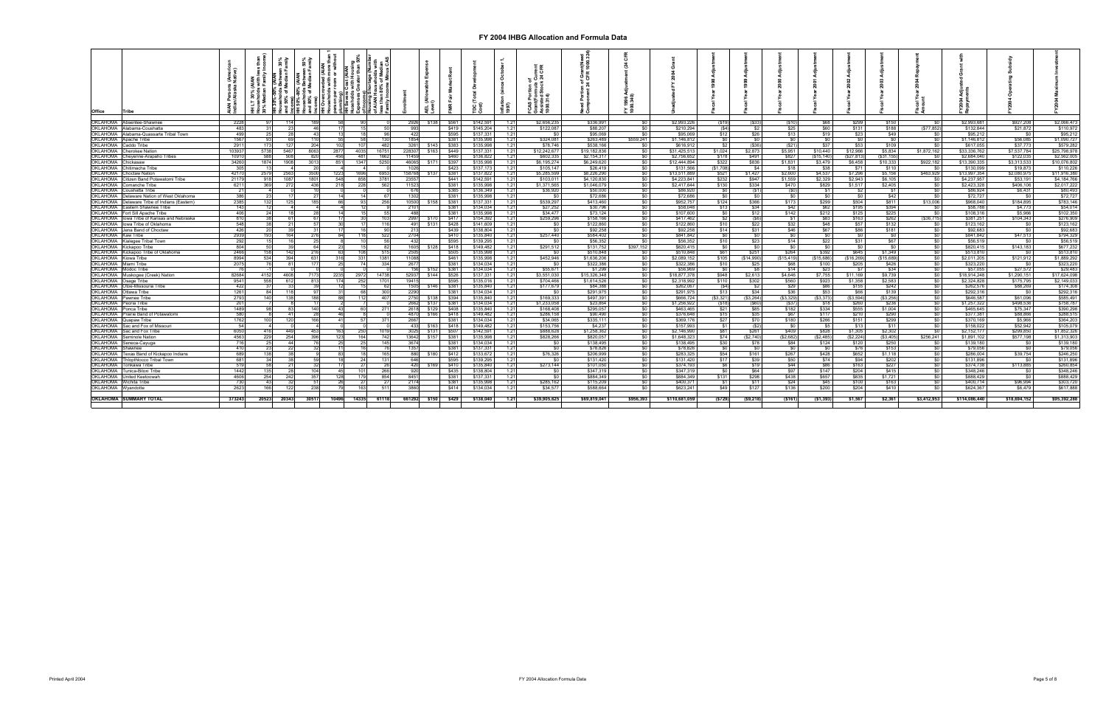| <b>Office</b>               | Tribe                                         | چ ئ         |            |             |                 |       |       |             |             |                    |                |                       |                 |                        |                       |           |                       |                          |             |             |              |                       |                    |                                |                       |                  |                       |
|-----------------------------|-----------------------------------------------|-------------|------------|-------------|-----------------|-------|-------|-------------|-------------|--------------------|----------------|-----------------------|-----------------|------------------------|-----------------------|-----------|-----------------------|--------------------------|-------------|-------------|--------------|-----------------------|--------------------|--------------------------------|-----------------------|------------------|-----------------------|
|                             | <b>OKLAHOMA</b> Absentee-Shawnee              | 2228        |            |             | 114             |       | 90.   |             |             | \$138              | \$561          | \$142.591             | 1.21            | \$2,656,235            | \$336,991             |           | \$2,993,226           | (S19)                    | ( \$33      | $($ \$10    | \$68         | \$299                 | \$150              |                                | \$2,993,681           | \$927,208        | \$2,066,473           |
|                             | <b>DKLAHOMA</b> Alabama-Coushatta             | 483         |            |             |                 |       |       |             | 2926<br>993 |                    | \$419          | \$145.20              | 1.21            | \$122,087              | \$88,207              |           | \$210,294             | (S4)                     |             | \$25        | \$60         | \$131                 | \$188              | <b>SO</b><br>(S77.852)         | \$132,844             | \$21,872         | \$110,972             |
|                             |                                               |             |            |             |                 |       |       |             |             |                    |                |                       |                 |                        |                       |           |                       |                          |             |             |              |                       |                    |                                |                       |                  | \$95,212              |
|                             | <b>DKLAHOMA</b> Alabama-Quassarte Tribal Town | 499         |            |             | 28              |       |       | 96          | 422         |                    | \$595          | \$137,33              | 1.21            | \$0                    | \$95,069              |           | \$95,069              | \$12                     | \$26        | \$13        | \$19         | \$23                  | \$49               |                                | \$95,212              |                  |                       |
|                             | <b>OKLAHOMA</b> Apache Tribe                  | 1567        |            | 93.         | 6Q.             |       | 58    | 130         | 1854        |                    | \$381          | \$135,998             | 1.21            | \$324,081              | \$263,489             | \$559,241 | \$1.146.812           | <b>SO</b>                |             | \$0         | \$0          | SO I                  | \$0                | .SO                            | \$1.146.812           | \$56,085         | \$1,090,727           |
| <b>XLAHOMA</b>              | Caddo Tribe                                   | 2911        |            | 173         | 127             |       | 107   | 482         | 3261        | \$14               | \$383          | \$135.99              | 1.21            | \$78,746               | \$538,166             |           | \$616,912             | \$2                      | ( \$36      | (S21)       | \$37         | \$53                  | \$109              | \$0                            | \$617,055             | \$37,773         | \$579.282             |
| <b>ЭКLAHOMA</b>             | Cherokee Nation                               | 103937      | 5738       | 5467        | 806             | 287   | 4035  | 16751       | 228307      | \$163              | \$449          | \$137.33              | 1.21            | \$12,242,677           | \$19,182,836          |           | \$31.425.513          | \$1,024                  | \$2,873     | \$5,951     | \$10,440     | \$12,966              | \$5.834            | \$1,872.162                    | \$33,336,762          | \$7,537,784      | \$25,798,978          |
| KLAHOMA                     | Cheyenne-Arapaho Tribes                       | 10910       |            |             |                 | 45    | 481   | 1662        | 11459       |                    | \$460          | \$136.8               | 12 <sup>0</sup> | \$602,335              | \$2,154,31            |           | \$2,756,65            | \$178                    | \$491       | \$827       | (S15.140)    | (S27.813)             | (\$31,155          |                                | \$2.684.040           | \$122,03         | \$2,562,005           |
| OKLAHOMA                    | Chickasaw                                     | 34260       | 1874       | 1908        | 301             | 85    | 1347  | 5250        | 46065       | \$171              | \$397          | \$135.99              | 1.21            | \$6,195,274            | \$6,249,620           |           | \$12,444,894          | \$322                    | \$836       | \$1,831     | \$3,479      | \$6.458               | \$10,333           | \$922,182                      | \$13,390,335          | \$3.313.53       | \$10,076,802          |
| OKLAHOMA                    | Chitimacha Tribe                              | 305         |            |             |                 |       |       |             | 1026        |                    | \$423          | \$137.17              | 1.21            | \$105,147              | \$26,419              |           | \$131,566             | (\$1,708)                | \$4         | \$18        | \$38         | \$71                  | \$110              |                                | \$130,099             | \$19,873         | \$110,226             |
|                             | <b>OKLAHOMA</b> Choctaw Nation                | 42170       | 2579       | 2563        | -350            | 1223  | 1696  | 6953        | 158768      | \$137              | \$381          | \$137,822             | 1.21            | \$5,285,599            | \$8,226,290           |           | \$13,511,889          | \$521                    | \$1,427     | \$2,600     | \$4,537      | \$7.296               | \$5,156            | \$463.929                      | \$13,997,354          | \$2,080.975      | \$11,916,380          |
| OKLAHOMA                    | itizen Band Potawatomi Tribe                  | 21179       | 918        | 1087        | 180             | 54    | 858   | 3781        | 23557       |                    | \$441          | \$142.59              | 1.21            | \$103,011              | \$4,120,830           |           | \$4,223,841           | \$232                    | \$947       | \$1,559     | \$2,329      | \$2,943               | \$6,105            | - \$0                          | \$4.237.957           | \$53.19          | \$4,184,766           |
| OKLAHOMA                    | Comanche Tribe                                | 6211        |            | 369<br>272  | 43              |       | 228   | 562         | 11523       |                    | \$381          | \$135.99              | 1.21            | \$1,371,565            | \$1.046.07            |           | \$2,417,644           | \$130                    | \$334       | \$470       | \$829        | \$1,517               | \$2,405            | SO.                            | \$2.423.328           | \$406,106        | \$2,017.222           |
| <b>ЖLAHOMA</b>              | Coushatta Tribe                               |             |            |             |                 |       |       |             |             |                    | \$385          | \$136.34              | 1.21            | \$36,920               | \$50,000              |           | \$86,920              |                          |             |             | \$1          | 52                    | \$1                | -SO.                           | \$86,924              | \$6,431          | \$80,493              |
| )KLAHOMA                    | Delaware Nation of West Oklahoma              | 386         |            | 231         |                 |       | 14    | 67          | 1302        |                    | \$381          | \$135,99              | 1.21            | <b>SO</b>              | \$72,686              |           | \$72,686              | - SO                     | - SO        | \$0         | \$0          | \$0                   | \$42               | <b>SO</b> I                    | \$72,727              | - \$0            | \$72,727              |
| OKLAHOMA                    | Delaware Tribe of Indians (Eastern)           | 2385        |            | 132         | 125             |       | 93    | 256         |             | 10500 \$158        | \$381          | \$137.331             | 1.21            | \$539,297              | \$413,460             |           | \$952,757             | \$124                    | \$366       | \$173       | \$299        | \$504                 | \$811              | \$13,006                       | \$968,040             | \$184,895        | \$783,146             |
| OKLAHOMA                    | Eastern Shawnee Tribe                         | 143         |            | 12          |                 |       | 12    |             | 2101        |                    | \$381          | \$134.034             | 1.21            | \$27,252               | \$30,796              |           | \$58,048              | \$13                     | \$34        | \$42        | \$62         | \$195                 | \$394              | \$0                            | \$58,788              | \$4,773          | \$54,014              |
| <b>XLAHOMA</b>              | Fort Sill Apache Tribe                        | 406         |            | 24          |                 |       |       | 55          | 488         |                    | \$381          | \$135.99              | 1.21            | \$34,477               | \$73,124              |           | \$107,600             | \$0                      | \$12        | \$142       | \$212        | \$125                 | \$225              | so                             | \$108,316             | \$5,966          | \$102,350             |
| <b>XLAHOMA</b>              | lowa Tribe of Kansas and Nebraska             | 810         |            |             | 61              |       |       |             | 2997        |                    | \$417          | \$154,3               | 1.21            | \$259,296              | \$158,166             |           | \$417,462             | \$2                      | (S6)        |             | \$83         | \$163                 | \$262              | (\$36,715)                     | \$381,251             | \$104,343        | \$276,909             |
|                             | <b>OKLAHOMA</b> lowa Tribe of Oklahoma        | 548         |            |             | 21              |       |       | 116         | 491         | \$131              | \$428          | \$141.60              | 1.21            |                        | \$122,860             |           | \$122,860             | \$10                     | \$22        | \$32        |              |                       | \$132              |                                | \$123,162             | SO <sub>1</sub>  | \$123,162             |
|                             |                                               |             |            |             |                 |       |       |             |             |                    |                |                       |                 | <b>SO</b>              |                       |           |                       |                          |             |             | \$48         | \$57                  |                    | <b>SO</b>                      |                       |                  |                       |
| <b>OKLAHOMA</b> Kaw Tribe   | OKLAHOMA Jena Band of Choctaw                 | 426<br>2939 |            | 20I<br>193  | 39<br>164       |       | 118   | 90<br>522   | 213<br>2704 |                    | \$439<br>\$410 | \$138.80<br>\$135,840 | 1.21<br>1.21    | <b>SO</b><br>\$257,440 | \$92,258<br>\$584.402 | <b>RO</b> | \$92,258<br>\$841.842 | \$14<br>\$0 <sub>1</sub> | \$31<br>\$0 | \$46<br>\$0 | \$67<br>\$01 | \$86<br>$^{\circ}$ so | \$181<br><b>SO</b> | <b>SO</b> I<br>50 <sup>1</sup> | \$92,683<br>\$841.842 | SO I<br>\$47,513 | \$92,683<br>\$794.329 |
|                             |                                               | 292         |            |             | 16              |       |       | 56          |             |                    |                |                       |                 |                        |                       |           |                       |                          |             |             |              |                       |                    |                                |                       |                  |                       |
| <b>XLAHOMA</b>              | Kialegee Tribal Town                          |             |            |             |                 |       |       |             | 432         |                    | \$595          | \$139.29              | 1.21            | \$0                    | \$56,352              |           | \$56,352              | \$10                     | \$23        | \$14        | \$22         | \$31                  | \$67               | $\overline{50}$                | \$56,519              |                  | \$56,519              |
| OKLAHOMA                    | Kickapoo Tribe                                | 804         |            |             |                 |       |       | 82          | 1605        | \$128              | \$418          | \$149.482             | 1.21            | \$291.512              | \$131,752             | \$397.152 | \$820.415             | . ፍሰ                     | <b>SO</b>   | \$0         | \$0          | \$0                   | \$0                | \$0                            | \$820,415             | \$143.183        | \$677,232             |
| <b>ЭКLAHOMA</b>             | Kickapoo Tribe of Oklahoma                    | 2466        |            | 158         | 142             |       | 108   |             | 2505        |                    | \$505          | \$135.99              | 1.21            | SO.                    | \$510,848             |           | \$510,848             | \$61                     | \$251       | \$264       | \$392        | \$645                 | \$1.349            | SO <sub>1</sub>                | \$513,810             | - SO 1           | \$513,810             |
| OKLAHOMA                    | Kiowa Tribe                                   | 8994        |            | 534         | 394<br>-63      |       | 331   | 1381        | 11088       |                    | \$461          | \$135.99              | 1.21            | \$452,946              | \$1,636,206           |           | \$2,089.15            | \$105                    | (\$14,990)  | (S15.419)   | (\$15.686)   | (\$16,269)            | (\$15.689)         | SO I                           | \$2,011,205           | \$121,912        | \$1,889.292           |
| <b>OKLAHOMA</b> Miami Tribe |                                               | 2075        |            |             | 811             |       | 741   | 334         | 2677        |                    | \$381          | \$134.03              | 1.21            | -SO                    | \$322,386             |           | \$322,38              | \$10                     | - \$25      | \$68        | \$100        | \$205                 | \$426              | SO I                           | \$323,220             | - \$0            | \$323,220             |
| OKLAHOMA Modoc Tribe        |                                               | - 76        |            |             |                 |       |       |             | 156         | \$152              | \$381          | \$134,03              | 1.21            | \$55,671               | \$1,299               |           | \$56,969              | SO I                     |             | \$14        | \$23         | <b>S7</b>             | \$34               | SO I                           | \$57,055              | \$27,572         | \$29,483              |
| OKLAHOMA                    | Muskogee (Creek) Nation                       | 82684       | 4152       | 4608        | 717             | 2235  | 2972  | 14738       | 52937       | \$144              | \$526          | \$137,33              | 1.21            | \$3,551,030            | \$15,326,348          |           | \$18,877,378          | \$948                    | \$2,613     | \$4,646     | \$7,755      | \$11,169              | \$9,739            | $\frac{1}{2}$                  | \$18,914,248          | \$1,290,151      | \$17,624,098          |
| <b>CKLAHOMA</b>             | Osage Tribe                                   | 9541        | <b>558</b> |             |                 |       | 252   | 1701        | 19415       |                    | \$595          | \$135.0               | 1.21            | \$704,466              | \$1.614.526           |           | \$2,318,992           | \$110                    | \$302       | \$560       | \$923        | \$1,358               | \$2,583            | \$0                            | \$2,324,828           | \$175,795        | \$2,149,03            |
| OKLAHOMA                    | Otoe-Missouria Tribe                          | 422         |            | 371         | 33              |       |       | 62          | 1505        | \$146              | \$381          | \$135,84              | 1.21            | \$177,679              | \$84,388              |           | \$262,067             | $($ \$4)                 | <b>S2</b>   | \$29        | \$86         | \$155                 | \$242              | SO.                            | \$262,576             | \$88,269         | \$174,308             |
| OKLAHOMA                    | Ottawa Tribe                                  | 1261        |            | 84          | 118             |       | 68    | 300         | 2290        |                    | \$381          | \$134,03              | 1.21            | <b>SO</b>              | \$291,97              |           | \$291,975             | \$13                     | \$34        | \$36        | \$53         | \$66                  | \$139              | SO <sub>1</sub>                | \$292,316             | - SO             | \$292,316             |
|                             | <b>OKLAHOMA</b> Pawnee Tribe                  | 2793        |            | 140<br>138  |                 |       | 112   | 407         | 2750        | \$138              | \$394          | \$135.840             | 1.21            | \$169,333              | \$497.391             |           | \$666,724             | ( \$3,321)               | (\$3,264)   | (\$3,329)   | (S3.373)     | (S3, 594)             | (S3, 256)          | SO I                           | \$646,587             | \$61,096         | \$585.491             |
| <b>ЭКLAHOMA</b>             | Peoria Tribe                                  | 201         |            |             |                 |       |       |             |             | 2662 \$137         | \$381          | \$134.03              | 1.21            | \$1,233,058            | \$23.864              |           | \$1,256,922           | (S18)                    | $($ \$60    | (\$37       | \$18         | \$260                 | \$236              | SO I                           | \$1.257.322           | \$498.536        | \$758,787             |
| <b>ЭКLAHOMA</b>             | Ponca Tribe                                   | 1489        |            |             | 83              |       | 60    | 271         | 2618        | \$129              | \$408          | \$135,840             | 1.21            | \$168,408              | \$295.057             |           | \$463,465             | \$21                     | \$85        | \$182       | \$334        | \$555                 | \$1.004            | \$0                            | \$465.645             | \$75,347         | \$390,298             |
| <b>XLAHOMA</b>              | rairie Band of Potawatomi                     | 580         |            |             | 41              |       |       |             | 4870        | \$166              | \$418          | \$149.48              | 1.21            | \$286,158              | \$90,490              |           | \$376,648             | \$15                     | \$35        | \$67        | \$117        | \$210                 | \$290              | \$0                            | \$377.381             | \$88,866         | \$288,51              |
| <b>XLAHOMA</b>              | Quapaw Tribe                                  | 1762        |            | 100         | 120             |       | 57    | 371         | 2667        |                    | \$381          | \$134.03              | 1.21            | \$34,065               | \$335.111             |           | \$369,176             | \$27                     | \$70        | \$180       | \$266        | \$151                 | \$299              | SO I                           | \$370,169             | \$5.966          | \$364,203             |
| OKLAHOMA                    | Sac and Fox of Missour                        | 54          |            |             |                 |       |       |             | 433         | \$163              | \$418          | \$149.482             | 1.21            | \$153,756              | \$4,237               |           | \$157,99              | \$1                      | (S)         | \$0         | \$5          | \$13                  | \$11               | \$0                            | \$158,022             | \$52,942         | \$105,079             |
|                             | <b>OKLAHOMA</b> Sac and Fox Tribe             | 6050        | 416        | 449         | $\mathbf{A}$    |       | 250.  | 1019        | 3025        | \$131              | \$507          | \$142.59              | 1.21            | \$888.628              | \$1.258.362           |           | \$2.146.990           | S81 L                    | \$261       | \$409       | \$828        | \$1,305               | \$2,302            | <b>SO</b>                      | \$2,152,177           | \$299.850        | \$1,852,326           |
| <b>XLAHOMA</b>              | Seminole Nation                               | 4563        | 229        |             | 254             | 12    | 164   | 742         |             | 13642 \$157        | \$381          | \$135.99              | 1.21            | \$828,266              | \$820,057             |           | \$1,648,323           | S74 I                    | (S2.740)    | (S2.682)    | (S2.485)     | (S2.224)              | (S3.405)           | \$256.241                      | \$1,891,102           | \$577.198        | \$1,313,903           |
| <b>XLAHOMA</b>              | ieneca-Cayuga                                 | 716         |            |             | 44              |       | 25    | 145         | 3674        |                    | \$381          | \$134.0               | 1.21            | $\overline{50}$        | \$138,495             |           | \$138,495             | \$30                     |             | \$84        | \$124        | \$120                 | \$250              |                                | \$139,180             |                  | \$139,180             |
| )KLAHOMA                    | Shawnee                                       | 410         |            |             | 22              |       | 16    | 76          | 1357        |                    | \$381          | \$137.33              | 1.21            | SO I                   | \$78,826              |           | \$78,826              | <b>SO</b>                | ഭറ          | \$0         | \$0          | \$76                  | \$153              | so I                           | \$79,056              | <b>SO</b>        | \$79,056              |
| <b>ЖLAHOMA</b>              | Texas Band of Kickapoo Indians                | 689         |            | 138         | -381            |       | 18    | 165         | 880         | \$180              | \$412          | \$133.67              | 1.21            | \$76,326               | \$206,999             |           | \$283.325             | <b>S54</b>               | \$161       | \$267       | \$428        | \$652                 | \$1.118            | <b>SO</b> I                    | \$286,004             | \$39,754         | \$246,250             |
| OKLAHOMA                    | <b>Thiopthiocco Tribal Town</b>               | 681         |            | 34          | 38 <sup>1</sup> |       | 24    | 131         | 646         |                    | \$595          | \$139.29              | 1.21            | $\frac{1}{20}$         | \$131.420             |           | \$131.420             | \$17                     | \$39        | \$50        | \$74         | \$94                  | \$202              | so I                           | \$131,896             | <b>SO</b>        | \$131,896             |
| <b>XLAHOMA</b>              | Tonkawa Tribe                                 | 519         |            |             | 21              |       |       | 26          |             | 420 \$169          | \$410          | \$135,840             | 1.21            | \$273,144              | \$101.050             |           | \$374.193             | \$6                      | \$19        | \$44        | \$86         | \$163                 | \$227              | $\frac{1}{20}$                 | \$374.738             | \$113,885        | \$260.854             |
| <b>XLAHOMA</b>              | Tunica-Biloxi Tribe                           | 1442        |            | 135         | 28              |       | $101$ | 266         | 920         |                    | \$435          | \$138,804             | 1.21            | SO.                    | \$347.319             |           | \$347,319             | \$0 <sub>1</sub>         | \$64        | \$97        | \$147        | \$204                 | \$415              | \$0                            | \$348,246             | -SO.             | \$348,246             |
|                             | <b>DKLAHOMA</b> United Keetoowah              | 4606        |            | 254         | 242             |       | 179   | 854         | 8451        |                    | \$381          | \$137,33              | 1.21            | $\frac{1}{20}$         | \$884,349             |           | \$884,349             | \$131                    | \$298       | \$438       | \$657        | \$835                 | \$1.721            | SO                             | \$888,429             | <b>SO</b>        | \$888,429             |
|                             | <b>OKLAHOMA</b> Wichita Tribe                 | 730         |            | 43          | 32              |       | 27    | -27         | 2174        |                    | \$381          | \$135,998             | 1.21            | \$285,162              | \$115,209             |           | \$400.37              | \$1                      | \$11        | \$24        | \$45         | \$100                 | \$163              | so I                           | \$400.714             | \$96,994         | \$303,720             |
| <b>KLAHOMA</b>              | Wyandotte                                     | 2623        |            | 166         | 122             |       | 163   | 511         | 3860        |                    | \$414          | \$134,03              | 1.21            | \$34,577               | \$588,664             |           | \$623,241             | \$49                     | \$127       | \$136       | \$200        | \$204                 | \$410              | SO I                           | \$624,367             | \$6,479          | \$617,888             |
|                             |                                               |             |            |             |                 |       |       |             |             |                    |                |                       |                 |                        |                       |           |                       |                          |             |             |              |                       |                    |                                |                       |                  |                       |
|                             | <b>OKLAHOMA SUMMARY TOTAL</b>                 | 373243      |            | 20523 20343 | 3051            | 10496 |       | 14335 61118 |             | 661292 \$150 \$429 |                | \$138.040             | 1.21            | \$39,905,625           | \$69.819.041          | \$956.393 | \$110,681,059         | (\$729)                  | (S9,218)    | ( \$161)    | (\$1,393)    | \$1,567               | \$2.361            | \$3,412,953                    | \$114,086,440         | \$18,694,152     | \$95,392,288          |
|                             |                                               |             |            |             |                 |       |       |             |             |                    |                |                       |                 |                        |                       |           |                       |                          |             |             |              |                       |                    |                                |                       |                  |                       |
|                             |                                               |             |            |             |                 |       |       |             |             |                    |                |                       |                 |                        |                       |           |                       |                          |             |             |              |                       |                    |                                |                       |                  |                       |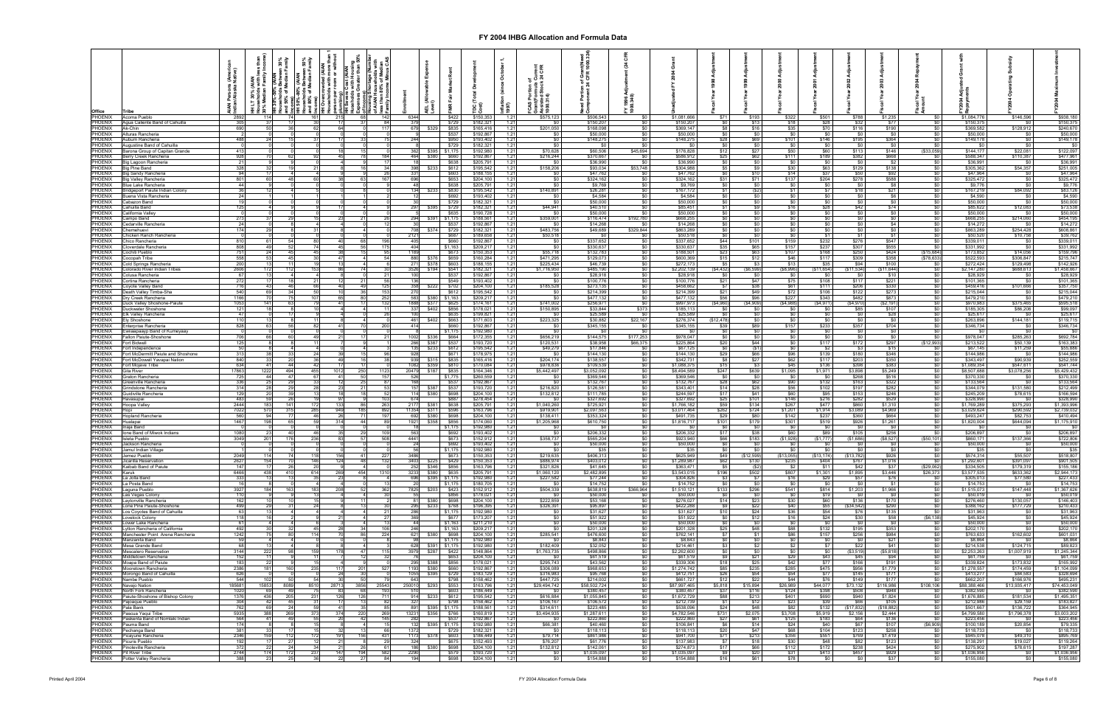| Office                           |                                                                            | Arie<br>Nativ  |                       | .30%<br>भागोy | n 50%<br>amily<br>৳    | itt<br>Som | Cost<br>with |                       |                                                 | Exper<br>로 (직<br>하이 |                               |                                               | ក់ គឺ<br>997)                  | និទ្ធិ<br>375.000<br>Praist<br>Saist<br>Saist |                           |                                      |                            |                            |                          |                           |                            |                         |                      |                                         |                            |                                           |                            |
|----------------------------------|----------------------------------------------------------------------------|----------------|-----------------------|---------------|------------------------|------------|--------------|-----------------------|-------------------------------------------------|---------------------|-------------------------------|-----------------------------------------------|--------------------------------|-----------------------------------------------|---------------------------|--------------------------------------|----------------------------|----------------------------|--------------------------|---------------------------|----------------------------|-------------------------|----------------------|-----------------------------------------|----------------------------|-------------------------------------------|----------------------------|
| PHOENIX<br>PHOENIX               | Acoma Pueblo<br>Agua Caliente Band of Cahuilla                             | -2892<br>305   | 114                   |               | -30                    | 215        | 68           | 142<br>84I            | 634<br>37                                       |                     | \$422<br>\$729                | \$150,353<br>\$182,321                        | 1.2<br>1.21                    | \$575,123<br>- \$0                            | \$506,543<br>\$150,207    | -50<br>\$0                           | \$1,081,666<br>\$150,207   | S71<br>- SO 1              | \$193<br>\$13            | \$322<br>\$18             | \$501<br>\$28              | \$788<br>\$32           | \$1,235<br>\$77      | -SO.<br>- \$0                           | \$1,084,776<br>\$150,375   | \$146,596<br>- SO                         | \$938,180<br>\$150,375     |
| PHOENIX<br>PHOENIX               | Ak-Chin<br>Alturas Rancheria                                               | 690            |                       |               |                        | 64         |              | 117                   |                                                 | \$329               | \$835<br>\$537                | \$165,416<br>\$192,867                        | $1.2^{\circ}$<br>1.21          | \$201,050                                     | \$168,098<br>\$50,000     | <b>SO</b> I                          | \$369,147<br>\$50,000      | - S8 I<br>SO I             | \$16<br>\$0              | \$35<br>\$0               | \$70<br>\$0                | \$116<br>\$0            | \$190<br><b>SO</b>   | <b>SO</b> 1<br>- \$0                    | \$369,582<br>\$50,000      | \$128,912<br>- SO 1                       | \$240,670<br>\$50,000      |
| PHOENIX<br>PHOENIX               | Auburn Rancheri<br>Augustine Band of Cahuilla                              | 488            |                       |               |                        |            |              |                       |                                                 |                     | \$950<br>\$729                | \$193,402<br>\$182,321                        | 1.2<br>1.2                     | \$0                                           | \$148,275<br>- \$0        | SO I<br>\$0                          | \$148,275<br>- \$0         | \$28<br>\$0                | \$69<br>SO.              | \$101<br>\$0              | \$146<br>\$0               | \$195<br>\$0            | \$364<br>\$0         | SO I<br>SO I                            | \$149.178<br>\$0           | SO I<br><b>SO</b>                         | \$149,178<br>SO.           |
| PHOENIX<br>PHOENIX               | Barona Group of Capitan Grande<br>lerry Creek Rancheria                    | 413<br>928     |                       |               |                        |            |              | 184                   | 362                                             | \$380               | \$395 \$1,175<br>\$660        | \$192,980<br>\$192,867                        | $1.2^{\circ}$<br>$1.2^{\circ}$ | \$70.628<br>\$216,244                         | \$60,506<br>\$370,667     | \$45.694                             | \$176,828<br>\$586,912     | \$12<br>\$25               | \$27<br>\$62             | \$50<br>\$111             | \$60<br>\$189              | \$113<br>\$382          | \$146<br>\$668       | (S33.059)<br>\$0                        | \$144,177<br>\$588,347     | \$22.081<br>\$110.387                     | \$122,097<br>\$477,961     |
| PHOENIX<br>PHOENIX               | 3ig Lagoon Rancheria<br>Big Pine Band                                      | $^{21}$<br>328 |                       |               |                        |            |              | 34                    |                                                 |                     | \$638<br>\$233 \$612          | \$205,791<br>\$195,542                        | $1.2^{\circ}$<br>$1.2^{\circ}$ | \$0<br>\$158,206                              | \$36,990<br>\$93,034      | <b>SO</b><br>\$53,748                | \$36,990<br>\$304,988      | \$0<br>\$5                 | SO.<br>\$9               | \$0<br>\$30               | \$0                        | $\frac{1}{20}$<br>\$129 | \$2<br>\$138         | \$0                                     | \$36,991<br>\$305,362      | \$0<br>\$54,357                           | \$36,991<br>\$251,005      |
| PHOENIX<br>PHOENIX               | Big Sandy Rancheria<br>Big Valley Rancheria                                | 94<br>801      |                       |               |                        |            |              | 26<br>167             |                                                 |                     | \$603<br>\$653                | \$188,15<br>\$204,100                         | 1.2<br>$1.2^{\circ}$           | \$0<br>\$0                                    | \$47,762<br>\$324,162     | \$0<br>\$0                           | \$47,762<br>\$324,162      | \$0<br>\$31                | \$10<br>\$71             | \$14<br>\$137             | $\frac{$63}{$37}$<br>\$204 | \$50<br>\$278           | \$92<br>\$588        | $\frac{$0}{$0}$<br>\$0                  | \$47,964<br>\$325,472      | SO I<br>\$0                               | \$47,964<br>\$325,472      |
| PHOENIX                          | Blue Lake Rancheria                                                        | 44             |                       |               |                        |            |              |                       |                                                 |                     | \$638                         | \$205.791                                     | $1.2^{\circ}$                  | so                                            | \$9,769                   | SO I                                 | \$9,769                    | so I                       | SO.                      | \$0                       | \$0                        | so I                    | \$8                  | $\frac{1}{20}$                          | \$9,776                    | SO I                                      | \$9,776                    |
| PHOENIX<br><b>PHOENIX</b>        | Bridgeport Paiute Indian Colony<br>Buena Vista Rancheri                    | 24             |                       |               |                        |            |              |                       |                                                 | \$233               | \$830<br>\$692                | \$195,542<br>\$193,402                        | 1.2<br>1.2                     | \$140,891<br>\$0                              | \$26,281<br>\$4,584       | \$0                                  | \$167,172<br>\$4,584       | \$1<br>- \$0 I             | (S2)<br>SO.              | \$1<br>\$0                | \$7<br>\$0                 | \$18<br>- SO 1          | \$21<br><b>\$6</b>   | $\frac{1}{20}$<br>\$0                   | \$167,219<br>\$4,590       | \$84,092<br>- \$0                         | \$83,126<br>\$4,590        |
| PHOENIX<br>PHOENIX               | Cabazon Band<br>Cahuilla Band                                              | 19<br>125      |                       |               |                        |            |              |                       |                                                 |                     | \$729<br>\$395 \$729          | \$182,321<br>\$182,32                         | $1.2^{\circ}$<br>$1.2^{\circ}$ | <b>SO</b><br>\$44,941                         | \$50,000<br>\$40,510      | <b>\$0</b><br>\$0                    | \$50,000<br>\$85,451       | \$0 I<br>SI I              | SO.<br>\$9               | <b>\$0</b><br>\$16        | <b>\$0</b><br>\$28         | <b>SO</b> 1<br>\$42     | <b>SO</b> I<br>\$74  | \$0<br><b>\$0</b>                       | \$50,000<br>\$85,622       | \$0<br>\$12,083                           | \$50,000<br>\$73,538       |
| PHOENIX<br>PHOENIX               | California Valle <sup>,</sup><br>Campo Band                                |                |                       |               |                        |            |              |                       |                                                 | \$391               | \$635<br>\$1 17               | \$190,728<br>\$188.56                         | 1.2<br>1 <sup>2</sup>          | -SO<br>\$359,001                              | \$50,000<br>\$116,474     | SO <sub>1</sub><br>192,780           | \$50,000<br>\$668,255      | \$0<br>so I                | SO.                      | \$0<br>SO.                | \$0<br>\$0                 | SO I<br>\$0             | \$0<br>\$0           | \$0<br>\$0                              | \$50,000<br>\$668.255      | \$0<br>\$214,060                          | \$50,000<br>\$454,195      |
| <b>PHOENIX</b><br><b>PHOENIX</b> | Cedarville Rancheria<br>Chemehuev:                                         | 24<br>174      |                       |               |                        |            |              |                       |                                                 | \$374               | \$537<br>\$729                | \$192,86<br>\$182,32                          | 1.21<br>1.21                   | - SO<br>\$483,756                             | \$14,268<br>\$49,689      | - \$0<br>\$329,844                   | \$14,268<br>\$863,289      | \$0<br>\$0                 | SO.<br>SO.               | SO I<br>\$0               | \$0<br>\$0                 | \$0<br>\$0              | \$4<br>\$0           | $\frac{1}{20}$<br>$\frac{1}{2}$         | \$14,272<br>\$863,289      | <b>SO</b><br>\$254,428                    | \$14,272<br>\$608,86       |
| PHOENIX<br>PHOENIX               | Chicken Ranch Rancheria<br>Chico Rancheria                                 | 810            | 61                    |               |                        | 40         |              | 196                   | 212<br>40                                       |                     | \$687<br>\$660                | \$189,658<br>\$192,867                        | 1.21<br>$1.2^{\circ}$          | \$50,518                                      | <b>SO</b><br>\$337,652    | \$0<br>\$0                           | \$50,518<br>\$337,652      | 50<br>\$44                 | <b>SO</b><br>\$101       | \$0 <sub>1</sub><br>\$159 | \$1<br>\$232               | \$1<br>\$276            | \$1<br>\$547         | \$0<br>\$0                              | \$50,520<br>\$339,011      | \$10,758<br>SO.                           | \$39,76<br>\$339,01        |
| PHOENIX<br>PHOENIX               | Cloverdale Rancheria<br>Cochiti Pueblo                                     | 808            |                       |               |                        | 45         |              |                       | 40 <sub>1</sub>                                 |                     | \$1,163<br>\$673              | \$209,217<br>\$150,35                         | 1.2'<br>$1.2^{\circ}$          | \$0<br>\$55,718                               | \$330,637<br>\$132,783    |                                      | \$330,637<br>\$188,501     | \$35<br>\$23               | \$65<br>\$63             | \$157<br>\$107            | \$237<br>\$168             | \$307<br>\$250          | \$555<br>\$424       | \$0<br>(\$15,684)                       | \$331,992<br>\$173,852     | S <sub>0</sub><br>\$14,056                | \$331,992<br>\$159,796     |
| PHOENIX<br>PHOENIX               | Cocopah Tribe                                                              | 558            |                       |               |                        | 47         |              | 54                    | 880<br>27'                                      | \$376               | \$659<br>\$603                | \$160,284<br>\$188,155                        | 1.2<br>$1.2^{\circ}$           | \$471,295                                     | \$129,073<br>\$46,739     | -90<br>-90                           | \$600,369                  | \$15                       | \$12                     | \$46<br>\$13              | \$117                      | \$309<br>\$94           | \$358<br>\$100       | (\$78,633)                              | \$522,593                  | \$306.847<br>\$129,498                    | \$215,747<br>\$142,926     |
| PHOENIX                          | Cold Springs Rancheria<br>Colorado River Indian Tribes                     | 200<br>2606    | 172                   |               |                        |            |              |                       | 352                                             | \$378               | \$194 \$541                   | \$182,321                                     | $-1.2^{\circ}$                 | \$225,434<br>\$1,716,950                      | \$485,190                 | -SO I                                | \$272,173<br>\$2,202,139   | \$5<br>$(\$4,432)$         | \$3<br>(S6, 599)         | (\$8,996)                 | \$35<br>(\$11,654)         | (\$11,534)              | \$11,644)            | - \$0<br>$\frac{1}{20}$                 | \$272,424<br>\$2,147,280   | \$688,613                                 | \$1,458,667                |
| PHOENIX<br>PHOENIX               | colusa Rancheria<br>cortina Rancheria                                      | - 67<br>272    |                       |               |                        |            |              |                       |                                                 |                     | \$537<br>\$549                | \$192,867<br>\$193,402                        | 1.2<br>1.2                     |                                               | \$28,918<br>\$100,776     | -SO.                                 | \$28,918<br>\$100,776      | <b>SO</b><br>\$21          | \$0<br>\$47              | \$0<br>\$75               | \$0<br>\$108               | \$0<br>\$117            | \$10<br>\$221        | <b>\$0</b><br>\$0                       | \$28,929<br>\$101,365      | - \$0<br>\$0                              | \$28,929<br>\$101,365      |
| PHOENIX<br>PHOENIX               | Coyote Valley Band<br>Death Valley Timba-Sha                               | 716<br>540     |                       |               |                        |            |              | 125<br>153            |                                                 | \$222               | \$702<br>\$612                | \$204,100<br>\$195,542                        | $1.2^{\circ}$<br>$1.2^{\circ}$ | \$185,528<br>SO.                              | \$273,135<br>\$214,399    | \$0<br>SO I                          | \$458,662<br>\$214,399     | \$7<br>\$21                | \$38<br>\$49             | \$61<br>\$72              | \$111<br>\$106             | \$206<br>\$122          | \$330<br>\$273       | SO I<br>$\frac{1}{20}$                  | \$459,416<br>\$215,044     | \$101,666<br>SO I                         | \$357,750<br>\$215,044     |
| PHOENIX<br>PHOENIX               | Ory Creek Rancheria<br>Duck Valley Shoshone-Paiute                         | 1166<br>1053   | 141                   |               |                        | 41         |              | 252<br>132            | 188                                             |                     | \$380 \$1.163<br>\$377 \$625  | \$209,217<br>\$174,161                        | 12<br>1.21                     | -SO<br>\$741,002                              | \$477.132<br>\$256,971    | sn <sub>1</sub><br>SO I              | \$477,132<br>\$997,973     | \$56<br>(\$4,960)          | \$96<br>( \$4,909)       | \$227<br>( \$4,988)       | \$343<br>(\$4,971)         | \$482<br>(\$4,970)      | \$873<br>(S2, 191)   | $\frac{$0}{$0}$                         | \$479,210<br>\$970,983     | $\frac{1}{20}$<br>\$375,465               | \$479,210<br>\$595,518     |
| PHOENIX<br>PHOENIX               | Duckwater Shoshone<br>Elk Valley Rancheria                                 | 121<br>- 47    |                       |               |                        |            |              | 11                    |                                                 |                     | \$402 \$856<br>\$635          | \$178,021<br>\$199,821                        | $1.2^{\circ}$<br>1.2           | \$150,895                                     | \$33,844<br>\$25,589      | \$373<br>- \$0                       | \$185,113<br>\$25,589      | \$0<br>\$0                 | \$0                      | \$0<br>\$0                | \$0<br>\$0                 | \$85<br>$\frac{1}{2}$   | \$107<br>\$28        | $\frac{$0}{$0}$                         | \$185,305<br>\$25,617      | \$86,208                                  | \$99,097<br>\$25,61        |
| PHOENIX<br>PHOENIX               | Ely Shoshone<br><b>Enterprise Rancheria</b>                                | 110<br>828     | 63                    |               | -82                    | 41         |              | 200                   | 414                                             | \$402               | \$663<br>\$660                | \$171,603<br>\$192,867                        | 1.2'<br>1.21                   | \$223,325<br>SO.                              | \$30,882<br>\$345,155     | \$22,167<br>\$0                      | \$276,374<br>\$345,155     | (\$12,478)<br>\$39         | \$0<br>\$89              | \$0<br>\$157              | \$0<br>\$233               | \$0<br>\$357            | \$0<br>\$704         | \$0<br><b>\$0</b>                       | \$263,896<br>\$346,734     | \$144,181<br>-SO                          | \$119,715<br>\$346,734     |
| PHOENIX<br>PHOENIX               | Ewiiaapaayp Band of Kumeyaay<br>Fallon Paiute-Shoshone                     |                |                       |               | -49                    |            |              |                       | 10 $c$                                          |                     | \$1,175<br>\$336 \$664        | \$192,980<br>\$172,35                         | 1.2<br>1.2                     | \$0<br>\$656,219                              | \$144,575                 | - \$0<br>\$177,253                   | \$978,047                  | SO I<br>- SO 1             | \$0<br>SO.               | \$0                       | \$0                        | SO I                    | \$0                  | \$0<br>- \$0                            | <b>SO</b><br>\$978,047     | - SO 1<br>\$285,263                       | \$692,784                  |
| PHOENIX                          | Fort Bidwell                                                               | 706<br>125     |                       |               |                        |            |              |                       |                                                 |                     | \$387 \$537                   | \$193,72                                      | 1.2                            | \$120,531                                     | \$38,958                  | \$66,375                             | \$225,864                  | \$20                       | \$44                     | \$0<br><b>\$0</b>         | \$0<br>\$117               | - SO 1<br>\$172         | - \$0<br>\$297       | (\$12,993)                              | \$213,522                  | \$50,139                                  | \$163,383                  |
| PHOENIX<br>PHOENIX               | Fort Independence<br>Fort McDermitt Paiute and Shoshone                    | -50<br>313     |                       |               |                        |            |              |                       |                                                 | \$233               | \$612<br>\$671                | \$195,542<br>\$178.97                         | $1.2^{\circ}$<br>1.21          | \$49,279<br>- \$0                             | \$17,846<br>\$144,130     | \$0<br>\$0                           | \$67,125<br>\$144,130      | <b>\$0</b><br>\$29         | (S1)<br>\$66             | \$0<br>\$96               | \$2<br>\$139               | <b>\$3</b><br>\$180     | \$15<br>\$346        | <b>SO</b><br>SO I                       | \$67,145<br>\$144,986      | \$11,259<br>- \$0                         | \$55,886<br>\$144,986      |
| <b>PHOENIX</b><br><b>PHOENIX</b> | Fort McDowell Yavapai Nation<br>Fort Mojave Tribe                          | 840<br>634     | 41                    |               |                        |            |              |                       |                                                 | \$315<br>\$359      | \$810                         | \$165.41<br>\$170,084                         | $1.2^{\circ}$                  | \$204,174<br>\$978,836                        | \$138,557<br>\$109,539    | SO I                                 | \$342,731<br>\$1,088,375   | \$15                       | \$27<br>\$3              | \$62<br>\$45              | \$117<br>\$136             | \$203<br>\$398          | \$350<br>\$383       | \$0<br>\$0                              | \$343,497<br>\$1,089,354   | \$90,939<br>\$547,611                     | \$252,55<br>\$541,744      |
| PHOENIX<br>PHOENIX               | Gila River<br>Graton Rancheria                                             | 17863<br>725   | 1222<br>44            | 494           | 455                    | 1012<br>41 | 250<br>50    | 1123<br>157           | 2047                                            | \$187               | \$835<br>\$1,775              | \$164,346<br>\$260,559                        | 1.21<br>12 <sup>7</sup>        | \$5,442,497<br>- \$0                          | \$3,052,092<br>\$369,546  | <b>SO</b><br><b>RO</b>               | \$8,494,589<br>\$369,546   | \$247<br>\$0 <sub>1</sub>  | \$639<br>$^{\circ}$ so   | \$1,095<br>\$0            | \$1,971<br>$\sqrt{50}$     | \$3,898<br>\$268        | \$5,249<br>\$516     | \$0<br>-so T                            | \$8,507,688<br>\$370,330   | \$3,078,256<br>- SO                       | \$5,429,43<br>\$370,33     |
| <b>PHOENIX</b><br>PHOENIX        | Greenville Rancheria<br>Grindstone Rancheria                               | 336<br>314     |                       |               |                        |            |              | 87                    |                                                 | \$387               | \$537<br>\$537                | \$192,86<br>\$193,720                         | $1.2^{\circ}$<br>$1.2^{\circ}$ | .SO<br>\$216,820                              | \$132,767<br>\$126.581    | SO <sub>1</sub>                      | \$132,76<br>\$343,401      | \$28<br>\$14               | \$62<br>\$28             | \$90<br>\$56              | \$132<br>\$102             | \$163<br>\$197          | \$322<br>\$282       | \$0<br>\$0                              | \$133,564<br>\$344,079     | \$0<br>\$131,580                          | \$133,564<br>\$212,499     |
| PHOENIX<br>PHOENIX               | Guidiville Rancheria<br>Havasupai                                          | 129<br>483     |                       |               |                        |            |              | 103                   |                                                 | \$380               | \$698<br>\$887                | \$204,100<br>\$278,454                        | $1.2^{\circ}$<br>1.2           | \$132,812<br>-90                              | \$111,78<br>\$327,692     | -90                                  | \$244,597<br>\$327,692     | \$17<br>\$25               | \$41<br>\$101            | \$60<br>\$146             | \$95<br>\$216              | \$153<br>\$282          | \$246<br>\$529       | \$0<br>\$0                              | \$245,209<br>\$328,990     | \$78,615<br>- \$0                         | \$166,59<br>\$328,990      |
| PHOENIX<br>PHOENIX               | Hoopa Valley<br>Hopi                                                       | 2444<br>7022   | 183<br>570            |               | 285                    | 133<br>949 | 1851         | 263<br>892            | 217<br>11354                                    | \$381               | \$638<br>\$311 \$596          | \$205,79<br>\$163,796                         | 1.2<br>$1.2^{\circ}$           | \$1,040,260<br>\$919,901                      | \$725,921<br>\$2.097.563  | -90<br>-SO I                         | \$1,766,182<br>\$3.017.464 | \$59<br>\$262              | \$134<br>\$724           | \$267<br>\$1,201          | \$477<br>\$1,914           | \$860<br>\$3,089        | \$1,310<br>\$4,969   | <b>SO</b> 1<br><b>SO</b> 1              | \$1,769,289<br>\$3,029,624 | \$375,293<br>\$290,592                    | \$1,393,996<br>\$2,739,032 |
| PHOENIX                          | <b>Hopland Rancheria</b>                                                   | 560            |                       |               |                        | 26         |              | 197                   | 69                                              |                     | \$380 \$698                   | \$204,100                                     | $1.2^{\circ}$                  | \$138,411                                     | \$353,324                 | \$0                                  | \$491,735                  | \$29                       | \$80                     | \$142                     | \$237                      | \$360                   | \$664                | SO I                                    | \$493,247                  | \$82,753                                  | \$410,494                  |
| PHOENIX<br>PHOENIX               | Hualapai<br>Inaja Band                                                     | 1467           |                       |               |                        | 314        |              |                       | 192                                             |                     | \$358 \$856<br>\$1,175        | \$174.06<br>\$192,98                          | $1.2^{\circ}$<br>$1.2^{\circ}$ | \$1,205,968<br>\$0                            | \$610,750<br>- \$0        | \$0                                  | \$1.816.717<br>-90         | \$101                      | \$179<br>\$0             | \$301<br>\$0              | \$519<br>\$0               | \$926<br>\$0            | \$1,261<br><b>SO</b> | so I<br>\$0                             | \$1,820,004<br>\$0         | \$644,094<br>\$0                          | \$1,175,910<br>\$0         |
| <b>PHOENIX</b><br>PHOENIX        | lone Band of Miwok Indians<br>Isleta Pueblo                                | 1080<br>3049   |                       |               |                        |            |              | 109<br>508            | 4441                                            |                     | \$692<br>\$673                | \$193,402<br>\$152,91                         | $1.2^{\circ}$<br>12            | SO.<br>\$358,737                              | \$206,332<br>\$565,204    | \$0<br>$\sin 1$                      | \$206,332<br>\$923,940     | \$17<br>\$66               | \$38<br>\$183            | \$60<br>(\$1,928)         | \$89<br>(\$1,777)          | \$105<br>(\$1,686)      | \$256<br>(S8.527)    | $\frac{1}{20}$<br>(\$50,101)            | \$206.897<br>\$860.171     | SO I<br>\$137,366                         | \$206,897<br>\$722,806     |
| PHOENIX<br>PHOENIX               | Jackson Rancheria<br>Jamul Indian Village                                  |                |                       |               |                        |            |              |                       |                                                 |                     | \$692<br>\$1,175              | \$193,402<br>\$192,980                        | $1.2^{\circ}$<br>1.21          | \$0                                           | \$50,000<br>\$35          | SO I<br>\$0                          | \$50,000<br>\$35           | \$0<br>\$0                 | \$0                      | \$0<br>\$0                | \$0<br>\$0                 | \$0<br>\$0              | -90<br>\$0           | \$0<br>\$0                              | \$50,000<br>\$35           | \$0                                       | \$50,000<br>\$35           |
|                                  | PHOENIX Jemez Pueblo<br>PHOENIX Jicarilla Reservation                      | 2049<br>2627   | 154                   |               | 146                    | 156<br>124 |              | 227<br>132            | 3403                                            |                     | \$673<br>\$225 \$429          | \$150,353<br>\$150,353                        | $-1.2$<br>1.21                 | \$219,635<br>\$886.974                        | \$406,313<br>\$403,012    | \$0                                  | \$625,949<br>\$1,289,987   | \$49<br>\$62               | (\$12,599<br>\$130       | (\$13,055<br>\$235        | (S13, 174)<br>\$404        | (\$13,782)<br>\$767     | \$926<br>\$1,016     | \$0<br>SO I                             | \$574,314<br>\$1,292,601   | \$55,507<br>\$391,097                     | \$518,807<br>\$901,505     |
| PHOENIX Karuk                    | PHOENIX Kaibab Band of Paiute                                              | 147<br>6466    | 17<br>438             | -26<br>410    | 20<br>614              | - 9<br>269 | 454          | 1310                  | 252<br>323                                      |                     | \$346 \$856<br>\$380 \$635    | \$163,796<br>\$205,791                        | 1.21<br>1.21                   | \$321.826<br>\$1,060,120                      | \$41,645<br>\$2,482,895   | <b>SO</b><br>\$0                     | \$363,471<br>\$3,543,015   | \$5<br>\$196               | (S2)<br>\$502            | \$2<br>\$807              | \$11<br>\$1,301            | \$42<br>\$1,895         | \$37<br>\$3,446      | (\$29,062)<br>\$26,373                  | \$334,505<br>\$3,577,535   | \$179,319<br>\$633,362                    | \$155,186<br>\$2,944,173   |
|                                  | PHOENIX La Jolla Band<br>PHOENIX La Posta Band                             | 333<br>16      | - 13                  |               | 35<br>41               | - 23       |              | 13                    | 696                                             |                     | \$395 \$1,175<br>\$1,175      | \$192,980<br>\$180,705                        | 1.21<br>1.21                   | \$227,582<br>- \$0                            | \$77,244<br>\$14,752      | - SO 1<br>\$0                        | \$304,826<br>\$14,752      | \$3<br><b>\$0</b>          | <b>S7</b><br>\$0         | \$16<br>\$0               | \$29<br>\$0                | \$57<br>SO I            | \$76<br><b>S1I</b>   | - \$0<br>- SO 1                         | \$305,013<br>\$14,753      | \$77,580<br>$\mathbb{S}^0$                | \$227,433<br>\$14,753      |
|                                  | PHOENIX Laguna Pueblo<br>PHOENIX Las Vegas Colony                          | 3927<br>110    | 184                   | 163           | 183<br>13 <sup>1</sup> | 208        | -521         | 362<br>30             | 7825                                            |                     | \$203 \$423<br>\$856          | \$152,912<br>\$178,021                        | 1.21<br>1.21                   | \$504,339<br>- 50                             | \$638,819<br>\$50,000     | \$366,964<br>\$0                     | \$1,510,121<br>\$50,000    | \$133<br>- SO 1            | \$296<br><b>SO</b>       | \$541<br><b>SO</b>        | \$814<br>\$19              | \$1,203<br>- SO         | \$1,966<br>- \$0     | <b>SO</b> I<br>SO I                     | \$1,515,073<br>\$50,019    | \$147,448<br>- \$0                        | \$1,367,626<br>\$50,019    |
|                                  | PHOENIX Laytonville Rancheria                                              | 162            |                       |               |                        |            |              |                       |                                                 |                     | \$380 \$698                   | \$204,100                                     | $1.2^{\circ}$                  | \$222,859                                     | \$53,168                  | \$0                                  | \$276,027                  | \$14                       | \$23                     | \$30                      | \$60                       | \$136                   | \$170                | \$0                                     | \$276,460                  | \$130.057                                 | \$146,403                  |
|                                  | PHOENIX Lone Pine Paiute-Shoshone<br>PHOENIX Los Coyotes Band of Cahuilla  | 499<br>63      | 29<br>13 <sup>1</sup> |               | 24<br>$\overline{a}$   | 41         |              | 30 <sup>1</sup><br>21 |                                                 |                     | \$233 \$768<br>\$1,175        | \$196,395<br>\$192,980                        | 1.21<br>1.21                   | \$326,391<br>\$0                              | \$95,897<br>\$31,627      | <b>\$0</b><br>\$0                    | \$422,288<br>\$31,627      | <b>\$9</b> I<br>\$10       | \$22<br>\$24             | \$40<br>\$36              | \$55<br>\$54               | (\$34,542)<br>\$76      | \$290<br>\$135       | SO I<br>SO I                            | \$388.162<br>\$31,963      | \$177,729<br>- SO 1                       | \$210,433<br>\$31,963      |
|                                  | PHOENIX Lovelock Colony<br>PHOENIX Lower Lake Rancheria                    | 118<br>61      | 16                    |               |                        | $-21$      |              | - 27<br>13            | 369                                             |                     | S677<br>\$1,163               | \$173,207<br>\$211,210                        | 1.21<br>1.21                   | - SO 1<br>\$0                                 | \$51,922<br>\$50,000      | $\frac{1}{2}$<br>SO I                | \$51,922<br>\$50,000       | $\frac{1}{2}$<br>\$0       | \$12<br>-SO              | \$16<br>\$0               | \$24<br>\$0                | \$30<br>so I            | \$58<br>\$0          | $($ \$6,138)<br>SO I                    | \$45,924<br>\$50,000       | SO<br>\$0                                 | \$45,924<br>\$50,000       |
| PHOENIX                          | PHOENIX Lytton Rancheria of California<br>Manchester Point Arena Rancheria | 492<br>1242    |                       |               |                        | 28         |              | 106<br>224            | 62                                              |                     | \$1,163<br>\$380 \$698        | \$209,217<br>\$204,100                        | 1.21<br>1.21                   | so<br>\$285,541                               | \$201.328<br>\$476,600    | SO <sub>1</sub>                      | \$201,328<br>\$762,141     | \$25<br>- S7 I             | \$48<br>\$1              | \$88<br>\$86              | \$132<br>\$157             | \$195<br>\$256          | \$353<br>\$984       | \$0<br>$\frac{1}{20}$                   | \$202,170<br>\$763,633     | \$0<br>\$162,602                          | \$202,170<br>\$601,031     |
|                                  | PHOENIX Manzanita Band<br>PHOENIX Mesa Grande Band                         | -59<br>68      | -131                  |               |                        |            |              |                       | 628                                             |                     | \$1,175<br>\$391 \$1,175      | \$192,980<br>\$192,980                        | 1.21<br>1.21                   | \$0<br>\$182,409                              | \$8,843<br>\$32,052       | <b>SO</b> I<br>\$0 I                 | \$8,843<br>\$214,461       | <b>\$0</b> I<br><b>\$3</b> | <b>SO</b><br>- \$2 I     | <b>\$0</b><br>-\$2 I      | \$0<br>- \$7               | - \$0 I<br>\$22         | \$21<br><b>\$41</b>  | <b>SO</b> 1<br>SO 1                     | \$8,864<br>\$214,538       | - 30<br>\$124,715                         | \$8,864<br>\$89,823        |
|                                  | PHOENIX Mescalero Reservation<br>PHOENIX Middletown Rancheria              | 3144<br>152    | 222<br>111            | -98           | 159<br>11              | 178        | - 47<br>- 12 | 115<br>32             | 3979                                            |                     | \$653                         | \$287 \$422 \$148,864<br>\$204,100            | 1.21<br>1.21                   | \$1,763,735<br>\$0                            | \$498.866<br>\$61,519     | <b>\$0</b><br><b>\$0</b>             | \$2,262,600<br>\$61,519    | - SO I<br><b>\$9</b> I     | SO I<br>\$21             | <b>SO</b><br>\$29         | <b>\$0</b>  <br>\$43       | (\$3,519)<br>\$45       | (S5, 818)<br>\$94    | <b>SO</b><br>SO I                       | \$2,253,263<br>\$61,759    | \$1,007,919<br>\$0                        | \$1,245,344<br>\$61,759    |
|                                  | PHOENIX Moapa Band of Paiute<br>PHOENIX Mooretown Rancheria                | 183<br>2386    | 181                   |               | 235                    | 117        | 201          | 527                   | 1193                                            |                     | \$388 \$856<br>\$380 \$660    | \$178,021<br>\$192,867                        | 1.21<br>1.21                   | \$295,743<br>\$306,089                        | \$43,562<br>\$968,653     | SO I<br>\$0 <sub>1</sub>             | \$339,306<br>\$1,274,742   | \$18<br>\$85               | \$25<br>\$235            | \$42<br>\$285             | \$77<br>\$475              | \$166<br>\$956          | \$191<br>\$1,779     | \$0<br>SO I                             | \$339,824<br>\$1,278,557   | \$173,832<br>\$174,459                    | \$165,992<br>\$1,104,099   |
|                                  | PHOENIX Morongo Band of Cahuilla                                           | 626            |                       |               |                        | 24         | 30           |                       | 1055                                            |                     | \$395 \$729                   | \$183,129                                     | 1.21                           | \$316,983                                     | \$95,768                  | SO I                                 | \$412,751                  | \$26                       | \$54                     | \$54                      | \$77                       | \$145                   | \$171                | <b>SO</b>                               | \$413,277                  | \$84,583                                  | \$328,694                  |
|                                  | PHOENIX Nambe Pueblo<br>PHOENIX Navajo Nation                              | 544<br>185681  | 102                   | 15853 8089    | 54                     | 30         | 50.          | 79                    | 643<br>8510 28713 3856 25543 250010 \$293 \$553 |                     | \$798                         | \$158,462<br>\$163,796                        | 1.21<br>1.21                   | \$447,725<br>\$29,494,742                     | \$214,002<br>\$58,502,724 | \$0<br>\$0                           | \$661,727<br>\$87,997,465  | \$12                       | \$22<br>\$5,818 \$15,894 | \$44<br>\$26,989          | \$76<br>\$44,077           | \$149<br>\$73,132       | \$177<br>\$116,986   | $\boldsymbol{\mathsf{S}}$<br>\$108, 106 | \$662,207<br>\$88,388,466  | \$166,976<br>\$13,935,417                 | \$495,231<br>\$74,453,049  |
| PHOENIX<br>PHOENIX               | North Fork Rancheria<br>Paiute-Shoshone of Bishop Colony                   | 1020<br>1376   | 69<br>436             |               | 231                    | 83<br>126  | 68<br>126    | 193<br>711            | 510<br>914                                      |                     | \$603<br>$$233$ $$612$        | \$186,449<br>\$195,542                        | 1.21<br>$1.2^{\circ}$          | \$616,884                                     | \$380,457<br>\$1,055,845  | \$0<br>\$0                           | \$380,457<br>\$1,672,729   | \$37<br>\$88               | \$116<br>\$213           | \$124<br>\$401            | \$398<br>\$690             | \$508<br>\$940          | \$948<br>\$1,824     | $\frac{1}{20}$<br>\$0                   | \$382,590<br>\$1,676,885   | $\overline{\phantom{0}}$ \$0<br>\$181,534 | \$382,590<br>\$1,495,35    |
| PHOENIX Pala Bank                | PHOENIX Pajoaque Pueblo                                                    | 304<br>762     | 42<br>69              | -24           | 31<br>59               | -41        | -351         | 82<br>85              | 327<br>891                                      |                     | <b>\$798</b><br>\$395 \$1,175 | \$158,462<br>\$188.561                        | 1.21<br>1.21                   | \$106,167<br>\$314,611                        | \$106,572<br>\$223,485    | <b>\$0</b><br><b>\$0</b>             | \$212,739<br>\$538,096     | <b>\$1</b><br>\$24         | \$12<br>\$48             | \$23<br>\$82              | \$39<br>\$132              | \$66<br>(\$17,832)      | \$105<br>(\$18,882)  | <b>\$0</b>  <br><b>SO</b>               | \$212,986<br>\$501,667     | \$29,159<br>\$136,722                     | \$183,827<br>\$364.945     |
|                                  | PHOENIX Pascua Yaqui Tribe<br>PHOENIX Paskenta Band of Nomlaki Indian      | 5935<br>564    | 388<br>41             | 269<br>- 49   | 373<br>55              | 374<br>20  | 220<br>- 42  | 269<br>145            | 13231<br>282                                    |                     | \$356 \$766<br>\$537          | \$160,819<br>\$192,867                        | 1.21<br>1.21                   | \$3,494,935<br>$\sim$ SO                      | \$1,287,611<br>\$222,860  | <b>\$0</b><br>- SO I                 | \$4,782,546<br>\$222,860   | \$731<br>\$27              | \$2,075<br>\$61          | \$3,708<br>\$125          | \$5,919<br>\$183           | \$2,156<br>\$64         | \$2,444<br>\$136     | \$0<br>- \$0 I                          | \$4,799,580<br>\$223,456   | \$1,796,378<br><b>SO</b>                  | \$3,003,202<br>\$223,456   |
| PHOENIX Pauma Band               | PHOENIX Pechanga Band                                                      | 174<br>381     | -331                  |               | 15<br>15               | 32         | -131         | 15<br>66              | 132<br>1372                                     |                     | \$395 \$1,175<br>\$729        | \$192,980<br>\$182,321                        | 1.21<br>1.21                   | \$66,381<br>\$0                               | \$40,460<br>\$118,113     | <b>\$0</b><br><b>\$0</b>             | \$106,841<br>\$118,113     | \$6<br>\$20                | \$14<br>\$47             | \$24<br>\$68              | \$40<br>\$104              | \$67<br>\$123           | \$107<br>\$258       | $(\$6,909)$<br>- SO 1                   | \$100,189<br>\$118,733     | \$20,854<br>$\mathcal{S}0$                | \$79,335<br>\$118,733      |
|                                  | PHOENIX Picayune Rancheria<br>PHOENIX Picuris Pueblo                       | 2346<br>192    | 159                   | 112           | 172                    | 191<br>21  | 156          | 431                   | 1173                                            |                     | \$378 \$603<br>\$675          | \$186,449<br>\$152,493                        | 1.21<br>1.21                   | \$79,714<br>\$76,207                          | \$861,986<br>\$61,776     | \$0 <sub>1</sub><br>\$0 <sub>1</sub> | \$941,700<br>\$137.983     | <b>\$71</b><br><b>S7</b>   | \$213<br>\$18            | \$356<br>\$30             | \$551<br>\$48              | \$769<br>\$82           | \$1,419<br>\$123     | SO I<br>\$0                             | \$945,078<br>\$138,291     | \$49,310<br>\$19,027                      | \$895,769<br>\$119,264     |
|                                  | PHOENIX Pinoleville Rancheria                                              | 372<br>2744    | 22                    | -241<br>172   | 34                     | 21         | -261         | 61                    | 186                                             |                     | \$380 \$698                   | \$204,100                                     | 1.21                           | \$132,812                                     | \$142,061<br>\$1,035,097  | SO <sub>1</sub><br>\$0 <sub>1</sub>  | \$274,873<br>\$1,035,097   | \$17                       | \$66                     | \$112                     | \$172                      | \$238                   | \$424                | $\frac{1}{2}$                           | \$275,902                  | \$78,615                                  | \$197,287                  |
|                                  | PHOENIX Pit River Tribe<br>PHOENIX Potter Valley Rancheria                 | 388            | 174<br>23             | - 25          | 237<br>36              | 147<br>22  | 194<br>27    | $\frac{582}{84}$      | $\frac{2290}{194}$                              |                     |                               | $\frac{1}{5579}$ \$193,720<br>\$698 \$204,100 | 1.21<br>1.21                   | \$0<br>\$0                                    | \$154,888                 | $\$0$                                | \$154,888                  | \$9<br>\$16                | \$20<br>\$61             | \$31<br>\$78              | \$413<br>\$0               | \$457<br>\$0            | \$929<br>\$37        | $\frac{$0}{0}$                          | \$1,036,956<br>\$155,080   | <b>\$0</b><br>\$0                         | \$1,036,956<br>\$155,080   |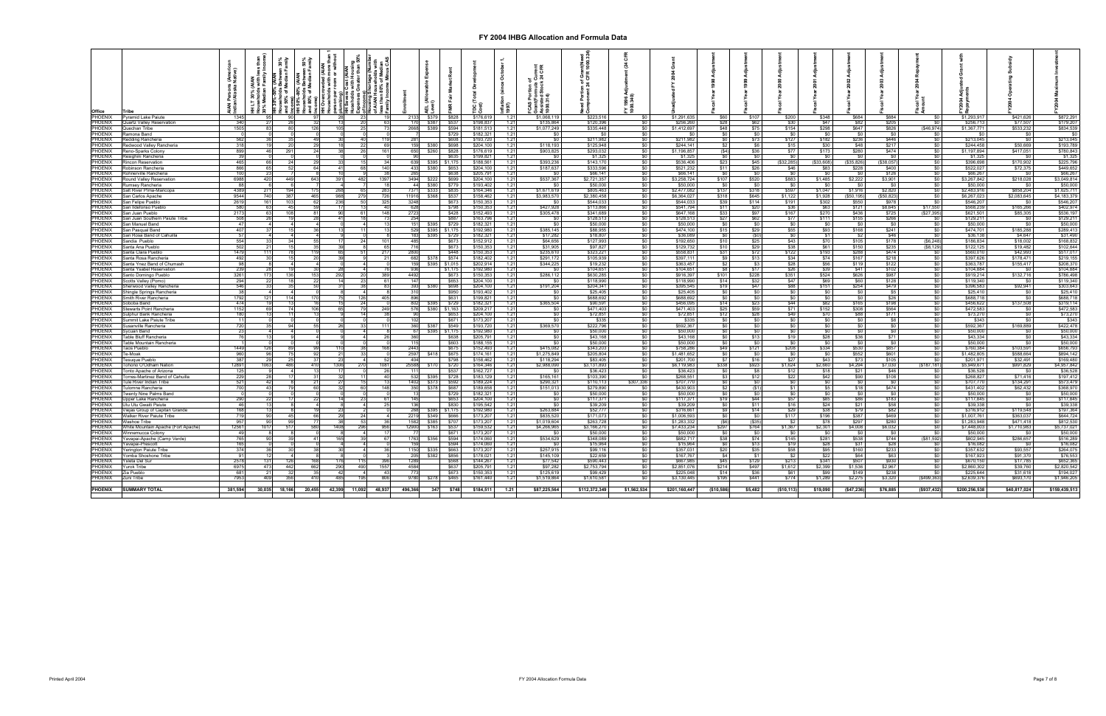|                    |                                     |                    | %so.<br>amil<br>ousing<br>than 50°                                                       |        |                          |               |           |                 |                                                       |               |                  |                             |                                 |                 |                |                  |               |                 |               |                 |               |
|--------------------|-------------------------------------|--------------------|------------------------------------------------------------------------------------------|--------|--------------------------|---------------|-----------|-----------------|-------------------------------------------------------|---------------|------------------|-----------------------------|---------------------------------|-----------------|----------------|------------------|---------------|-----------------|---------------|-----------------|---------------|
|                    |                                     |                    |                                                                                          |        |                          |               |           |                 | 통동                                                    |               |                  |                             |                                 |                 |                |                  |               |                 |               |                 |               |
|                    |                                     | (Americ<br>Native) | $\vec{a}$ $\vec{e}$ $\vec{b}$                                                            |        | 흕<br>따                   |               |           |                 |                                                       |               |                  |                             |                                 |                 |                |                  |               |                 |               |                 |               |
|                    |                                     |                    |                                                                                          |        |                          |               |           |                 |                                                       |               |                  |                             |                                 |                 |                |                  |               |                 |               |                 |               |
|                    |                                     |                    | s Between 50%<br>Median Family<br>Cost (AIAN<br>with Housii<br>30% (AIAN<br>holds with I |        |                          |               |           |                 |                                                       |               |                  |                             | 1999                            |                 |                |                  |               |                 |               |                 |               |
|                    |                                     |                    |                                                                                          |        |                          |               |           |                 |                                                       |               |                  |                             |                                 |                 |                |                  |               |                 |               |                 |               |
|                    |                                     |                    | ిం<br>iveson per<br>person per<br>plumbing)<br>HH Severe                                 |        |                          |               |           |                 | FCAS Portic<br>Grant(Form<br>Assisted St<br>1000.314) |               |                  |                             |                                 |                 |                |                  |               |                 |               |                 |               |
|                    |                                     |                    |                                                                                          |        |                          |               |           |                 |                                                       |               |                  |                             |                                 |                 |                |                  |               |                 |               |                 |               |
|                    |                                     |                    | HH LT :<br>Househ<br>30% Me                                                              |        | 티 (All<br>evel)          |               |           |                 |                                                       |               |                  |                             |                                 |                 |                |                  |               |                 |               |                 |               |
|                    |                                     |                    |                                                                                          |        |                          |               |           | າແສະ<br>997)    |                                                       |               |                  |                             |                                 |                 |                |                  |               |                 |               |                 |               |
| Office             | <b>Tribe</b>                        |                    |                                                                                          |        |                          |               |           |                 |                                                       |               |                  |                             |                                 |                 |                |                  |               |                 |               |                 |               |
| PHOENIX            | <b>Pyramid Lake Paiute</b>          | 134                |                                                                                          |        | \$379<br>213             | \$828         | \$176,619 | $1.2^{\circ}$   | \$1,068,119                                           | \$223,516     |                  | \$1,291,635                 | \$107<br>\$60                   | \$200           | \$348          | \$684            | \$884         |                 | \$1,293.917   | \$421,626       | \$872,291     |
| PHOENIX            | Quartz Valley Reservation           | 340                |                                                                                          |        | \$387                    | \$537         | \$198,837 | 1.2             | \$135,864                                             | \$120,396     |                  | \$256,260                   | \$28<br>\$62                    | \$30            | \$47           | \$82             | \$205         |                 | \$256,713     | \$77.507        | \$179,207     |
| PHOENIX            | Quechan Tribe                       | 150                |                                                                                          |        | 266                      | $$389$ $$594$ | \$181.513 | 1.21            | \$1,077,249                                           | \$335,448     | -90              | \$1,412,697                 | \$48<br>\$75                    | \$154           | \$298          | \$647            | \$826         | ( \$46.974)     | \$1,367,771   | \$533,232       | \$834,539     |
| PHOENIX            | Ramona Band                         |                    |                                                                                          |        |                          | \$729         | \$182,321 | 1.21            | \$0                                                   | \$0           | 3<br>D           | <b>SO</b>                   | \$0<br>\$0                      | \$0             | \$0            | \$0              | \$0           | \$0             | <b>SO</b>     | $\frac{1}{2}$   | \$0           |
| PHOENIX            |                                     |                    |                                                                                          |        |                          | \$608         | \$193.72  | 12 <sup>5</sup> |                                                       | \$211,982     |                  | \$211.982                   | m.<br>\$73                      | \$127           | \$182          | \$236            | <b>\$446</b>  | SO.             | \$213,045     | \$0             | \$213,045     |
|                    | edding Rancheria                    |                    |                                                                                          |        |                          |               |           |                 |                                                       |               |                  |                             |                                 |                 |                |                  |               |                 |               |                 |               |
| PHOENIX            | Redwood Valley Rancheria            |                    |                                                                                          | 69     |                          | \$380 \$698   | \$204,100 | 1.21            | \$118,193                                             | \$125,948     |                  | \$244,141                   | \$2<br>\$6                      | \$15            | \$30           | \$48             | \$217         | \$0             | \$244,458     | \$50,669        | \$193,789     |
| PHOENIX            | Reno-Sparks Colony                  | 899                | 46<br>-24                                                                                | 161    |                          | \$260 \$828   | \$176,619 | 1.21            | \$903,825                                             | \$293,032     | -SO I            | \$1,196,857                 | \$36<br>(\$4)                   | \$77            | \$173          | \$280            | \$474         | \$0             | \$1,197,894   | \$417,051       | \$780,843     |
| PHOENIX            | esighini Rancheria                  |                    |                                                                                          |        |                          | \$635         | \$199.82  | 1.21            |                                                       | \$1,325       | SO I             | \$1,325                     | \$0 <sub>1</sub><br>-SO         | \$0             | \$0            | SO.              | \$0           | \$0             | \$1,325       | - \$0           | \$1,325       |
| PHOENIX            | lincon Reservation                  | 465                | 66                                                                                       |        | \$395                    | \$1,175       | \$188,56  | 1.21            | \$393,236                                             | \$143,170     | \$0              | \$536,406                   | \$23<br>\$45                    | (\$32,285)      | (\$33,608)     | (\$35,826)       | \$38,057)     | \$O             | \$396,698     | \$170,902       | \$225,796     |
| PHOENIX            | obinson Rancheria                   | 866                | 65<br>41                                                                                 | 140    | \$380                    | \$653         | \$204,10  | 1.21            | \$187,637                                             | \$333,596     | \$0              | \$521,232                   | \$11<br>\$26                    | \$46            | \$83           | \$228            | \$400         | \$O             | \$522,027     | \$72,375        | \$449,652     |
| PHOENIX            | ohnerville Rancheria                |                    | 23                                                                                       |        |                          | \$638         | \$205,79  | 1.21            |                                                       | \$66,141      | \$0 <sub>1</sub> | \$66,141                    | $50-1$<br>\$0                   | \$0             | \$0            | \$0              | \$126         | \$0             | \$66,267      |                 | \$66,26       |
| PHOENIX            | ound Vallev Reservatio              | 698                | 420<br>391<br>643<br>44<br>48                                                            | 1397   | 349<br>\$222             | \$699         | \$204,100 | 1.21            | \$537,367                                             | \$2,721,357   | <b>SO</b>        | \$3,258,724                 | \$107<br>\$520                  | \$883           | \$1,485        | \$2,222          | \$3,901       | \$0             | \$3,267,842   | \$218,028       | \$3,049,814   |
| PHOENIX            |                                     |                    |                                                                                          |        |                          |               |           |                 |                                                       |               |                  |                             |                                 |                 |                | .SO              |               |                 |               |                 |               |
|                    | umsey Rancheria                     |                    |                                                                                          |        | \$380                    | \$779         | \$193,402 | 1.21            |                                                       | \$50,000      | \$0              | \$50,000                    | \$0<br>\$0                      | \$0             | $\frac{1}{2}$  |                  | $\sqrt{50}$   | \$0             | \$50,000      |                 | \$50,000      |
| Phoenix            | Salt River Plma-Maricopa            | 438                | 271<br>268                                                                               | 283    | 7371                     | $$333$ $$835$ | \$164,346 | $1.2^{\circ}$   | \$1,671,619                                           | \$805,463     | 50               | \$2,477,082                 | \$137<br>\$318                  | \$597           | \$1,047        | \$1,916          | \$2,820       | \$0             | \$2,483,916   | \$858,204       | \$1,625,711   |
| PHOENIX            | San Carlos Apache                   | 9544               | 740<br>988<br>465<br>27                                                                  | 726    | 11916                    | \$368 \$537   | \$158,462 | 1 21            | \$3,983,570                                           | \$2,380,458   | \$0 <sub>1</sub> | \$6,364,027                 | \$318<br>\$645                  | \$1,122         | \$1,928        | ( \$50, 195)     | ( \$50.823)   | \$0             | \$6,267,023   | \$2,083,645     | \$4,183,379   |
| PHOENIX            | an Felipe Pueblo                    |                    | 161<br>236                                                                               |        | 324                      | \$673         | \$150,353 | 1.21            |                                                       | \$544,033     | \$0              | \$544,033                   | \$114<br>\$39                   | \$191           | \$302          | \$550            | \$978         | \$0             | \$546,207     |                 | \$546,207     |
| PHOENIX            | an Ildefonso Pueblo                 |                    | 63                                                                                       | 40     | 628                      | \$798         | \$150,353 | $1.2^{\circ}$   | \$427,928                                             | \$113,866     | \$0              | \$541,794                   | \$20<br>\$11                    | \$36            | \$63           | \$121            | \$8,645       | \$17,550        | \$568,239     | \$165,266       | \$402,974     |
| PHOENIX            | an Juan Pueblo                      | 217                | 63                                                                                       | 148    | 272                      | \$428         | \$152,493 | $1.2^{\circ}$   | \$305,478                                             | \$341,689     | \$0              | \$647,168                   | \$33<br>\$97                    | \$167           | \$270          | \$436            | \$725         | (\$27,395)      | \$621,501     | \$85,305        | \$536,197     |
| PHOENIX            | San Juan Southern Paiute Tribe      |                    | 26<br>41                                                                                 |        | 254                      | \$887         | \$163,796 | 12 <sup>5</sup> |                                                       | \$128,513     | \$0              | \$128,513                   | \$27                            | \$77            | \$111          | \$155            | \$266         |                 | \$129,211     | \$0             | \$129,211     |
| PHOENIX            | San Manuel Band                     |                    |                                                                                          |        | 151<br>\$395             | \$729         | \$182,321 | 1.21            |                                                       | \$50,000      | SO               | \$50,000                    | $\frac{$62}{$0}$<br>$\sqrt{50}$ | \$0             | $\frac{1}{2}$  | $\overline{50}$  | \$0           | $rac{$0}{$0}$   | \$50,000      | $\frac{1}{20}$  | \$50,000      |
|                    |                                     |                    |                                                                                          |        |                          |               |           |                 |                                                       |               |                  |                             |                                 |                 |                |                  |               |                 |               |                 |               |
| PHOENIX            | an Pasqual Band                     |                    |                                                                                          |        | 529                      | \$395 \$1.175 | \$192,980 | 1.21            | \$385.145                                             | \$88,955      | \$0 <sub>1</sub> | \$474,100                   | \$29<br>\$15                    | \$55            | \$93           | \$168            | \$241         | \$0             | \$474,701     | \$185,288       | \$289,413     |
| PHOENIX            | San Rosa Band of Cahuilla           |                    |                                                                                          |        |                          | \$395 \$729   | \$182,32  | 1.2             | \$17,282                                              | \$18,807      | 50               | \$36,089                    | (50)<br>\$0                     | \$0             | \$1            | \$2              | \$46          | \$0             | \$36,138      | \$4,647         | \$31,490      |
| PHOENIX            | Sandia Pueblo                       | 554                | 33                                                                                       | 101    | 485                      | \$673         | \$152,912 | 1.21            | \$64,656                                              | \$127,993     | <b>SO</b>        | \$192,650                   | \$25<br>\$10                    | \$43            | \$70           | \$105            | \$178         | (\$6,248)       | \$186,834     | \$18,002        | \$168,832     |
| PHOENIX            | Santa Ana Pueblo                    | 502                | 21<br>35<br>.39                                                                          | - 65   |                          | \$673         | \$150,35  | 1.21            | \$31,905                                              | \$97,827      | <b>SO</b>        | \$129,732                   | \$29<br>\$10                    | \$38            | $\frac{1}{60}$ | \$150            | \$235         | (\$8, 129)      | \$122,125     | \$19,482        | \$102,644     |
| PHOENIX            | Santa Clara Pueblo                  | 1479               | 111<br>11<br>65                                                                          |        | 280                      | \$448         | \$150,35  | $1.2^{\circ}$   | \$235,61                                              | \$323,221     | \$0              | \$558.831                   | \$31<br>\$72                    | \$122           | \$193          | \$288            | <b>\$474</b>  | \$0             | \$560,010     | \$42,993        | \$517,01      |
| PHOENIX            | Santa Rosa Rancheria                | 49                 | 30 <sup>2</sup>                                                                          |        | 68                       | \$378 \$574   | \$182,402 | 1.21            | \$291,17                                              | \$105,939     | \$0 <sub>1</sub> | \$397,111                   | \$9<br>\$13                     | \$34            | \$74           | \$167            | \$218         | \$0             | \$397,626     | \$178,471       | \$219,155     |
|                    |                                     |                    |                                                                                          |        | 150                      | \$395 \$1,015 | \$202,914 | 1.21            | \$344,22                                              | \$19,232      | - ≏∩ I           | \$363,457                   | \$2<br>\$3                      | \$28            | \$56           | \$119            | \$122         | \$0             | \$363,787     |                 | \$208,37      |
| PHOENIX<br>PHOENIX | Santa Ynez Band of Chumash          |                    |                                                                                          |        |                          |               |           |                 |                                                       |               |                  |                             |                                 |                 |                |                  |               |                 |               | \$155,417       |               |
|                    | Santa Ysabel Reservation            |                    | 30<br>28                                                                                 |        | 936                      | \$1.175       | \$192,980 | 1.21            |                                                       | \$104.651     | \$0              | \$104,651                   | \$17<br>\$8                     | \$26            | \$39           | \$41             | \$102         | 50 <sup>1</sup> | \$104.884     | − \$∩           | \$104.884     |
| PHOENIX            | anto Domingo Pueblo                 | 3261               | 173<br>292<br>153                                                                        | 389    | 449                      | \$673         | \$150,353 | 1.21            | \$286,112                                             | \$630,285     | \$0 <sub>1</sub> | \$916,397                   | \$101<br>\$228                  | \$351           | \$524          | \$626            | \$987         | \$0             | \$919,214     | \$132,716       | \$786,498     |
| PHOENIX            | cotts Valley (Pomo)                 |                    | 11                                                                                       | 61     | 14.7                     | \$653         | \$204,10  | 1.21            |                                                       | \$118,990     | \$0 <sub>1</sub> | \$118,990                   | \$14<br>\$32                    | \$47            | \$69           | \$60             | \$128         | \$0             | \$119,340     | \$0             | \$119,340     |
| Phoenix            | Sherwood Vallev Rancheria           | 546                |                                                                                          |        | 393                      | \$380   \$698 | \$204,100 | 1.21            | \$191,204                                             | \$204,341     | <b>SO</b>        | \$395,545                   | \$47<br><b>S19</b>              | \$88            | \$151          | \$254            | \$479         | \$0             | \$396,583     | \$92,941        | \$303,643     |
| PHOENIX            | hingle Springs Rancheria            |                    |                                                                                          |        |                          | \$950         | \$193.402 | $1.2^{\circ}$   |                                                       | \$25,405      | SO I             | \$25,405                    | <b>\$0</b><br><b>SO</b>         | \$0             | \$0            | <b>SO</b>        | \$5           | \$0             | \$25,410      | <b>SO</b>       | \$25,410      |
| PHOENIX            | mith River Rancheria                | 179                | 121                                                                                      | 405    |                          | \$631         | \$199,821 | $1.2^{\circ}$   |                                                       | \$688,692     | SO I             | \$688,692                   | \$0<br>SO I                     | \$0             | \$0            | \$0              | \$26          |                 | \$688,718     | \$0             | \$688,718     |
| PHOENIX            | Soboba Band                         | 47                 | 15<br>1 <sub>Q</sub>                                                                     |        | 802                      | \$395 \$729   | \$182,321 | 1 21            | \$365.504                                             | \$90,591      | \$0              | \$456,095                   | \$23<br>\$14                    | \$44            | \$82           | \$165            | \$198         | $\frac{$0}{$0}$ | \$456,622     | \$137,508       | \$319,114     |
| PHOENIX            | Stewarts Point Rancheria            | 1152               | 106<br>65<br>69                                                                          | 249    | 576                      | \$380 \$1.163 | \$209,217 | 1.21            | - SO                                                  | \$471,403     | $\sin$           | \$471,403                   | \$25<br>\$59                    | \$71            | \$152          | \$308            | \$564         | so T            | \$472,583     | SO              | \$472,583     |
|                    |                                     |                    |                                                                                          |        |                          |               |           | 12 <sup>5</sup> |                                                       |               |                  |                             |                                 |                 |                |                  |               |                 |               |                 |               |
| PHOENIX            | ulphur Bank Rancheria               |                    |                                                                                          |        |                          | \$653         | \$204,100 |                 |                                                       | \$72,851      |                  | \$72,851                    | \$28<br>\$12                    | \$49            | \$70           | \$88             | \$171         | \$0             | \$73,270      | \$0             | \$73,270      |
| PHOENIX            | <b>Immit Lake Paiute Tribe</b>      |                    |                                                                                          |        |                          | \$671         | \$173,20  | $1.2^{\circ}$   |                                                       | \$335         | \$0              | \$335                       | $\frac{1}{20}$<br>\$0           | \$0             | $\frac{1}{2}$  | \$0              | \$8           | \$0             | \$343         | \$0             | \$343         |
| PHOENIX            | usanville Rancheria                 |                    |                                                                                          | 111    |                          | \$387 \$549   | \$193,72  | 1.21            | \$369,570                                             | \$222,796     | \$0 <sub>1</sub> | \$592,367                   | \$0<br>\$0                      | \$0             | \$0            | \$0              | \$0           | \$0             | \$592,367     | \$169,889       | \$422,478     |
| PHOENIX            | Sve⊔an Band i                       |                    |                                                                                          |        |                          | \$395 \$1175  | \$192,980 | 1 21            |                                                       | \$50,000      | <b>SO</b>        | \$50,000                    | SO I<br><b>SO</b>               | \$0             | - SO 1         | SO I             | - SO I        | \$0             | \$50,000      | - SO 1          | \$50,000      |
| PHOENIX            | Table Bluff Rancheria               |                    |                                                                                          |        |                          | \$638         | \$205,791 | 1.21            |                                                       | \$43,168      | $$^{o}$          | \$43.168                    | $\sqrt{50}$<br>\$13             | \$19            | \$28           | \$36             | \$71          | \$0             | \$43.334      | \$0             | \$43.334      |
| PHOENIX            | able Mountain Rancheria             |                    |                                                                                          |        |                          | \$603         | \$188,15  | 1.2             |                                                       | \$50,000      |                  | \$50,000                    | \$0                             | \$0             | \$0            | \$0              | \$0           | \$0             | \$50,000      |                 | \$50,000      |
| Phoenix            | aos Pueblo                          | 1449               | 126<br>110                                                                               |        | 2443                     | \$675         | \$152,493 | 1.21            | \$415,082                                             | \$343,203     | \$0              | \$758,286                   | \$121<br>\$49                   | \$208           | \$334          | \$530            | \$857         | \$0             | \$760,384     | \$103,591       | \$656,793     |
| PHOENIX            | e-Moak                              | 96                 | 96<br>21                                                                                 |        | 2597                     | \$418 \$675   | \$174,161 | 1.21            | \$1,275,849                                           | \$205,804     | <b>SO</b>        | \$1,481,652                 | $\overline{50}$<br>$\sqrt{50}$  | $\frac{1}{20}$  | \$0            | \$552            | \$601         | \$0             | \$1,482,805   | \$588,664       | \$894,142     |
| PHOENIX            |                                     |                    |                                                                                          |        |                          |               |           |                 |                                                       |               |                  |                             |                                 |                 |                |                  |               |                 |               |                 |               |
|                    | esugue Pueblo                       | 38                 | 29                                                                                       |        | 404                      | \$798         | \$158,462 | 1.21            | \$118,294                                             | \$83,405      | \$0 <sub>1</sub> | \$201.700                   | ST<br>\$16                      | \$27            | \$43           | \$73             | \$105         | \$0             | \$201.971     | \$32,491        | \$169,480     |
| PHOENIX            | ohono O'Odham Natior                | 1289               | 1063<br>410<br>1306                                                                      | 1081   | 25588<br>\$170           | \$720         | \$164,346 | 1.21            | \$2,988,090                                           | \$3,131,893   | \$0              | \$6,119,983                 | \$923<br>\$338                  | \$1,624         | \$2,660        | \$4,294          | \$7,030       | (\$187, 181)    | \$5,949,671   | \$991,829       | \$4,957,842   |
| PHOENIX            | Tonto Apache of Arizona             | 12                 |                                                                                          | 26     | 11 <sup>7</sup>          | \$537         | \$162,727 | 1 21            |                                                       | \$36,423      | \$0              | \$36,423                    | \$8<br><b>SO</b>                | \$12            | \$18           | \$21             | \$46          | <b>s</b> o      | \$36,528      | $\overline{S}0$ | \$36,528      |
| PHOENIX            | Torres-Martinez Band of Cahuilla    | 229                | -281<br>-32                                                                              |        | 532<br>S395 I            | \$728         | \$183,129 | 1.21            | \$165,161                                             | \$103,390     | \$0              | \$268,551                   | \$12<br><b>\$3</b>              | \$22            | \$42           | \$90             | \$108         | \$0             | \$268,827     | \$71,416        | \$197,412     |
| PHOENIX            | <b>Tule River Indian Tribe</b>      | 521                | 42<br>27                                                                                 |        | 1402<br>\$373            | \$592         | \$189,224 | 1.21            | \$290,32                                              | \$110,113     | \$307,336        | \$707,770                   | \$0<br>\$0                      | \$0             | $\frac{1}{2}$  | $\frac{1}{20}$   | $\frac{1}{2}$ | $\frac{1}{2}$   | \$707,770     | \$134,291       | \$573,479     |
| PHOENIX            | ulomne Rancheria                    |                    | 43<br>32                                                                                 | 148    | 35 <sub>1</sub><br>\$378 | \$687         | \$189,658 | 1.2             | \$151,01                                              | \$279,890     | \$0              | \$430,903                   | \$2<br>(S1)                     | \$1             | \$5            | \$18             | \$474         | SO              | \$431,402     | \$62,432        | \$368,970     |
| PHOENIX            | <b>Twenty Nine Palms Band</b>       |                    |                                                                                          |        |                          | \$729         | \$182,321 | 12              |                                                       | \$50,000      | $\overline{30}$  | \$50,000                    | \$0<br>\$0                      | $\overline{50}$ | \$0            | $\overline{\$0}$ | - \$0 T       | \$0             | \$50,000      | <b>SO</b>       | \$50,000      |
| PHOFNIX            | Jpper Lake Rancheria                |                    | 22                                                                                       |        | $14^{1}$                 | \$653         | \$204,100 | 1.21            |                                                       | \$117.371     | $\sin$           | \$117,371                   | \$19<br>\$44                    | \$57            | \$85           | \$86             | \$183         | \$0             | \$117,845     | \$0             | \$117,845     |
| PHOENIX            | Utu Utu Gwaiti Paiute               |                    |                                                                                          |        |                          | \$830         | \$195.542 | 1.21            |                                                       | \$39,209      | s <sub>0</sub>   | \$39,209                    | \$0<br>\$11                     | \$16            | \$24           | \$21             | \$58          | \$0             | \$39,338      | \$0             | \$39,338      |
| PHOENIX            |                                     |                    |                                                                                          |        | 268                      |               |           | 1.2             | \$263,884                                             | \$52,777      |                  | \$316,661                   |                                 |                 |                |                  | \$82          | \$0             |               | \$119,548       | \$197,364     |
|                    | Viejas Group of Capitan Grande      |                    |                                                                                          |        |                          | \$395 \$1,175 | \$192,980 |                 |                                                       |               |                  |                             | \$14<br>\$9 I                   | \$29            | \$38           | \$79             |               |                 | \$316,912     |                 |               |
| PHOENIX            | Walker River Paiute Tribe           | 719                | 90 <sup>°</sup><br>66<br>29                                                              |        | 2219                     | \$349 \$666   | \$173,207 | 1.21            | \$835,520                                             | \$171,073     | \$0              | \$1,006,593                 | \$0<br>\$0                      | \$117           | \$196          | \$387            | \$469         | $\frac{1}{20}$  | \$1,007,761   | \$363,037       | \$644,724     |
| PHOENIX            | Nashoe Tribe                        |                    | -901                                                                                     |        | 158<br>\$385             | \$707         | \$173,20  | $1.2^{\circ}$   | \$1,019,604                                           | \$263,728     | \$0              | \$1,283,332                 | (\$35)<br>(56)                  | \$2             | \$78           | \$297            | \$280         | \$0             | \$1,283,948   | \$471,418       | \$812,530     |
| PHOENIX            | White Mountain Apache (Fort Apache) | 12561              | 1017<br>1408                                                                             | 956    | 1290<br>\$163            | \$537         | \$159,532 | $1.2^{\circ}$   | \$4,266,96                                            | \$3,166,270   | SO.              | \$7,433,234                 | \$764<br>\$297                  | \$1,367         | \$2,301        | \$4,008          | \$6,032       | \$0             | \$7,448,003   | \$1,710,983     | \$5,737,021   |
| PHOENIX            | Vinnemucca Colony                   |                    |                                                                                          |        |                          | \$671         | \$173,20  | 1.21            |                                                       | \$50,000      |                  | \$50,000                    | \$0<br>\$0                      | \$0             | \$0            |                  | \$0           | \$0             | \$50,000      |                 | \$50,000      |
| PHOENIX            | 'avapai-Apache (Camp Verde          |                    | 165<br>90 <sup>1</sup><br>41                                                             |        | 176                      | \$356 \$594   | \$174,060 | 12 <sup>0</sup> | \$534,629                                             | \$348,089     | <b>SO</b>        | \$882,717                   | \$38<br>\$74                    | \$145           | \$281          | \$538            | \$744         | (\$81,592)      | \$802,945     | \$286,657       | \$516,289     |
| PHOENIX            | Yavanai-Prescott                    |                    |                                                                                          |        | 15                       | \$594         | \$174,060 | 1.21            |                                                       | \$15,964      | SO               | \$15,964                    | \$13<br>$\overline{50}$         | \$19            | \$28           | \$31             | \$28          | so              | \$16,082      | \$0             | \$16,082      |
| PHOENIX            | Yerington Paiute Tribe              | 37                 |                                                                                          |        | 1150<br>\$335            | \$663         | \$173,207 | 1 21            | \$257,915                                             | \$99,116      | \$0 <sub>1</sub> | \$357.031                   | \$20<br>\$35                    | \$58            | \$95           | \$160            | \$233         | \$0             | \$357.632     | \$93,557        | \$264,075     |
| PHOENIX            | Yomba Shoshone Tribe                |                    |                                                                                          |        | \$382                    | \$856         | \$178,02  | 1.2             | \$145,10                                              | \$22,659      |                  | \$167,767                   | \$4<br>\$1                      | \$2             | \$22           | \$64             | \$63          | SO <sub>1</sub> | \$167,923     | \$91,370        | \$76,553      |
|                    |                                     |                    |                                                                                          |        |                          |               |           |                 |                                                       |               |                  |                             |                                 |                 |                |                  |               |                 |               |                 |               |
| PHOENIX            | Ysleta Del Sur                      | 257                | 131<br>168<br>176                                                                        | 396    | 128                      | \$568         | \$144,267 | 1.21            | \$77,542                                              | \$590,443     | \$0 <sub>1</sub> | \$667,985                   | \$45<br>\$129                   | \$213           | \$341          | \$507            | \$930         | - \$0           | \$670,150     | \$17,785        | \$652,365     |
| PHOENIX            | Yurok Tribe                         | 697                | 473<br>-44<br>662<br>290<br>490                                                          | 1557   | 4584                     | \$637         | \$205,791 | 1.21            | \$97,282                                              | \$2,753,794   | <b>SO</b>        | \$2,851,076                 | \$497<br>\$214                  | \$1,612         | \$2,399        | \$1,536          | \$2,967       | \$0             | \$2,860,302   | \$39,760        | \$2,820,542   |
| PHOENIX            | Zia Pueblo                          | 68                 | 21<br>42                                                                                 | 43     |                          | \$673         | \$150,353 | 1.21            | \$125,619                                             | \$99,429      | \$0              | \$225,048                   | \$36<br>\$14                    | \$61            | \$99           | \$149            | \$238         | SO <sub>1</sub> | \$225,644     | \$31,618        | \$194,027     |
| PHOENIX            | Zuni Tribe                          | 795                | 409<br>485<br>41                                                                         | 806    | 9780<br>\$278            | \$465         | \$161,440 | 1.21            | \$1,519,864                                           | \$1,610,581   | \$0              | \$3,130,445                 | \$441<br>\$195                  | \$774           | \$1,289        | \$2,275          | \$3,320       | (\$499,363)     | \$2,639,376   | \$693,170       | \$1,946,205   |
|                    |                                     |                    |                                                                                          |        |                          |               |           |                 |                                                       |               |                  |                             |                                 |                 |                |                  |               |                 |               |                 |               |
| PHOENIX            | <b>SUMMARY TOTAL</b>                | 381,594            | 30,035 18,16<br>42,399 11,092<br>20,455                                                  | 48,937 | 496,366<br>347           | \$748         | \$184,511 | 1.21            | \$87,225,564                                          | \$112,372,349 | \$1,562,534      | \$201,160,447<br>(\$10,586) | \$5,482                         | (\$10,113)      | \$19,090       | (\$47,236)       | \$76,885      | (\$937,432)     | \$200,256,538 | \$40,817,024    | \$159,439,513 |
|                    |                                     |                    |                                                                                          |        |                          |               |           |                 |                                                       |               |                  |                             |                                 |                 |                |                  |               |                 |               |                 |               |
|                    |                                     |                    |                                                                                          |        |                          |               |           |                 |                                                       |               |                  |                             |                                 |                 |                |                  |               |                 |               |                 |               |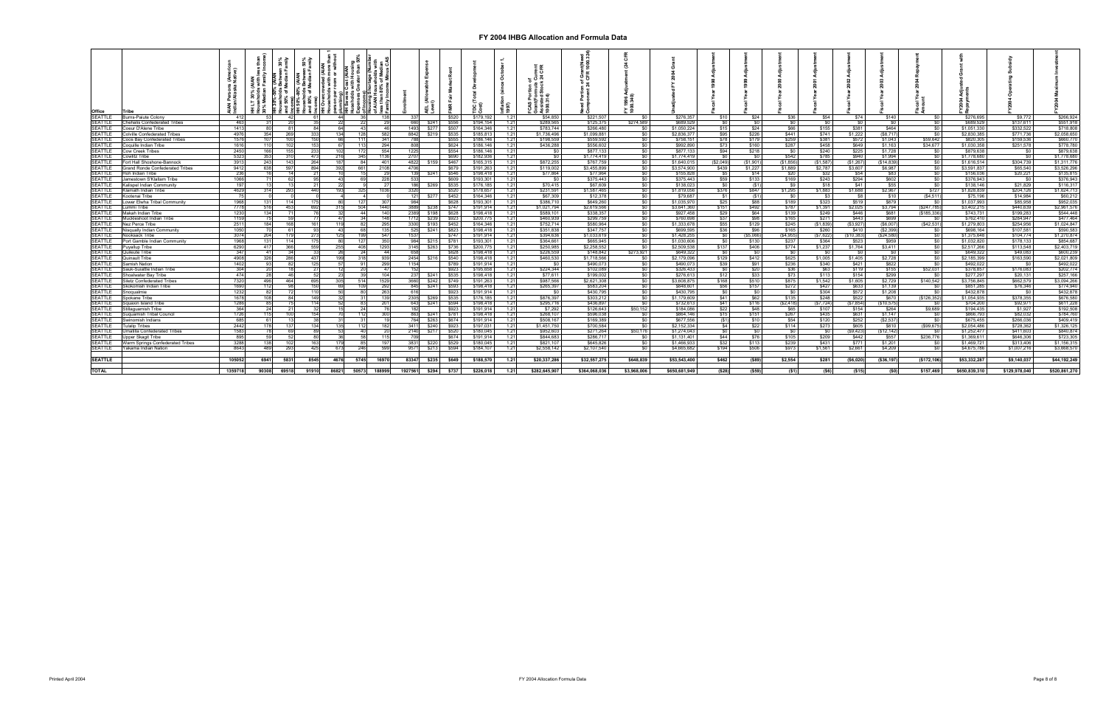| Office         | ʻrihe                                  |         | $\vdash$ |       |       | ರಾಜ            |        |                     | 인<br>이 프          |       |           |        | 38            |               |             |               |                |           |             |           |              |                |                |               |               |               |
|----------------|----------------------------------------|---------|----------|-------|-------|----------------|--------|---------------------|-------------------|-------|-----------|--------|---------------|---------------|-------------|---------------|----------------|-----------|-------------|-----------|--------------|----------------|----------------|---------------|---------------|---------------|
| <b>SEATTLE</b> | Burns-Paiute Colony                    | 41      | 53       |       |       | 44             | -138   | -33                 |                   | \$520 | \$179,192 | 1.21   | \$54,850      | \$221,507     |             | \$276,357     | \$10           | \$24      | \$36        | \$54      | \$74         | \$140          |                | \$276,69      | \$9,772       | \$266,924     |
| SEATTLE        | Chehalis Confederated Tribes           | 463     | -31      |       |       | 22             | -29    | 660                 | \$241             | \$556 | \$194.154 | 1.21   | \$289.565     | \$125,375     | \$274,589   | \$689,529     | <b>SO</b>      | SO.       | SO.         | \$0       | SO I         | \$0            | -SO I          | \$689.529     | \$137.611     | \$551,918     |
| <b>SEATTLE</b> | Coeur D'Alene Tribe                    | 1413    | 80       |       | 84    | 64             | 46     | 1493                | \$277             | \$507 | \$164,346 | 1.21   | \$783,744     | \$266,480     |             | \$1.050.224   | \$15           | \$24      | <b>\$66</b> | \$155     | \$381        | \$464          | S <sub>0</sub> | \$1,051,330   | \$332,522     | \$718,808     |
| SEATTLE        | Colville Confederated Tribes           | 497     | 354      |       | 333   | 134<br>- 12    | 582    |                     | 8842 \$219        | \$535 | \$185,813 | 1.21   | \$1,736,496   | \$1,099,881   | \$0         | \$2.836.377   | \$95 I         | \$226     | \$441       | \$741     | \$1.222      | (S8.717)       | - \$0          | \$2.830.385   | \$771.736     | \$2.058.650   |
| <b>SEATTLE</b> | Coos Bav Confederated Tribes           |         | 107      |       | 150   | 66             | 341    |                     |                   | \$555 | \$186,146 | 1.21   | \$198,559     | \$559,592     | <b>SO</b>   | \$758.151     | S78 I          | \$179     | \$259       | \$381     | \$572        | \$1,043        | \$59,642       | \$820,305     | \$159,536     | \$660,770     |
| <b>SEATTLE</b> | Coquille Indian Tribe                  | 1616    | 110      |       | 153   | 67             | 294    | 808                 |                   | \$624 | \$186,146 | 1.21   | \$436,288     | \$556,602     | \$0         | \$992,890     | \$73           | \$160     | \$287       | \$458     | \$649        | \$1,163        | \$34,677       | \$1,030,358   | \$251,578     | \$778,780     |
| <b>SEATTLE</b> | Cow Creek Tribes                       | 2450    | 166      |       | 233   | 102            | 554    | 1225                |                   | \$554 | \$186,146 | 1.21   | ടറ            | \$877,133     | <b>SO</b>   | \$877,133     | \$94           | \$218     |             | \$240     | \$225        | \$1,728        | SO.            | \$879,638     |               | \$879,638     |
|                |                                        |         |          |       |       |                |        |                     |                   |       |           |        |               |               |             |               |                |           | <b>SO</b>   |           |              |                |                |               |               |               |
| <b>SEATTLI</b> | owlitz Tribe                           |         | 353      |       | 473   | 216            |        | 2707                |                   | \$690 | \$182,936 | 1.21   |               | \$1,774,419   |             | \$1,774,419   | <b>SO</b>      | SO.       | \$542       | \$785     | \$940        | \$1,994        | \$0            | \$1,778,680   | <b>SO</b>     | \$1,778,680   |
| SEATTLE        | Fort Hall Shoshone-Bannock             | -391    | 243      |       | 264   | 187            | 401    | 4822                |                   | \$467 | \$165,315 | 1.21   | \$872,255     | \$767,759     | - SO 1      | \$1,640,015   | (\$2,049)      | (S1,901)  | (\$1,856)   | (\$1,587) | (S1, 267)    | (S14.839)      | - SO           | \$1,616,514   | \$304,739     | \$1,311,776   |
| SEATTLE        | <b>Grand Ronde Confederated Tribes</b> | 941     | 638      |       | 894   | 392<br>66      | 2108   | 4706                |                   | \$679 | \$191.263 | 1.21   | \$119,002     | \$3,455,899   |             | \$3,574,900   | \$439          | \$1,227   | \$1,889     | \$2,787   | \$3,607      | <b>\$6,987</b> |                | \$3,591,837   | \$65,540      | \$3,526,296   |
| SEATTLE        | Hoh Indian Tribe                       |         |          |       |       |                |        |                     | 139 \$241 \$546   |       | \$198,418 | - 1.21 | \$77,864      | \$77.964      | - SO 1      | \$155,828     | <b>S5</b>      | \$14      | - \$20      | \$32      | \$54         | \$83           | - SO 1         | \$156,036     | \$20,221      | \$135,815     |
| SEATTLE        | Jamestown S'Klallam Tribe              | 1066    | 71       |       | 95    | 43             | 228    | 533                 |                   | \$609 | \$193,301 | 1.21   |               | \$375,443     | <b>SO</b>   | \$375.443     | \$59           | \$133     | \$169       | \$243     | \$294        | \$602          | so l           | \$376,943     | <b>SO</b>     | \$376,943     |
| <b>SEATTLE</b> | Kalispel Indian Community              | 197     | 13       |       |       | 22             |        | 186                 | \$269             | \$535 | \$176,185 | 1.21   | \$70.415      | \$67,609      | \$0         | \$138,023     | \$0            | (S1)      | \$9         | \$18      | <b>\$41</b>  | \$55           | SO.            | \$138,146     | \$21.829      | \$116,317     |
| SEATTLI        | Klamath Indian Tribe                   | 4629    | 314      |       | 440   | 193            |        |                     |                   | \$520 | \$178,657 | 1.21   | \$231,59      | \$1,587,465   |             | \$1,819,056   | \$376          | \$847     | \$1,295     | \$1,883   | \$1,688      | \$2,967        | \$727          | \$1,828,839   | \$204,126     | \$1,624,713   |
| <b>SEATTLE</b> | Kootenai Tribe                         |         |          |       |       |                |        | 121                 | \$277             | \$452 | \$164,346 | 1.21   | \$67,309      | \$12,378      | \$0         | \$79,687      | \$1            | (S1)      | \$0         | \$3       | <b>\$8</b>   | \$10           | (\$4,511       | \$75,196      | \$14,984      | \$60,212      |
| SEATTLE        | ower Elwha Tribal Community            | 1968    | 131      |       | 175   | -80            |        | QRA                 |                   | \$628 | \$193,301 | 1.21   | \$386,710     | \$649,260     | - SO        | \$1.035.970   | \$25           | \$88      | \$189       | \$323     | \$519        | \$879          |                | \$1.037.993   | \$85,958      | \$952,035     |
| SEATTLI        | ummi Tribe                             | 7778    | 516      |       | 692   | 315<br>504     | 1440   | 3889                | \$238             | \$747 | \$191.914 | 1.21   | \$1,021,794   | \$2,619,566   | \$0         | \$3.641.360   | \$151          | \$492     | \$787       | \$1,391   | \$2.025      | \$3.794        | (\$247,785     | \$3,402.215   | \$440,639     | \$2,961.576   |
|                |                                        |         | 134      |       |       |                | 140    | 2389                |                   |       |           |        |               |               |             |               |                |           |             |           |              |                |                |               |               | \$544,448     |
| SEATTLE        | Vlakah Indian Tribe                    | 1230    |          |       |       | -32            |        |                     | \$198             | \$628 | \$198,418 | 1.21   | \$589,101     | \$338,357     | <b>SO</b>   | \$927,458     | \$29           | \$64      | \$139       | \$249     | \$446        | \$681          | (\$185,336)    | \$743.731     | \$199,283     |               |
| SEATTL         | Auckleshoot Indian Tribe               |         |          |       |       |                |        |                     |                   | \$923 | \$200,775 | 1.21   | \$460,939     | \$299,759     |             | \$760,698     | \$37           | \$98      | \$165       | \$271     | \$443        | \$699          |                | \$762,410     | \$284,947     | \$477,464     |
| SEATTLI        | <b>Vez Perce Tribe</b>                 | 2511    | 184      |       | 161   | 119            | 295    | 3300                | \$193             | \$452 | \$164,346 | 1.21   | \$752,714     | \$580,964     | <b>SO</b>   | \$1,333,678   | \$55           | \$129     | \$245       | (S1.839)  | (S3,927)     | (S6,007)       | (S42, 531)     | \$1,279,803   | \$254,956     | \$1,024,847   |
| <b>SEATTLE</b> | <b>Nisqually Indian Community</b>      | 1050    |          |       |       | 43             | 135    | 525                 | \$241             | \$823 | \$198,418 | 1.21   | \$351,838     | \$347,757     | SO I        | \$699.595     | \$36           | \$96      | \$165       | \$260     | \$410        | (S2.399)       | SO.            | \$698,164     | \$107,58      | \$590,583     |
| SEATTLE        | Nooksack Tribe                         | 3074    | 204      |       | 273   | 125            | 547    | 1537                |                   | \$747 | \$191,914 | 1.21   | \$394,636     | \$1,033,619   | <b>SO</b>   | \$1,428,255   | <b>SO</b>      | (S5.066)  | ( \$4, 955) | (\$7,622) | ( \$10, 383) | (S24.580)      | <b>SO</b>      | \$1,375,648   | \$104,774     | \$1,270,874   |
| <b>SEATTLE</b> | Port Gamble Indian Community           | 1968    | 131      |       | 175   |                | 350    |                     | 984 \$215         | \$781 | \$193,301 | 1.21   | \$364.661     | \$665,945     | \$0         | \$1,030,606   | $\frac{1}{20}$ | \$130     | \$237       | \$364     | \$523        | \$959          | \$0            | \$1,032,820   | \$178,133     | \$854,687     |
| <b>SEATTLE</b> | Puyallup Tribe                         | 6290    | 417      |       |       | 255<br>40      | 1293   | 3145                | \$263             | \$736 | \$200.77  | 1.21   | \$250.98      | \$2,258,552   |             | \$2,509,538   | \$137          | \$406     | \$774       | \$1,237   | \$1,764      | \$3.411        |                | \$2,517,266   | \$113,548     | \$2,403,719   |
| SEATTLE        | Quileute Tribe                         |         | 41       |       |       |                |        |                     |                   | \$628 | \$198,418 | - 1.21 | \$226,55      | \$148,842     | \$273,921   | \$649,322     | - SO 1         | SO.       | -SO.        |           | SO.          | - \$0          |                | \$649.32      | \$49,083      | \$600,239     |
| <b>SEATTLE</b> | Quinault Tribe                         | 4908    | 326      |       | 437   | 199<br>31      | 939    | 2454                | \$216             | \$540 | \$198.418 | 1.21   | \$460,530     | \$1,718,566   | \$0         | \$2,179,096   | \$129          | \$412     | \$625       | \$1,005   | \$1,405      | \$2,728        | <b>SO</b>      | \$2,185,399   | \$163,590     | \$2,021,809   |
| SEATTLI        | amish Nation                           | 1402    | -931     |       | 125   | 57             | 299    | 1154                |                   | \$789 | \$191.914 | 1.21   | <b>SO</b>     | \$490,073     | <b>SO</b>   | \$490,073     | \$39           | \$91      | \$236       | \$340     | \$421        | \$822          | <b>SO</b>      | \$492,022     | SO I          | \$492,022     |
| <b>SEATTLE</b> | Sauk-Suiattle Indian Tribe             |         | 201      |       |       |                |        |                     |                   | \$923 | \$195,658 | 1.21   | \$224,344     | \$102,089     |             | \$326,433     | <b>SO</b>      | \$20      | \$36        | \$63      | \$119        | \$155          | \$52,031       | \$378.857     | \$176,083     | \$202,774     |
| <b>SEATTLE</b> | Shoalwater Bav Tribe                   | 474     | 28       |       | - 52  | - 23           | 104    |                     | 237 \$241         | \$535 | \$198,418 | 1.21   | \$77.611      | \$199,002     | SO I        | \$276,613     | \$12           | \$33      | \$73        | \$113     | \$154        | \$299          | <b>SO</b>      | \$277.297     | \$20.131      | \$257,166     |
| <b>SEATTLE</b> | Siletz Confederated Tribes             |         | 496      |       | 695   | 305            | 1529   | 3660                | \$242             | \$749 | \$191.263 | 1.21   | \$987.566     | \$2,621,308   |             | \$3,608,875   | \$168          | \$510     | \$875       | \$1,542   | \$1.605      | \$2,729        | \$140.542      | \$3.756.845   | \$662,579     | \$3,094,266   |
| SEATTLI        | Skokomish Indian Tribe                 | 1690    | 112      |       | 150   | 69             | 292    | 845                 | \$241             | \$593 | \$198,418 | 1.21   | \$265,397     | \$583,204     | \$0         | \$848,601     | \$56           | \$157     | \$272       | \$427     | \$633        | \$1,139        | SO.            | \$851,285     | \$76,346      | \$774,940     |
| SEATTLE        | noqualmie                              | 1232    | 82       |       | - 110 | 50             | 263    | 616                 |                   | \$923 | \$191,914 | 1.21   | - SO          | \$430,795     | \$0         | \$430,795     | <b>SO</b>      | \$0       | - \$0       | \$304     | \$572        | \$1,208        | SO.            | \$432,878     | - \$0         | \$432,878     |
| <b>SEATTL</b>  |                                        | 167     | 108      |       | 149   |                |        | 2305                |                   | \$535 | \$176,185 | 1.21   | \$876,397     | \$303,212     |             | \$1,179,609   | \$41           | \$62      | \$135       | \$248     | \$522        | \$670          | (\$126,352)    | \$1,054,935   | \$378,355     | \$676,580     |
|                | okane Tribe                            |         |          |       |       |                |        |                     |                   |       |           |        |               |               |             |               |                |           |             |           |              |                |                |               |               |               |
| SEATTLE        | auaxin Island Tribe                    | 1286    | 85       |       | 114   |                | 201    | 643                 | \$241             | \$594 | \$198,418 | 1.21   | \$295,716     | \$436,897     | \$0         | \$732,613     | S41 I          | \$116     | (S2.418)    | (\$7,724) | (S7.854)     | (S10.575)      | — \$∩          | \$704,200     | \$92,971      | \$611,228     |
| SFATTI F       | tillaquamish Tribe                     | 364     | 24       |       |       |                |        |                     |                   | \$923 | \$191.914 | 1.21   | \$7,292       | \$126,643     | \$50,152    | \$184,086     | S22 I          | \$48      | \$65        | \$107     | \$154        | \$264          | \$9,689        | \$194.435     | \$1,927       | \$192,508     |
| <b>SEATTLE</b> | Suguamish Tribal Council               | 1726    | 115      |       | 154   |                | -300   | 863.                | S241 I            | \$781 | \$198,418 | 1.21   | \$268.10      | \$596,038     | - \$0       | \$864.146     | S 15 I         | \$151     | \$267       | \$435     | S631 I       | \$1.147        | <b>SO</b>      | \$866.793     | \$82,032      | \$784,760     |
| <b>SEATTLE</b> | Swinomish Indians                      | 685     | 61       |       |       |                |        | 764                 | \$263             | \$674 | \$191.914 | 1.21   | \$508,167     | \$169,389     | \$0         | \$677,556     | (S1)           | \$10      | \$54        | \$120     | \$252        | (S2.537)       | \$0            | \$675.455     | \$266,036     | \$409,419     |
| <b>SEATTLI</b> | <b>Tulalip Tribes</b>                  | 2442    | 178      |       | 134   | 135            | 182    | 3411                | \$240             | \$923 | \$197.031 | 1.21   | \$1,451,750   | \$700.584     | \$0         | \$2.152.334   | \$4            | \$22      | \$114       | \$273     | \$605        | \$810          | (\$99.675)     | \$2,054,486   | \$728.362     | \$1,326,125   |
| SEATTLI        | Jmatilla Confederated Tribes           | 1583    |          |       |       |                |        | 2140                | \$217             | \$520 | \$180,045 | 1.21   | \$952,603     | \$271,264     | \$50,176    | \$1,274,043   | - SO 1         | <b>SO</b> | <b>SO</b>   | - \$0     | (S9, 423)    | (\$12, 142)    |                | \$1,252,477   | \$411,603     | \$840,874     |
| <b>SEATTLE</b> | pper Skagit Tribe                      |         |          |       |       |                |        |                     |                   | \$674 | \$191,914 | 1.21   | \$844,683     | \$286,717     |             | \$1,131,401   | \$44           | \$76      | \$105       | \$209     | \$442        | \$557          | \$236,776      | \$1,369,611   | \$646,306     | \$723,305     |
| SEATTLE        | Warm Springs Confederated Tribes       | 3288    | 138      |       | 163   | 179            | 10°    | 3831                | - \$220.          | \$529 | \$180.045 | 1.21   | \$821.10      | \$645,826     | - SO        | \$1,466,933   | \$32           | \$113     | \$239       | \$431     | \$771        | \$1,201        | - SO           | \$1.469.721   | \$313,406     | \$1,156,315   |
| <b>SEATTLE</b> | Yakama Indian Nation                   | 8643    | 489      |       | 425   | 673            | 599    | 9571                | \$213             | \$594 | \$184,107 | 1.21   | \$2,558.142   | \$2,107.540   | \$0         | \$4,665,682   | \$194          | \$506     | \$973       | \$1,561   | \$2.661      | \$4,209        | .SO            | \$4.675.786   | \$1,007.216   | \$3,668,570   |
|                |                                        |         |          |       |       |                |        |                     |                   |       |           |        |               |               |             |               |                |           |             |           |              |                |                |               |               |               |
| SEATTLE        |                                        | 105052  | 6941     | 5831  | 8545  | 4676<br>5745   | 16970  |                     | 83347 \$235 \$649 |       | \$188,570 | 1.21   | \$20,337,286  | \$32,557,275  | \$648,839   | \$53,543,400  | \$462          | (\$89)    | \$2,554     | \$281     | (S6, 020)    | (\$36,197)     | (\$172,106)    | \$53,332,287  | \$9,140,037   | \$44,192,249  |
|                |                                        |         |          |       |       |                |        |                     |                   |       |           |        |               |               |             |               |                |           |             |           |              |                |                |               |               |               |
| TOTAL          |                                        | 1359718 | 90308    | 69518 | 91910 | 50573<br>86821 | 188999 | 1927561 \$294 \$737 |                   |       | \$226,018 | - 1.21 | \$282,645,907 | \$364.068.036 | \$3,968,006 | \$650,681,949 | (S28)          | (559)     | (51)        | $($ \$6)  | (S15)        | (50)           | \$157,469      | \$650,839,310 | \$129,978,040 | \$520,861,270 |
|                |                                        |         |          |       |       |                |        |                     |                   |       |           |        |               |               |             |               |                |           |             |           |              |                |                |               |               |               |